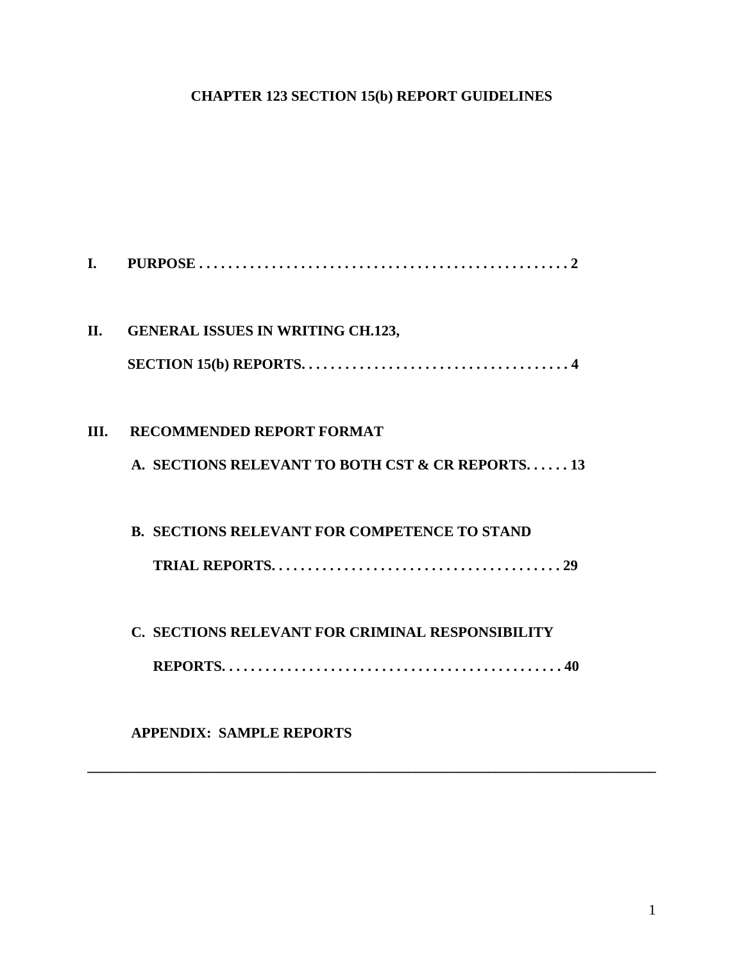## **CHAPTER 123 SECTION 15(b) REPORT GUIDELINES**

**I. PURPOSE . . . . . . . . . . . . . . . . . . . . . . . . . . . . . . . . . . . . . . . . . . . . . . . . . . . 2** 

# **II. GENERAL ISSUES IN WRITING CH.123, SECTION 15(b) REPORTS. . . . . . . . . . . . . . . . . . . . . . . . . . . . . . . . . . . . . 4**

## **III. RECOMMENDED REPORT FORMAT**

## **A. SECTIONS RELEVANT TO BOTH CST & CR REPORTS. . . . . . 13**

**B. SECTIONS RELEVANT FOR COMPETENCE TO STAND TRIAL REPORTS. . . . . . . . . . . . . . . . . . . . . . . . . . . . . . . . . . . . . . . . 29** 

**C. SECTIONS RELEVANT FOR CRIMINAL RESPONSIBILITY** 

 **REPORTS. . . . . . . . . . . . . . . . . . . . . . . . . . . . . . . . . . . . . . . . . . . . . . . 40** 

**\_\_\_\_\_\_\_\_\_\_\_\_\_\_\_\_\_\_\_\_\_\_\_\_\_\_\_\_\_\_\_\_\_\_\_\_\_\_\_\_\_\_\_\_\_\_\_\_\_\_\_\_\_\_\_\_\_\_\_\_\_\_\_\_\_\_\_\_\_\_\_\_\_\_\_\_\_\_** 

 **APPENDIX: SAMPLE REPORTS**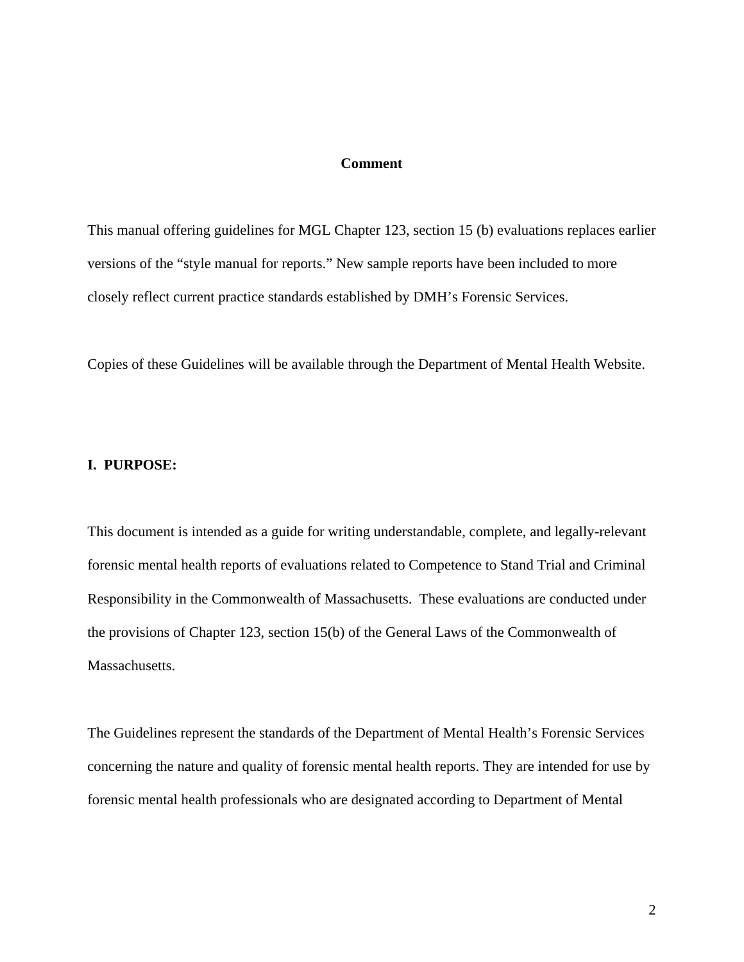#### **Comment**

This manual offering guidelines for MGL Chapter 123, section 15 (b) evaluations replaces earlier versions of the "style manual for reports." New sample reports have been included to more closely reflect current practice standards established by DMH's Forensic Services.

Copies of these Guidelines will be available through the Department of Mental Health Website.

#### **I. PURPOSE:**

This document is intended as a guide for writing understandable, complete, and legally-relevant forensic mental health reports of evaluations related to Competence to Stand Trial and Criminal Responsibility in the Commonwealth of Massachusetts. These evaluations are conducted under the provisions of Chapter 123, section 15(b) of the General Laws of the Commonwealth of Massachusetts.

The Guidelines represent the standards of the Department of Mental Health's Forensic Services concerning the nature and quality of forensic mental health reports. They are intended for use by forensic mental health professionals who are designated according to Department of Mental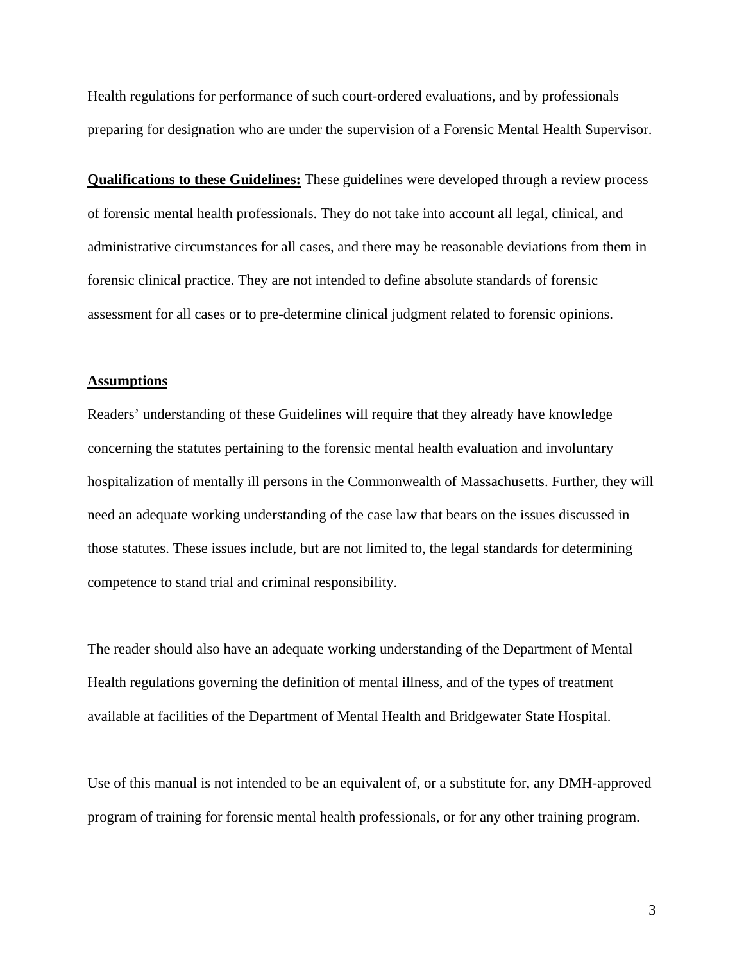Health regulations for performance of such court-ordered evaluations, and by professionals preparing for designation who are under the supervision of a Forensic Mental Health Supervisor.

**Qualifications to these Guidelines:** These guidelines were developed through a review process of forensic mental health professionals. They do not take into account all legal, clinical, and administrative circumstances for all cases, and there may be reasonable deviations from them in forensic clinical practice. They are not intended to define absolute standards of forensic assessment for all cases or to pre-determine clinical judgment related to forensic opinions.

#### **Assumptions**

Readers' understanding of these Guidelines will require that they already have knowledge concerning the statutes pertaining to the forensic mental health evaluation and involuntary hospitalization of mentally ill persons in the Commonwealth of Massachusetts. Further, they will need an adequate working understanding of the case law that bears on the issues discussed in those statutes. These issues include, but are not limited to, the legal standards for determining competence to stand trial and criminal responsibility.

The reader should also have an adequate working understanding of the Department of Mental Health regulations governing the definition of mental illness, and of the types of treatment available at facilities of the Department of Mental Health and Bridgewater State Hospital.

Use of this manual is not intended to be an equivalent of, or a substitute for, any DMH-approved program of training for forensic mental health professionals, or for any other training program.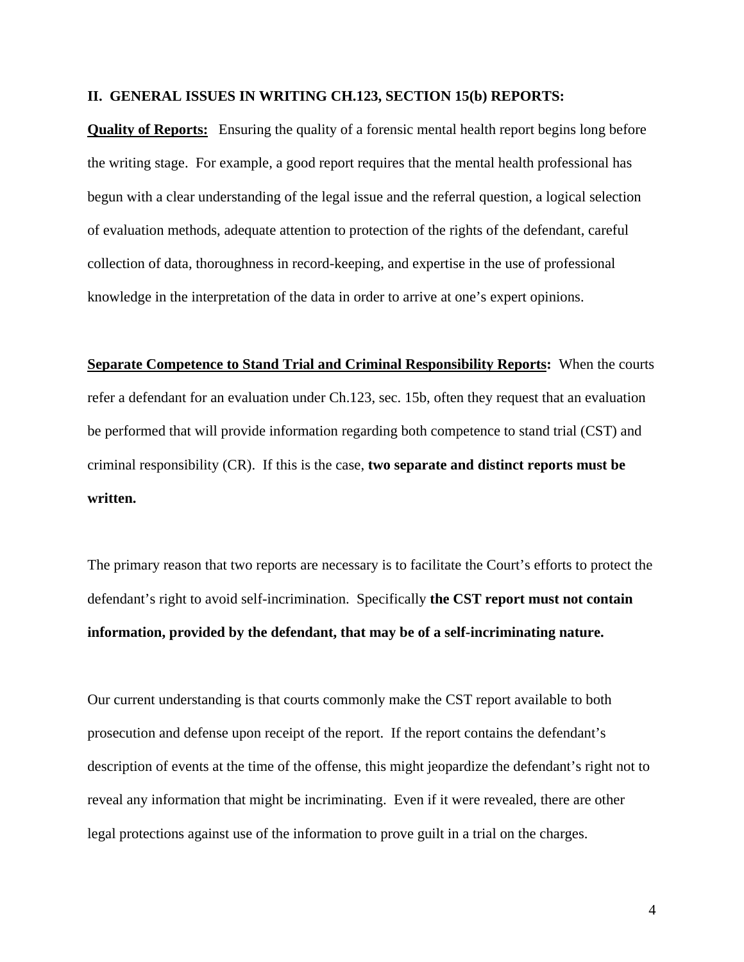#### **II. GENERAL ISSUES IN WRITING CH.123, SECTION 15(b) REPORTS:**

**Quality of Reports:** Ensuring the quality of a forensic mental health report begins long before the writing stage. For example, a good report requires that the mental health professional has begun with a clear understanding of the legal issue and the referral question, a logical selection of evaluation methods, adequate attention to protection of the rights of the defendant, careful collection of data, thoroughness in record-keeping, and expertise in the use of professional knowledge in the interpretation of the data in order to arrive at one's expert opinions.

**Separate Competence to Stand Trial and Criminal Responsibility Reports:** When the courts refer a defendant for an evaluation under Ch.123, sec. 15b, often they request that an evaluation be performed that will provide information regarding both competence to stand trial (CST) and criminal responsibility (CR). If this is the case, **two separate and distinct reports must be written.**

The primary reason that two reports are necessary is to facilitate the Court's efforts to protect the defendant's right to avoid self-incrimination. Specifically **the CST report must not contain information, provided by the defendant, that may be of a self-incriminating nature.** 

Our current understanding is that courts commonly make the CST report available to both prosecution and defense upon receipt of the report. If the report contains the defendant's description of events at the time of the offense, this might jeopardize the defendant's right not to reveal any information that might be incriminating. Even if it were revealed, there are other legal protections against use of the information to prove guilt in a trial on the charges.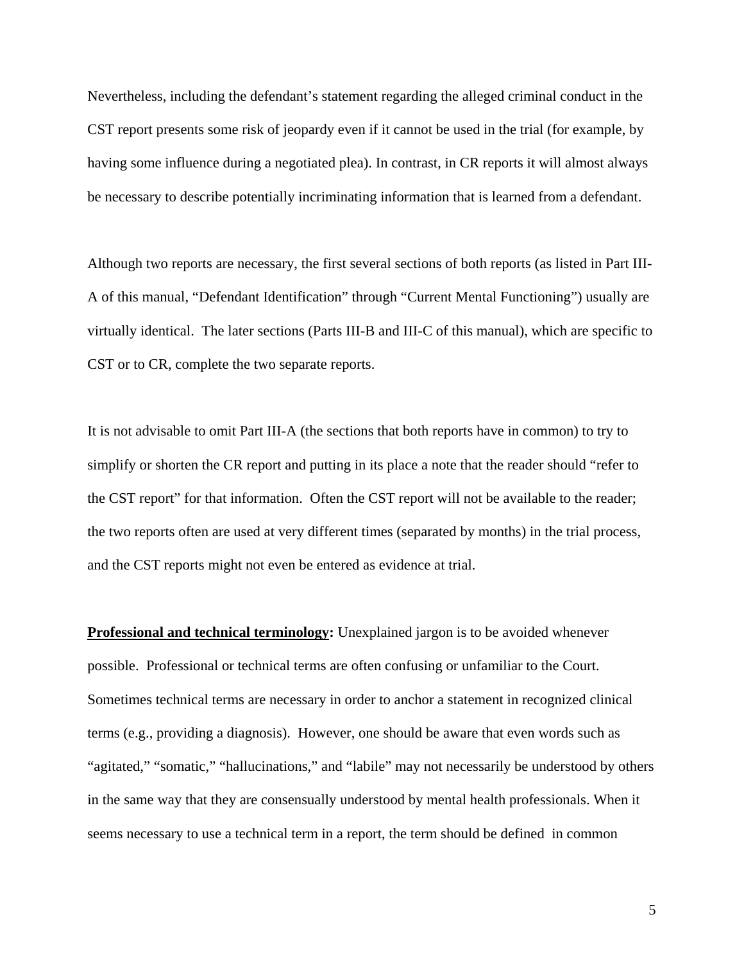Nevertheless, including the defendant's statement regarding the alleged criminal conduct in the CST report presents some risk of jeopardy even if it cannot be used in the trial (for example, by having some influence during a negotiated plea). In contrast, in CR reports it will almost always be necessary to describe potentially incriminating information that is learned from a defendant.

Although two reports are necessary, the first several sections of both reports (as listed in Part III-A of this manual, "Defendant Identification" through "Current Mental Functioning") usually are virtually identical. The later sections (Parts III-B and III-C of this manual), which are specific to CST or to CR, complete the two separate reports.

It is not advisable to omit Part III-A (the sections that both reports have in common) to try to simplify or shorten the CR report and putting in its place a note that the reader should "refer to the CST report" for that information. Often the CST report will not be available to the reader; the two reports often are used at very different times (separated by months) in the trial process, and the CST reports might not even be entered as evidence at trial.

**Professional and technical terminology:** Unexplained jargon is to be avoided whenever possible. Professional or technical terms are often confusing or unfamiliar to the Court. Sometimes technical terms are necessary in order to anchor a statement in recognized clinical terms (e.g., providing a diagnosis). However, one should be aware that even words such as "agitated," "somatic," "hallucinations," and "labile" may not necessarily be understood by others in the same way that they are consensually understood by mental health professionals. When it seems necessary to use a technical term in a report, the term should be defined in common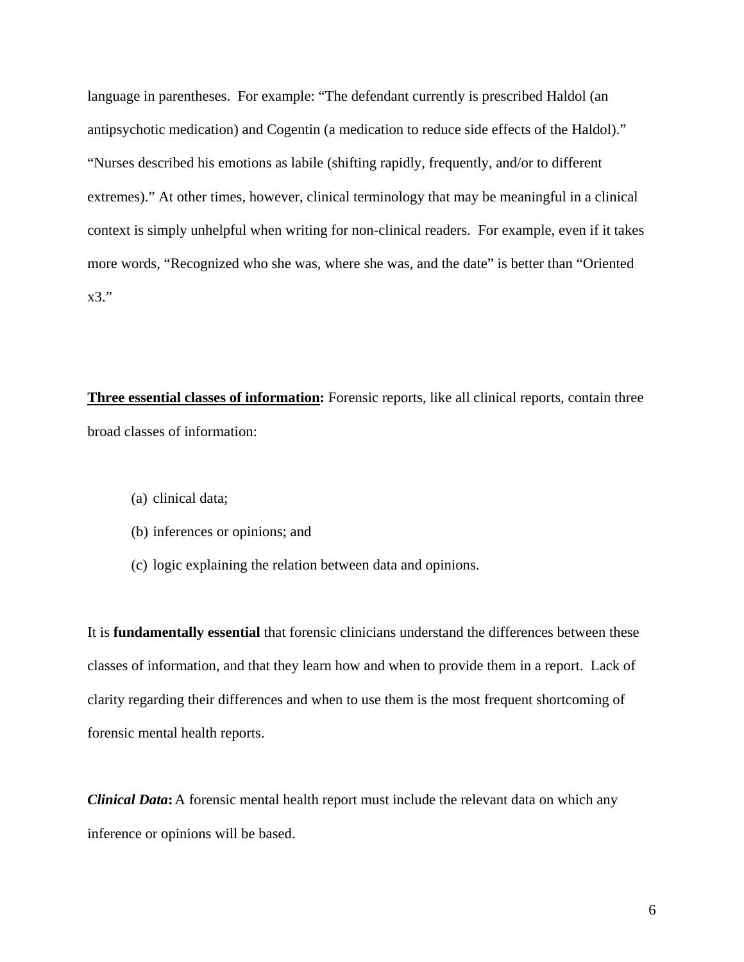language in parentheses. For example: "The defendant currently is prescribed Haldol (an antipsychotic medication) and Cogentin (a medication to reduce side effects of the Haldol)." "Nurses described his emotions as labile (shifting rapidly, frequently, and/or to different extremes)." At other times, however, clinical terminology that may be meaningful in a clinical context is simply unhelpful when writing for non-clinical readers. For example, even if it takes more words, "Recognized who she was, where she was, and the date" is better than "Oriented x3."

**Three essential classes of information:** Forensic reports, like all clinical reports, contain three broad classes of information:

- (a) clinical data;
- (b) inferences or opinions; and
- (c) logic explaining the relation between data and opinions.

It is **fundamentally essential** that forensic clinicians understand the differences between these classes of information, and that they learn how and when to provide them in a report. Lack of clarity regarding their differences and when to use them is the most frequent shortcoming of forensic mental health reports.

*Clinical Data***:** A forensic mental health report must include the relevant data on which any inference or opinions will be based.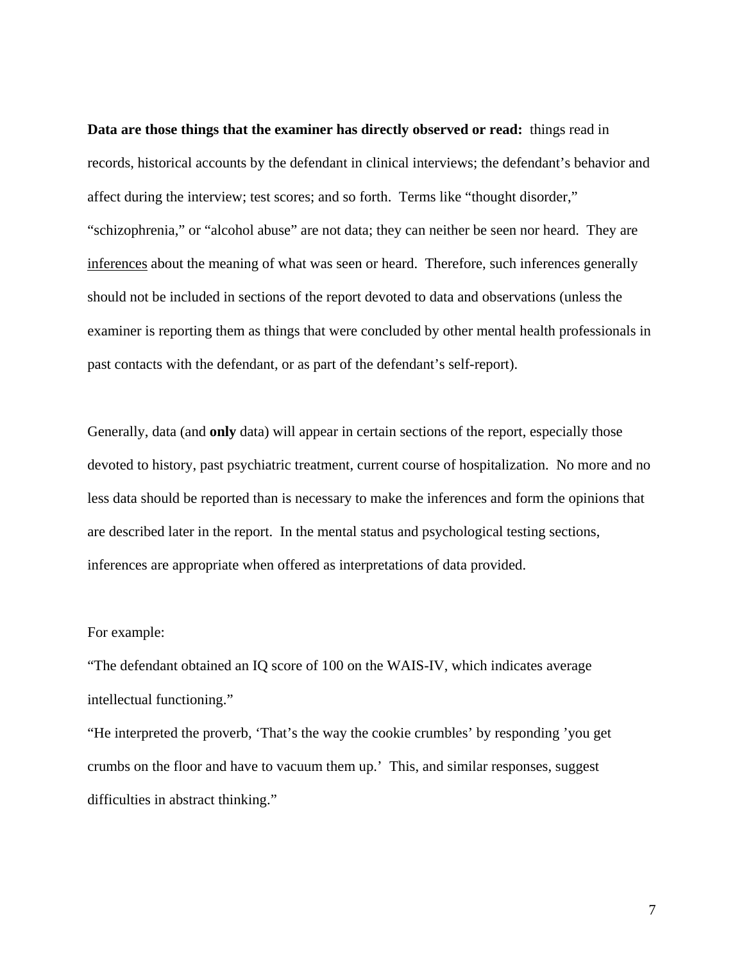**Data are those things that the examiner has directly observed or read:** things read in records, historical accounts by the defendant in clinical interviews; the defendant's behavior and affect during the interview; test scores; and so forth. Terms like "thought disorder," "schizophrenia," or "alcohol abuse" are not data; they can neither be seen nor heard. They are inferences about the meaning of what was seen or heard. Therefore, such inferences generally should not be included in sections of the report devoted to data and observations (unless the examiner is reporting them as things that were concluded by other mental health professionals in past contacts with the defendant, or as part of the defendant's self-report).

Generally, data (and **only** data) will appear in certain sections of the report, especially those devoted to history, past psychiatric treatment, current course of hospitalization. No more and no less data should be reported than is necessary to make the inferences and form the opinions that are described later in the report. In the mental status and psychological testing sections, inferences are appropriate when offered as interpretations of data provided.

#### For example:

"The defendant obtained an IQ score of 100 on the WAIS-IV, which indicates average intellectual functioning."

"He interpreted the proverb, 'That's the way the cookie crumbles' by responding 'you get crumbs on the floor and have to vacuum them up.' This, and similar responses, suggest difficulties in abstract thinking."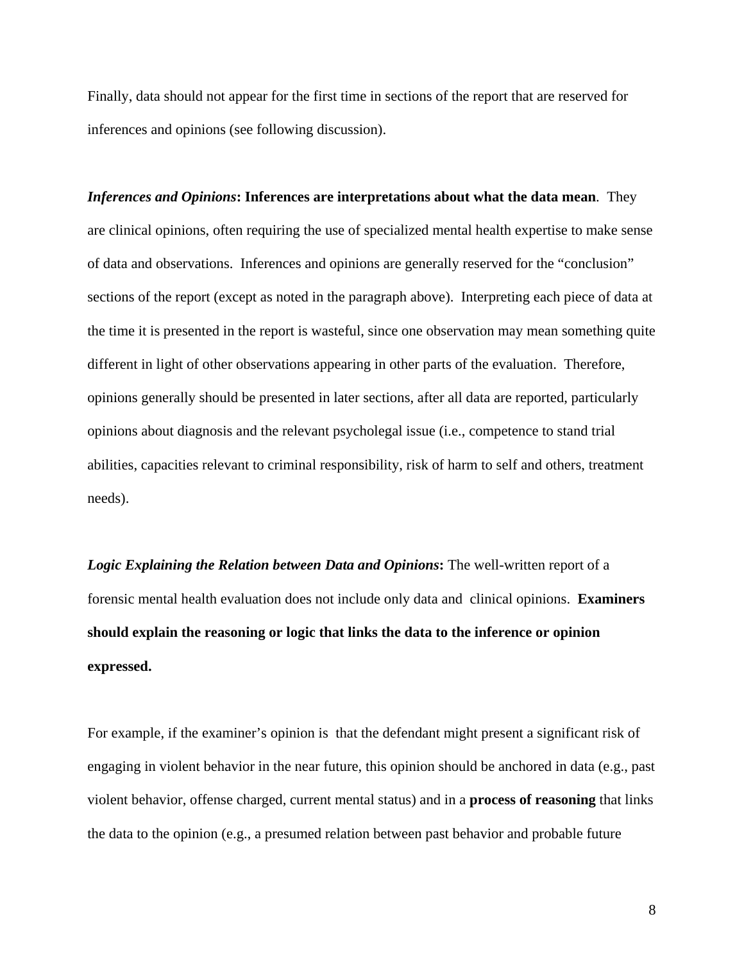Finally, data should not appear for the first time in sections of the report that are reserved for inferences and opinions (see following discussion).

*Inferences and Opinions***: Inferences are interpretations about what the data mean**. They are clinical opinions, often requiring the use of specialized mental health expertise to make sense of data and observations. Inferences and opinions are generally reserved for the "conclusion" sections of the report (except as noted in the paragraph above). Interpreting each piece of data at the time it is presented in the report is wasteful, since one observation may mean something quite different in light of other observations appearing in other parts of the evaluation. Therefore, opinions generally should be presented in later sections, after all data are reported, particularly opinions about diagnosis and the relevant psycholegal issue (i.e., competence to stand trial abilities, capacities relevant to criminal responsibility, risk of harm to self and others, treatment needs).

*Logic Explaining the Relation between Data and Opinions***:** The well-written report of a forensic mental health evaluation does not include only data and clinical opinions. **Examiners should explain the reasoning or logic that links the data to the inference or opinion expressed.**

For example, if the examiner's opinion is that the defendant might present a significant risk of engaging in violent behavior in the near future, this opinion should be anchored in data (e.g., past violent behavior, offense charged, current mental status) and in a **process of reasoning** that links the data to the opinion (e.g., a presumed relation between past behavior and probable future

8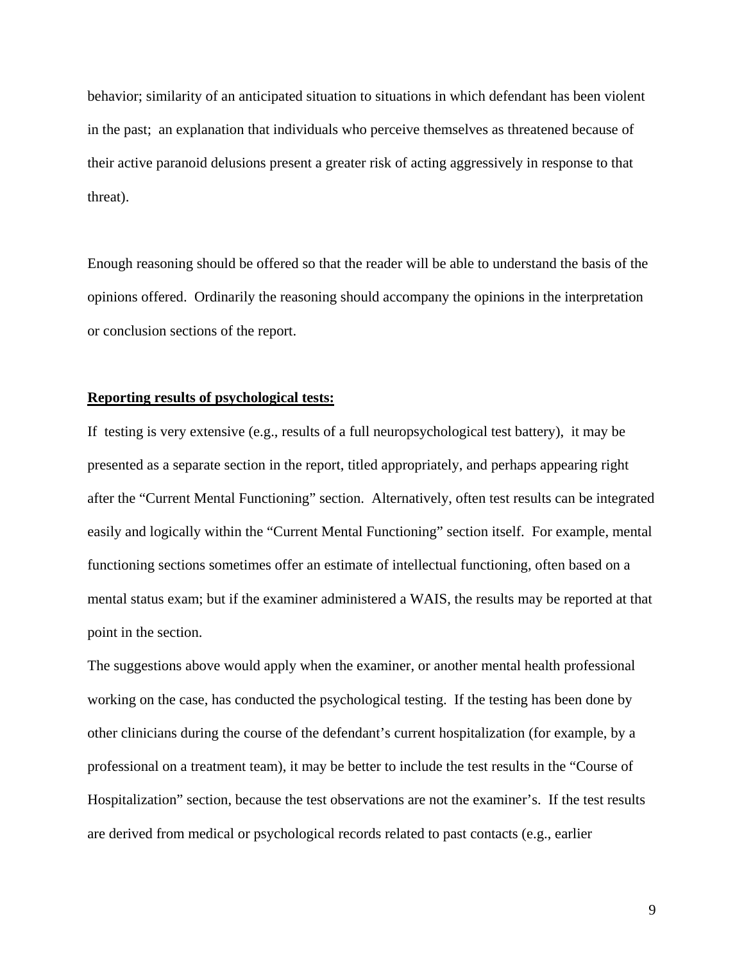behavior; similarity of an anticipated situation to situations in which defendant has been violent in the past; an explanation that individuals who perceive themselves as threatened because of their active paranoid delusions present a greater risk of acting aggressively in response to that threat).

Enough reasoning should be offered so that the reader will be able to understand the basis of the opinions offered. Ordinarily the reasoning should accompany the opinions in the interpretation or conclusion sections of the report.

#### **Reporting results of psychological tests:**

If testing is very extensive (e.g., results of a full neuropsychological test battery), it may be presented as a separate section in the report, titled appropriately, and perhaps appearing right after the "Current Mental Functioning" section. Alternatively, often test results can be integrated easily and logically within the "Current Mental Functioning" section itself. For example, mental functioning sections sometimes offer an estimate of intellectual functioning, often based on a mental status exam; but if the examiner administered a WAIS, the results may be reported at that point in the section.

The suggestions above would apply when the examiner, or another mental health professional working on the case, has conducted the psychological testing. If the testing has been done by other clinicians during the course of the defendant's current hospitalization (for example, by a professional on a treatment team), it may be better to include the test results in the "Course of Hospitalization" section, because the test observations are not the examiner's. If the test results are derived from medical or psychological records related to past contacts (e.g., earlier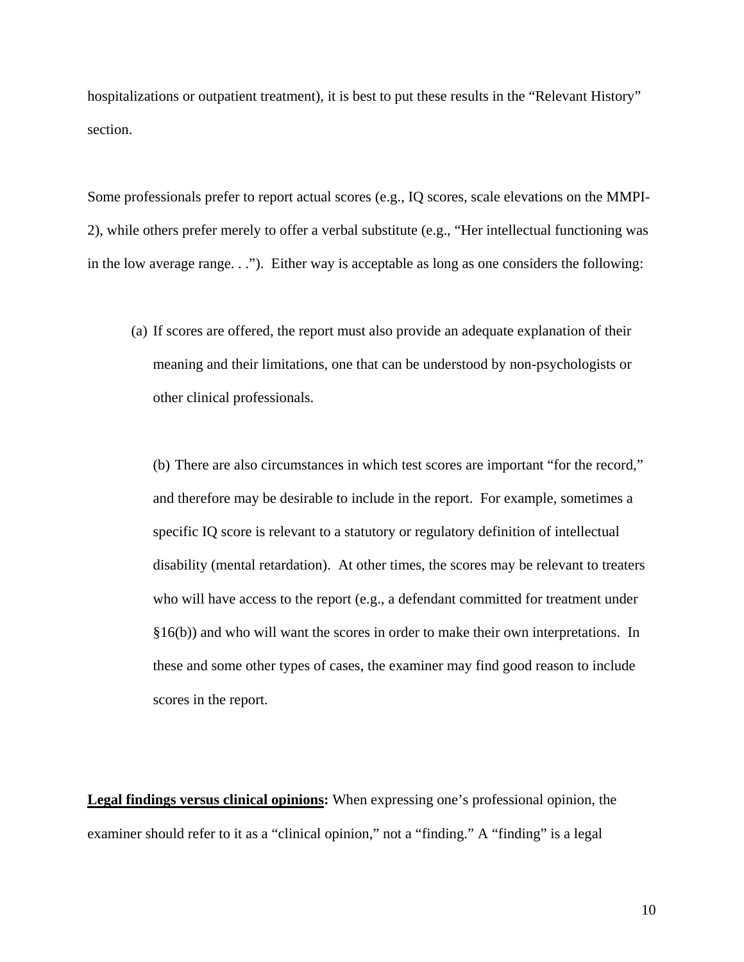hospitalizations or outpatient treatment), it is best to put these results in the "Relevant History" section.

Some professionals prefer to report actual scores (e.g., IQ scores, scale elevations on the MMPI-2), while others prefer merely to offer a verbal substitute (e.g., "Her intellectual functioning was in the low average range. . ."). Either way is acceptable as long as one considers the following:

(a) If scores are offered, the report must also provide an adequate explanation of their meaning and their limitations, one that can be understood by non-psychologists or other clinical professionals.

(b) There are also circumstances in which test scores are important "for the record," and therefore may be desirable to include in the report. For example, sometimes a specific IQ score is relevant to a statutory or regulatory definition of intellectual disability (mental retardation). At other times, the scores may be relevant to treaters who will have access to the report (e.g., a defendant committed for treatment under §16(b)) and who will want the scores in order to make their own interpretations. In these and some other types of cases, the examiner may find good reason to include scores in the report.

**Legal findings versus clinical opinions:** When expressing one's professional opinion, the examiner should refer to it as a "clinical opinion," not a "finding." A "finding" is a legal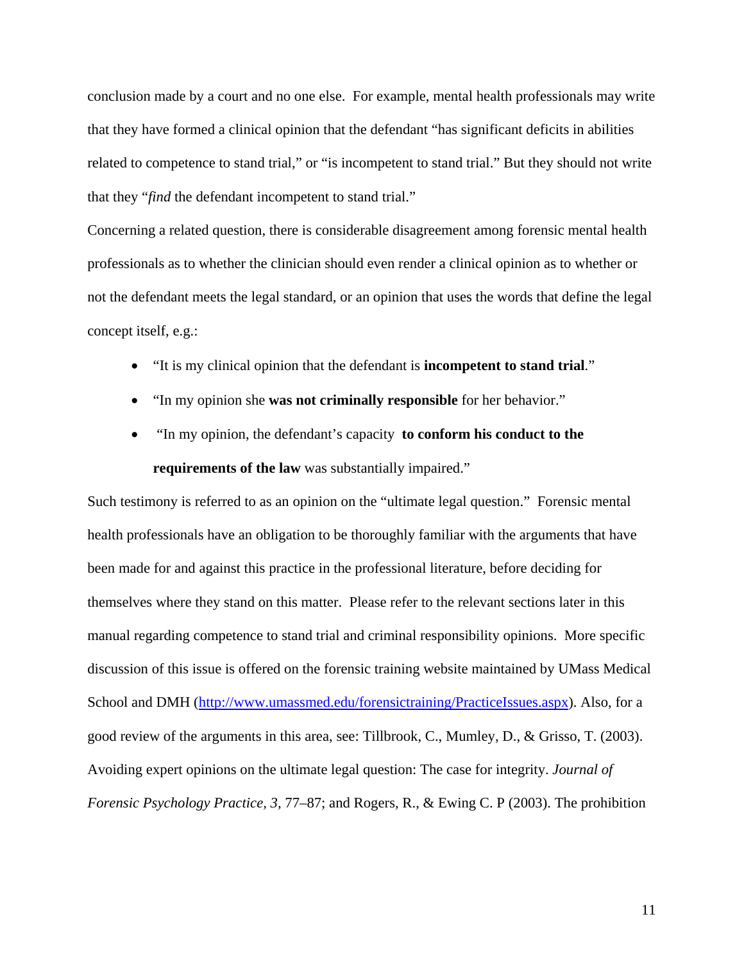conclusion made by a court and no one else. For example, mental health professionals may write that they have formed a clinical opinion that the defendant "has significant deficits in abilities related to competence to stand trial," or "is incompetent to stand trial." But they should not write that they "*find* the defendant incompetent to stand trial."

Concerning a related question, there is considerable disagreement among forensic mental health professionals as to whether the clinician should even render a clinical opinion as to whether or not the defendant meets the legal standard, or an opinion that uses the words that define the legal concept itself, e.g.:

- "It is my clinical opinion that the defendant is **incompetent to stand trial**."
- "In my opinion she **was not criminally responsible** for her behavior."
- "In my opinion, the defendant's capacity **to conform his conduct to the requirements of the law** was substantially impaired."

Such testimony is referred to as an opinion on the "ultimate legal question." Forensic mental health professionals have an obligation to be thoroughly familiar with the arguments that have been made for and against this practice in the professional literature, before deciding for themselves where they stand on this matter. Please refer to the relevant sections later in this manual regarding competence to stand trial and criminal responsibility opinions. More specific discussion of this issue is offered on the forensic training website maintained by UMass Medical School and DMH ([http://www.umassmed.edu/forensictraining/PracticeIssues.aspx\)](http://www.umassmed.edu/forensictraining/PracticeIssues.aspx). Also, for a good review of the arguments in this area, see: Tillbrook, C., Mumley, D., & Grisso, T. (2003). Avoiding expert opinions on the ultimate legal question: The case for integrity. *Journal of Forensic Psychology Practice, 3,* 77–87; and Rogers, R., & Ewing C. P (2003). The prohibition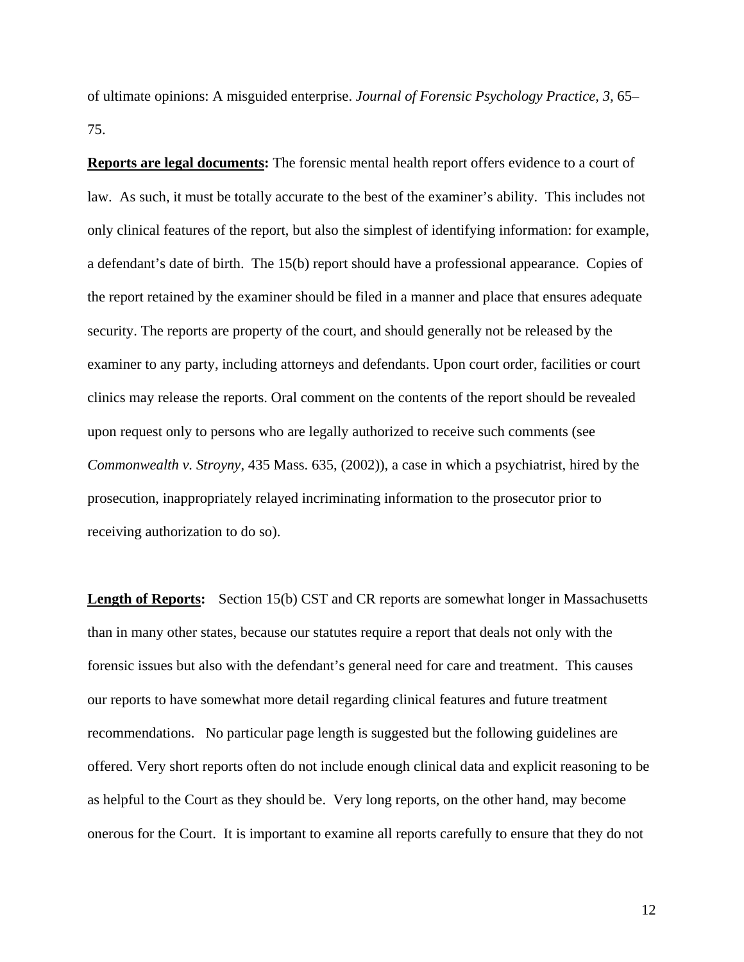of ultimate opinions: A misguided enterprise. *Journal of Forensic Psychology Practice, 3,* 65– 75.

**Reports are legal documents:** The forensic mental health report offers evidence to a court of law. As such, it must be totally accurate to the best of the examiner's ability. This includes not only clinical features of the report, but also the simplest of identifying information: for example, a defendant's date of birth. The 15(b) report should have a professional appearance. Copies of the report retained by the examiner should be filed in a manner and place that ensures adequate security. The reports are property of the court, and should generally not be released by the examiner to any party, including attorneys and defendants. Upon court order, facilities or court clinics may release the reports. Oral comment on the contents of the report should be revealed upon request only to persons who are legally authorized to receive such comments (see *Commonwealth v. Stroyny*, 435 Mass. 635, (2002)), a case in which a psychiatrist, hired by the prosecution, inappropriately relayed incriminating information to the prosecutor prior to receiving authorization to do so).

**Length of Reports:** Section 15(b) CST and CR reports are somewhat longer in Massachusetts than in many other states, because our statutes require a report that deals not only with the forensic issues but also with the defendant's general need for care and treatment. This causes our reports to have somewhat more detail regarding clinical features and future treatment recommendations. No particular page length is suggested but the following guidelines are offered. Very short reports often do not include enough clinical data and explicit reasoning to be as helpful to the Court as they should be. Very long reports, on the other hand, may become onerous for the Court. It is important to examine all reports carefully to ensure that they do not

12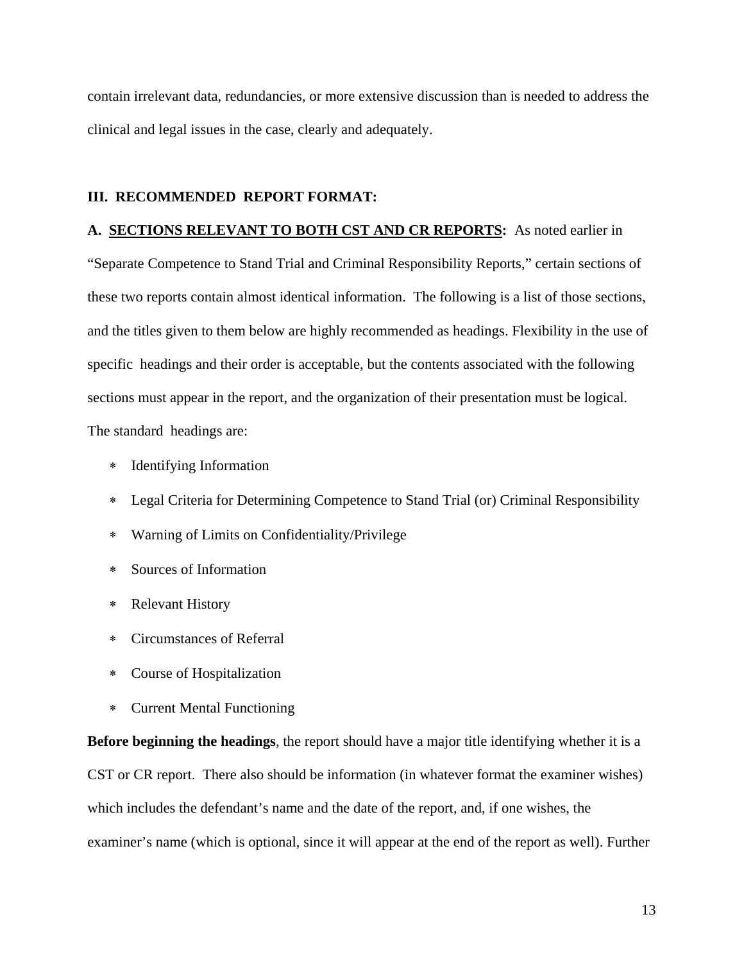contain irrelevant data, redundancies, or more extensive discussion than is needed to address the clinical and legal issues in the case, clearly and adequately.

#### **III. RECOMMENDED REPORT FORMAT:**

#### **A. SECTIONS RELEVANT TO BOTH CST AND CR REPORTS:** As noted earlier in

"Separate Competence to Stand Trial and Criminal Responsibility Reports," certain sections of these two reports contain almost identical information. The following is a list of those sections, and the titles given to them below are highly recommended as headings. Flexibility in the use of specific headings and their order is acceptable, but the contents associated with the following sections must appear in the report, and the organization of their presentation must be logical. The standard headings are:

- Identifying Information
- Legal Criteria for Determining Competence to Stand Trial (or) Criminal Responsibility
- Warning of Limits on Confidentiality/Privilege
- Sources of Information
- Relevant History
- Circumstances of Referral
- Course of Hospitalization
- Current Mental Functioning

**Before beginning the headings**, the report should have a major title identifying whether it is a CST or CR report. There also should be information (in whatever format the examiner wishes) which includes the defendant's name and the date of the report, and, if one wishes, the examiner's name (which is optional, since it will appear at the end of the report as well). Further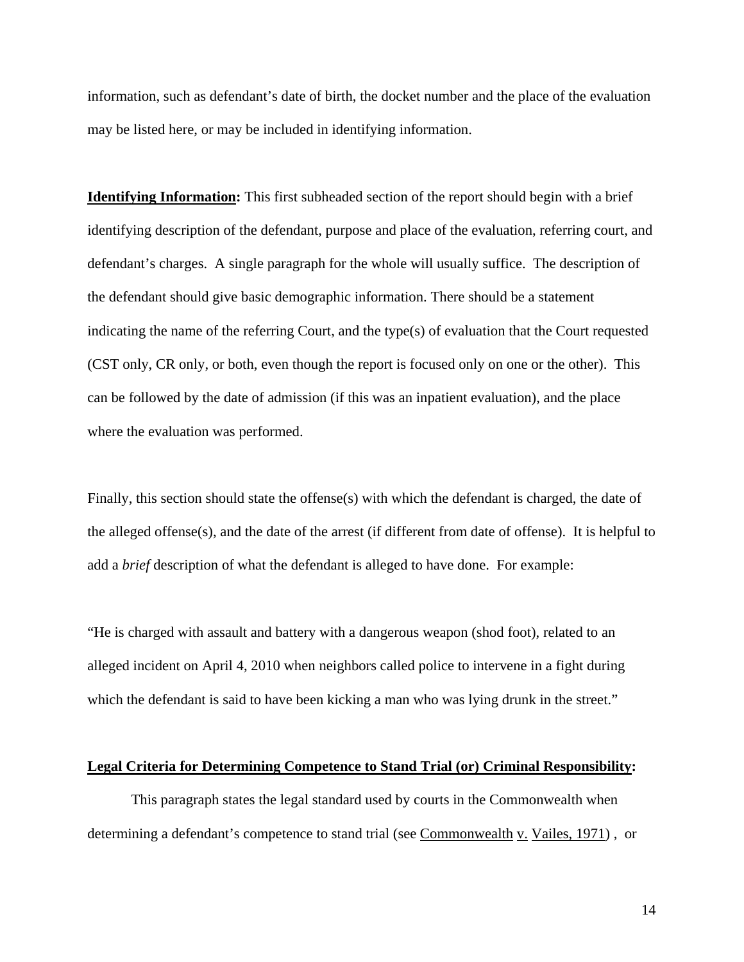information, such as defendant's date of birth, the docket number and the place of the evaluation may be listed here, or may be included in identifying information.

**Identifying Information:** This first subheaded section of the report should begin with a brief identifying description of the defendant, purpose and place of the evaluation, referring court, and defendant's charges. A single paragraph for the whole will usually suffice. The description of the defendant should give basic demographic information. There should be a statement indicating the name of the referring Court, and the type(s) of evaluation that the Court requested (CST only, CR only, or both, even though the report is focused only on one or the other). This can be followed by the date of admission (if this was an inpatient evaluation), and the place where the evaluation was performed.

Finally, this section should state the offense(s) with which the defendant is charged, the date of the alleged offense(s), and the date of the arrest (if different from date of offense). It is helpful to add a *brief* description of what the defendant is alleged to have done. For example:

"He is charged with assault and battery with a dangerous weapon (shod foot), related to an alleged incident on April 4, 2010 when neighbors called police to intervene in a fight during which the defendant is said to have been kicking a man who was lying drunk in the street."

#### **Legal Criteria for Determining Competence to Stand Trial (or) Criminal Responsibility:**

 This paragraph states the legal standard used by courts in the Commonwealth when determining a defendant's competence to stand trial (see Commonwealth v. Vailes, 1971) , or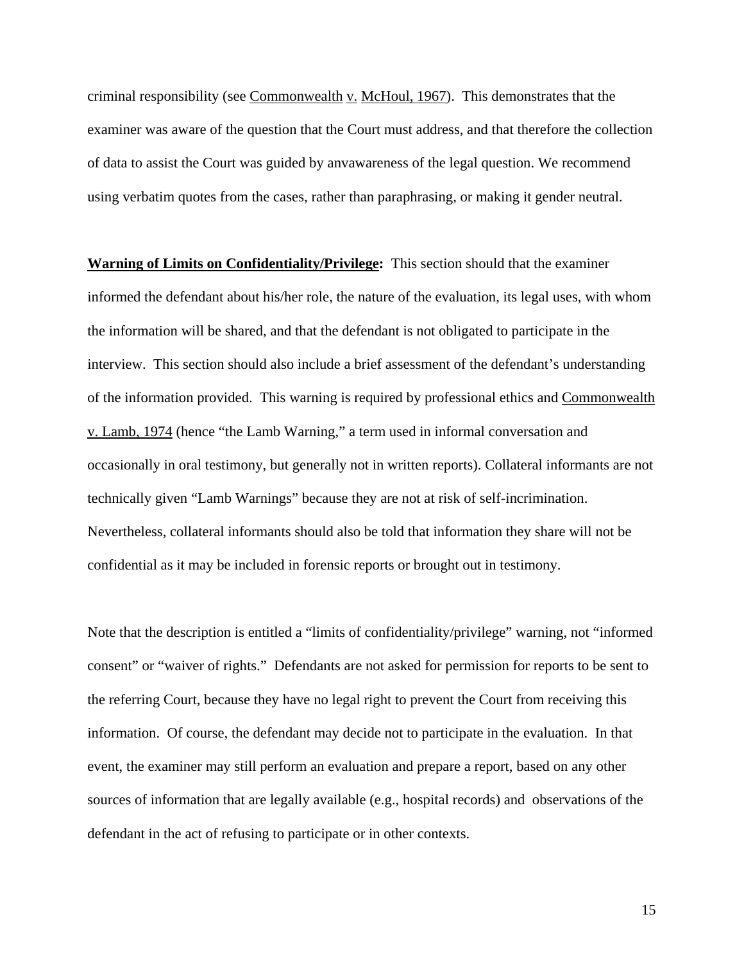criminal responsibility (see Commonwealth v. McHoul, 1967). This demonstrates that the examiner was aware of the question that the Court must address, and that therefore the collection of data to assist the Court was guided by anvawareness of the legal question. We recommend using verbatim quotes from the cases, rather than paraphrasing, or making it gender neutral.

**Warning of Limits on Confidentiality/Privilege:** This section should that the examiner informed the defendant about his/her role, the nature of the evaluation, its legal uses, with whom the information will be shared, and that the defendant is not obligated to participate in the interview. This section should also include a brief assessment of the defendant's understanding of the information provided. This warning is required by professional ethics and Commonwealth v. Lamb, 1974 (hence "the Lamb Warning," a term used in informal conversation and occasionally in oral testimony, but generally not in written reports). Collateral informants are not technically given "Lamb Warnings" because they are not at risk of self-incrimination. Nevertheless, collateral informants should also be told that information they share will not be confidential as it may be included in forensic reports or brought out in testimony.

Note that the description is entitled a "limits of confidentiality/privilege" warning, not "informed consent" or "waiver of rights." Defendants are not asked for permission for reports to be sent to the referring Court, because they have no legal right to prevent the Court from receiving this information. Of course, the defendant may decide not to participate in the evaluation. In that event, the examiner may still perform an evaluation and prepare a report, based on any other sources of information that are legally available (e.g., hospital records) and observations of the defendant in the act of refusing to participate or in other contexts.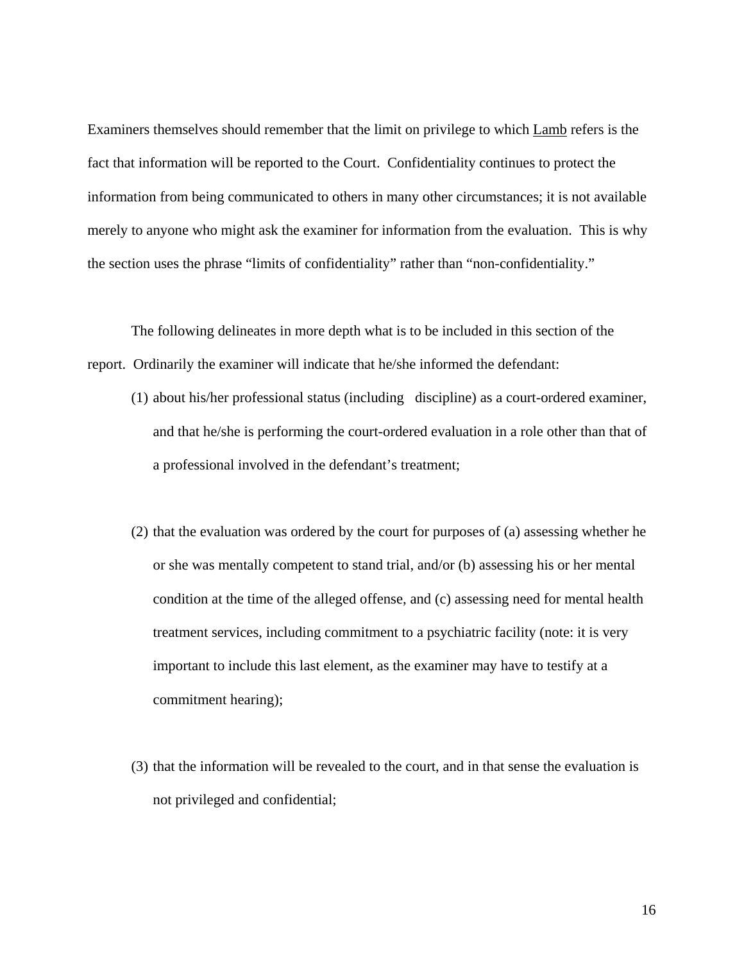Examiners themselves should remember that the limit on privilege to which Lamb refers is the fact that information will be reported to the Court. Confidentiality continues to protect the information from being communicated to others in many other circumstances; it is not available merely to anyone who might ask the examiner for information from the evaluation. This is why the section uses the phrase "limits of confidentiality" rather than "non-confidentiality."

 The following delineates in more depth what is to be included in this section of the report. Ordinarily the examiner will indicate that he/she informed the defendant:

- (1) about his/her professional status (including discipline) as a court-ordered examiner, and that he/she is performing the court-ordered evaluation in a role other than that of a professional involved in the defendant's treatment;
- (2) that the evaluation was ordered by the court for purposes of (a) assessing whether he or she was mentally competent to stand trial, and/or (b) assessing his or her mental condition at the time of the alleged offense, and (c) assessing need for mental health treatment services, including commitment to a psychiatric facility (note: it is very important to include this last element, as the examiner may have to testify at a commitment hearing);
- (3) that the information will be revealed to the court, and in that sense the evaluation is not privileged and confidential;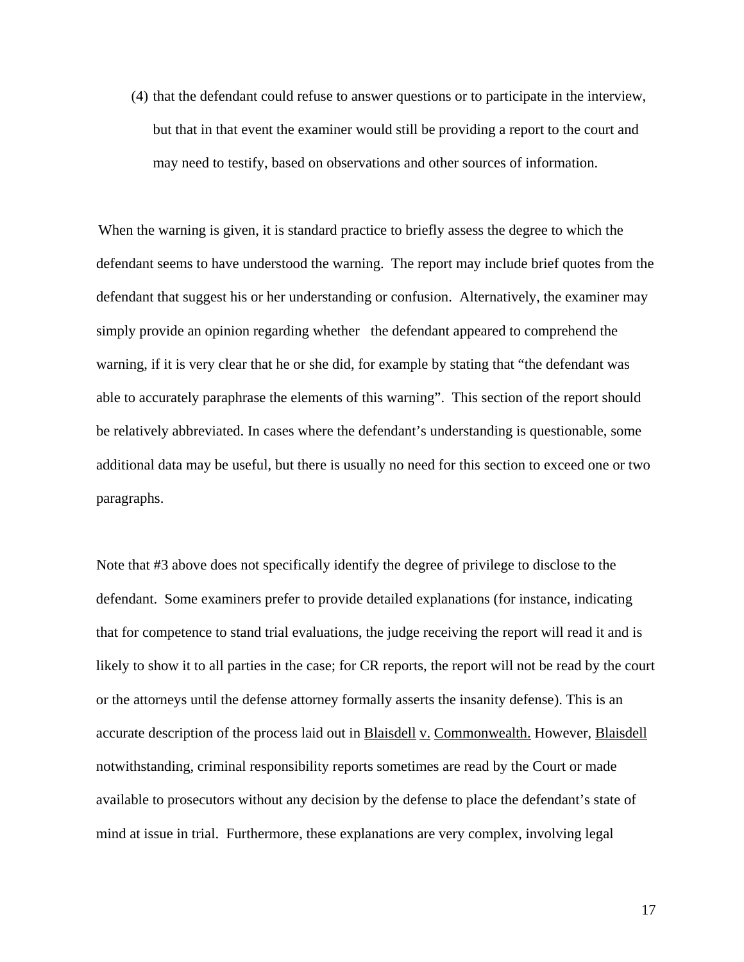(4) that the defendant could refuse to answer questions or to participate in the interview, but that in that event the examiner would still be providing a report to the court and may need to testify, based on observations and other sources of information.

When the warning is given, it is standard practice to briefly assess the degree to which the defendant seems to have understood the warning. The report may include brief quotes from the defendant that suggest his or her understanding or confusion. Alternatively, the examiner may simply provide an opinion regarding whether the defendant appeared to comprehend the warning, if it is very clear that he or she did, for example by stating that "the defendant was able to accurately paraphrase the elements of this warning". This section of the report should be relatively abbreviated. In cases where the defendant's understanding is questionable, some additional data may be useful, but there is usually no need for this section to exceed one or two paragraphs.

Note that #3 above does not specifically identify the degree of privilege to disclose to the defendant. Some examiners prefer to provide detailed explanations (for instance, indicating that for competence to stand trial evaluations, the judge receiving the report will read it and is likely to show it to all parties in the case; for CR reports, the report will not be read by the court or the attorneys until the defense attorney formally asserts the insanity defense). This is an accurate description of the process laid out in Blaisdell v. Commonwealth. However, Blaisdell notwithstanding, criminal responsibility reports sometimes are read by the Court or made available to prosecutors without any decision by the defense to place the defendant's state of mind at issue in trial. Furthermore, these explanations are very complex, involving legal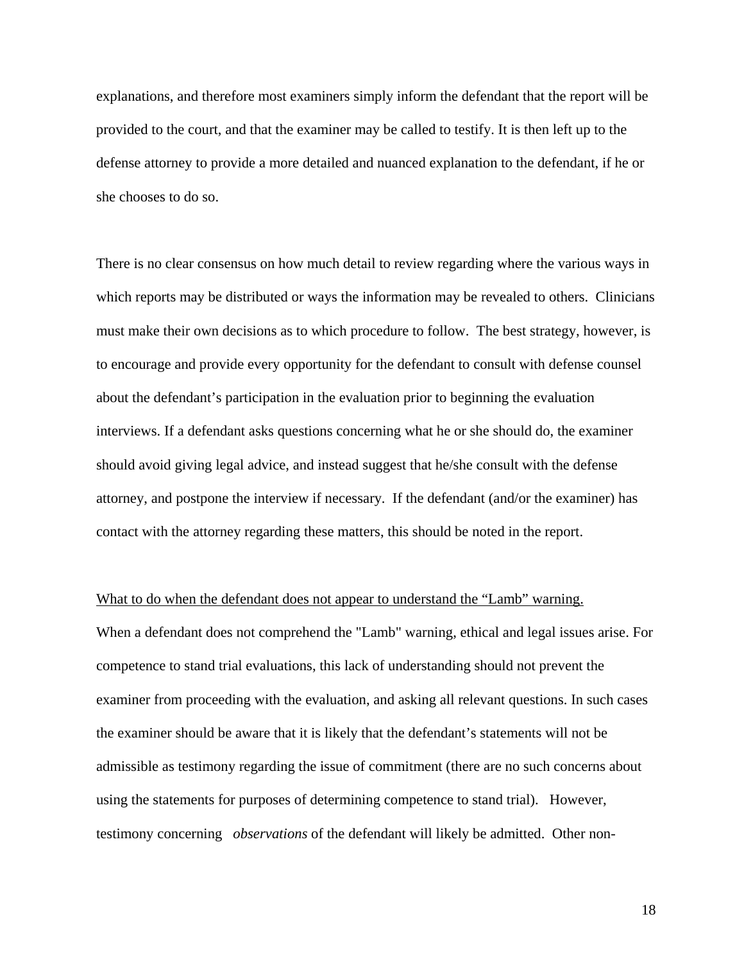explanations, and therefore most examiners simply inform the defendant that the report will be provided to the court, and that the examiner may be called to testify. It is then left up to the defense attorney to provide a more detailed and nuanced explanation to the defendant, if he or she chooses to do so.

There is no clear consensus on how much detail to review regarding where the various ways in which reports may be distributed or ways the information may be revealed to others. Clinicians must make their own decisions as to which procedure to follow. The best strategy, however, is to encourage and provide every opportunity for the defendant to consult with defense counsel about the defendant's participation in the evaluation prior to beginning the evaluation interviews. If a defendant asks questions concerning what he or she should do, the examiner should avoid giving legal advice, and instead suggest that he/she consult with the defense attorney, and postpone the interview if necessary. If the defendant (and/or the examiner) has contact with the attorney regarding these matters, this should be noted in the report.

#### What to do when the defendant does not appear to understand the "Lamb" warning.

When a defendant does not comprehend the "Lamb" warning, ethical and legal issues arise. For competence to stand trial evaluations, this lack of understanding should not prevent the examiner from proceeding with the evaluation, and asking all relevant questions. In such cases the examiner should be aware that it is likely that the defendant's statements will not be admissible as testimony regarding the issue of commitment (there are no such concerns about using the statements for purposes of determining competence to stand trial). However, testimony concerning *observations* of the defendant will likely be admitted. Other non-

18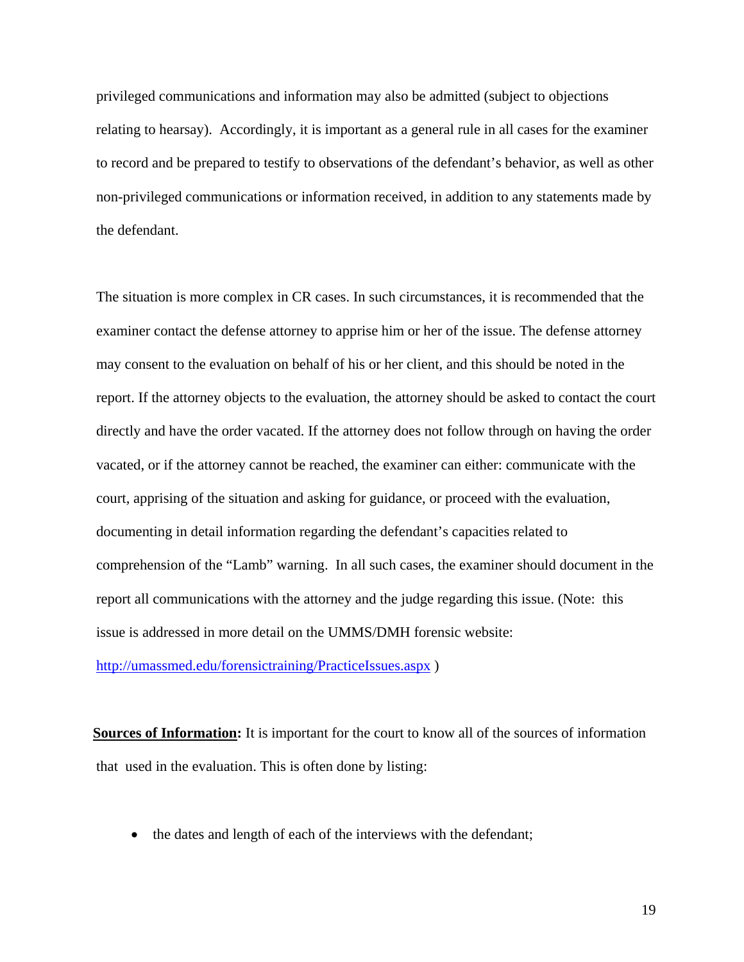privileged communications and information may also be admitted (subject to objections relating to hearsay). Accordingly, it is important as a general rule in all cases for the examiner to record and be prepared to testify to observations of the defendant's behavior, as well as other non-privileged communications or information received, in addition to any statements made by the defendant.

The situation is more complex in CR cases. In such circumstances, it is recommended that the examiner contact the defense attorney to apprise him or her of the issue. The defense attorney may consent to the evaluation on behalf of his or her client, and this should be noted in the report. If the attorney objects to the evaluation, the attorney should be asked to contact the court directly and have the order vacated. If the attorney does not follow through on having the order vacated, or if the attorney cannot be reached, the examiner can either: communicate with the court, apprising of the situation and asking for guidance, or proceed with the evaluation, documenting in detail information regarding the defendant's capacities related to comprehension of the "Lamb" warning. In all such cases, the examiner should document in the report all communications with the attorney and the judge regarding this issue. (Note: this issue is addressed in more detail on the UMMS/DMH forensic website:

<http://umassmed.edu/forensictraining/PracticeIssues.aspx>)

**Sources of Information:** It is important for the court to know all of the sources of information that used in the evaluation. This is often done by listing:

• the dates and length of each of the interviews with the defendant;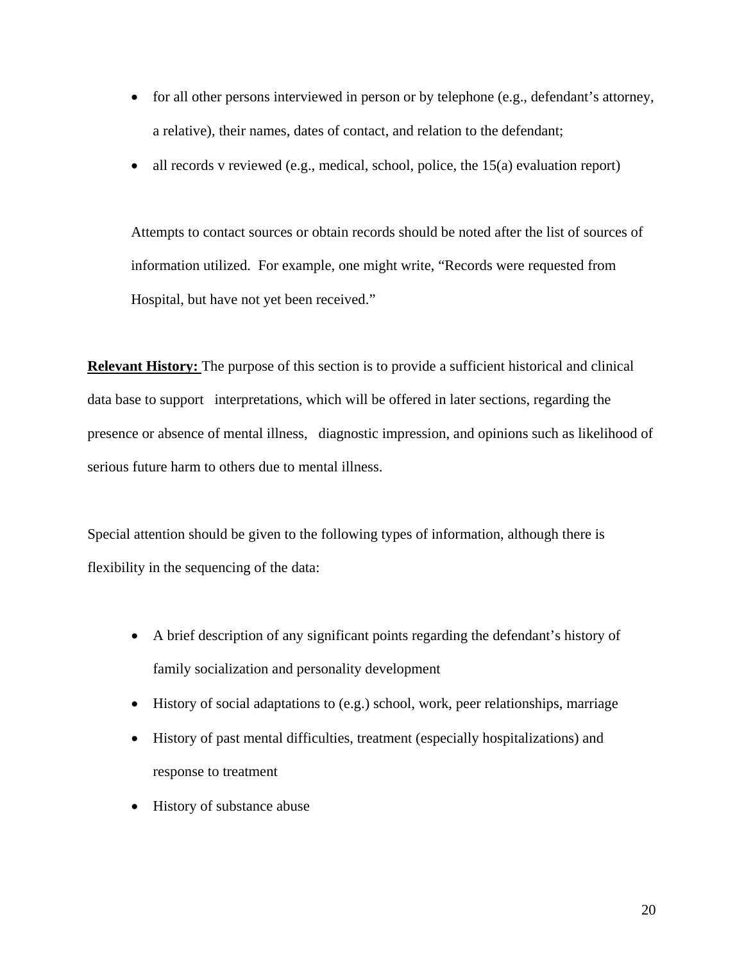- for all other persons interviewed in person or by telephone (e.g., defendant's attorney, a relative), their names, dates of contact, and relation to the defendant;
- all records v reviewed (e.g., medical, school, police, the  $15(a)$  evaluation report)

Attempts to contact sources or obtain records should be noted after the list of sources of information utilized. For example, one might write, "Records were requested from Hospital, but have not yet been received."

**Relevant History:** The purpose of this section is to provide a sufficient historical and clinical data base to support interpretations, which will be offered in later sections, regarding the presence or absence of mental illness, diagnostic impression, and opinions such as likelihood of serious future harm to others due to mental illness.

Special attention should be given to the following types of information, although there is flexibility in the sequencing of the data:

- A brief description of any significant points regarding the defendant's history of family socialization and personality development
- History of social adaptations to (e.g.) school, work, peer relationships, marriage
- History of past mental difficulties, treatment (especially hospitalizations) and response to treatment
- History of substance abuse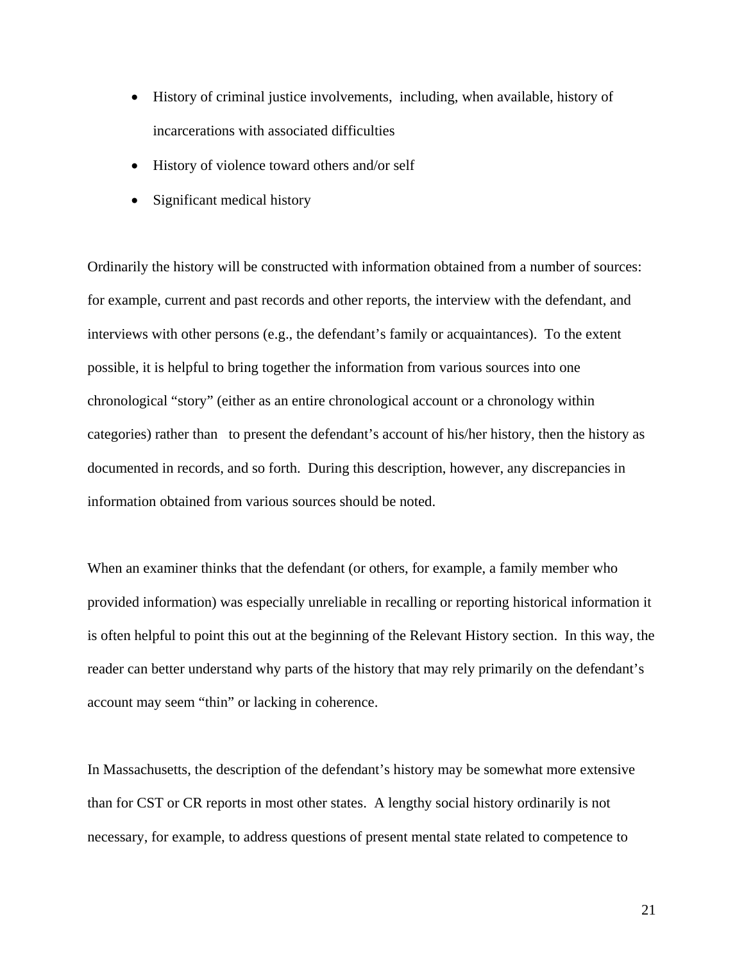- History of criminal justice involvements, including, when available, history of incarcerations with associated difficulties
- History of violence toward others and/or self
- Significant medical history

Ordinarily the history will be constructed with information obtained from a number of sources: for example, current and past records and other reports, the interview with the defendant, and interviews with other persons (e.g., the defendant's family or acquaintances). To the extent possible, it is helpful to bring together the information from various sources into one chronological "story" (either as an entire chronological account or a chronology within categories) rather than to present the defendant's account of his/her history, then the history as documented in records, and so forth. During this description, however, any discrepancies in information obtained from various sources should be noted.

When an examiner thinks that the defendant (or others, for example, a family member who provided information) was especially unreliable in recalling or reporting historical information it is often helpful to point this out at the beginning of the Relevant History section. In this way, the reader can better understand why parts of the history that may rely primarily on the defendant's account may seem "thin" or lacking in coherence.

In Massachusetts, the description of the defendant's history may be somewhat more extensive than for CST or CR reports in most other states. A lengthy social history ordinarily is not necessary, for example, to address questions of present mental state related to competence to

21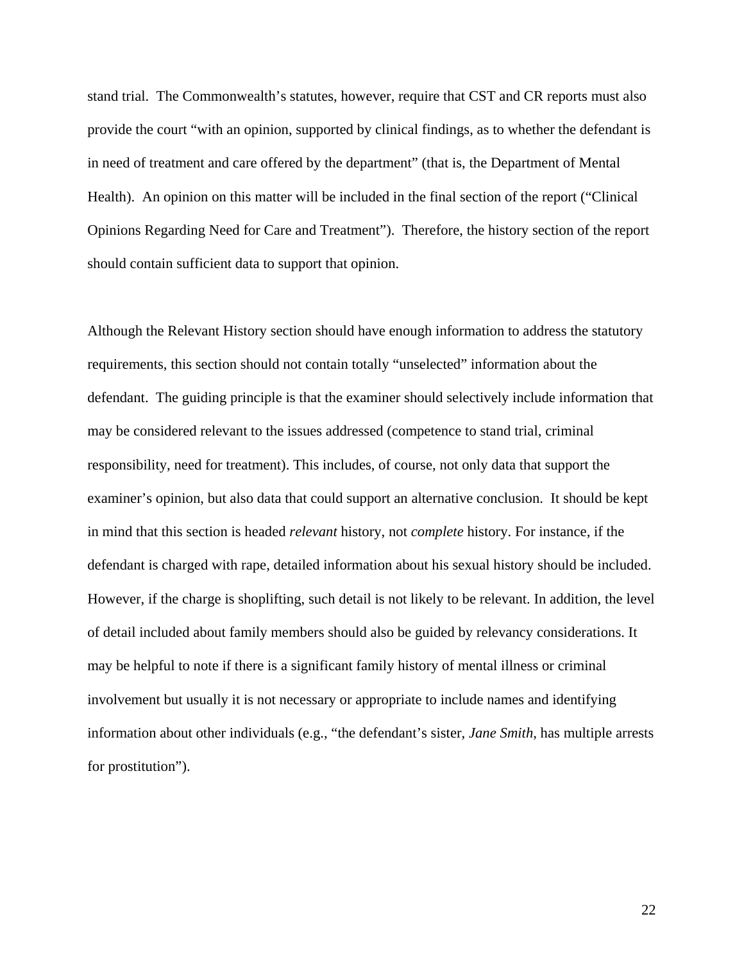stand trial. The Commonwealth's statutes, however, require that CST and CR reports must also provide the court "with an opinion, supported by clinical findings, as to whether the defendant is in need of treatment and care offered by the department" (that is, the Department of Mental Health). An opinion on this matter will be included in the final section of the report ("Clinical Opinions Regarding Need for Care and Treatment"). Therefore, the history section of the report should contain sufficient data to support that opinion.

Although the Relevant History section should have enough information to address the statutory requirements, this section should not contain totally "unselected" information about the defendant. The guiding principle is that the examiner should selectively include information that may be considered relevant to the issues addressed (competence to stand trial, criminal responsibility, need for treatment). This includes, of course, not only data that support the examiner's opinion, but also data that could support an alternative conclusion. It should be kept in mind that this section is headed *relevant* history, not *complete* history. For instance, if the defendant is charged with rape, detailed information about his sexual history should be included. However, if the charge is shoplifting, such detail is not likely to be relevant. In addition, the level of detail included about family members should also be guided by relevancy considerations. It may be helpful to note if there is a significant family history of mental illness or criminal involvement but usually it is not necessary or appropriate to include names and identifying information about other individuals (e.g., "the defendant's sister, *Jane Smith*, has multiple arrests for prostitution").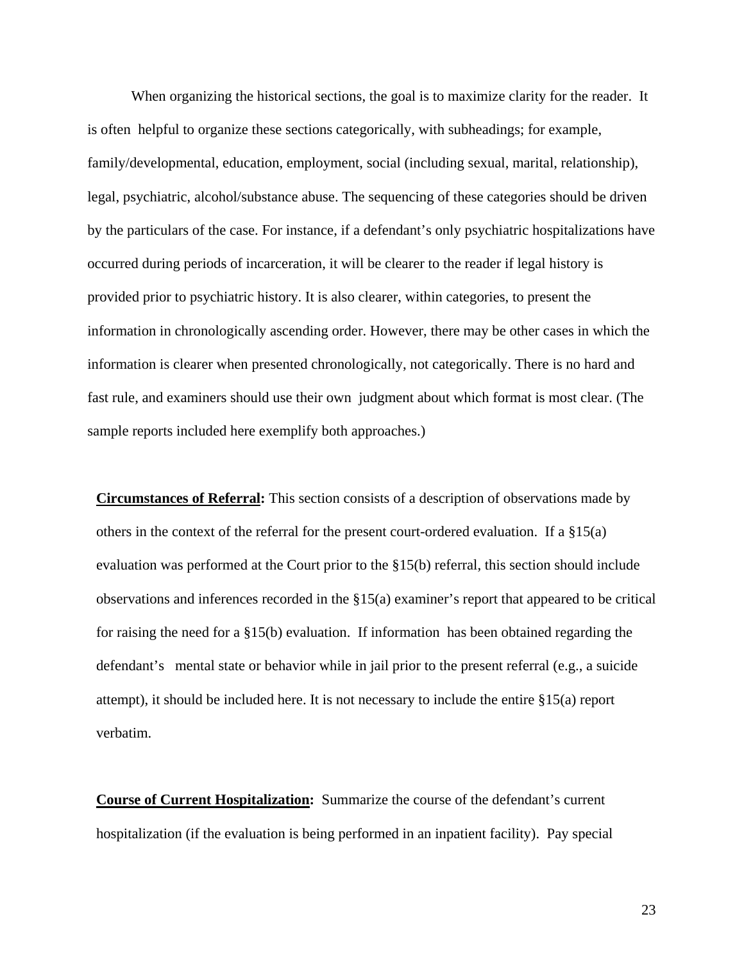When organizing the historical sections, the goal is to maximize clarity for the reader. It is often helpful to organize these sections categorically, with subheadings; for example, family/developmental, education, employment, social (including sexual, marital, relationship), legal, psychiatric, alcohol/substance abuse. The sequencing of these categories should be driven by the particulars of the case. For instance, if a defendant's only psychiatric hospitalizations have occurred during periods of incarceration, it will be clearer to the reader if legal history is provided prior to psychiatric history. It is also clearer, within categories, to present the information in chronologically ascending order. However, there may be other cases in which the information is clearer when presented chronologically, not categorically. There is no hard and fast rule, and examiners should use their own judgment about which format is most clear. (The sample reports included here exemplify both approaches.)

**Circumstances of Referral:** This section consists of a description of observations made by others in the context of the referral for the present court-ordered evaluation. If a §15(a) evaluation was performed at the Court prior to the §15(b) referral, this section should include observations and inferences recorded in the §15(a) examiner's report that appeared to be critical for raising the need for a §15(b) evaluation. If information has been obtained regarding the defendant's mental state or behavior while in jail prior to the present referral (e.g., a suicide attempt), it should be included here. It is not necessary to include the entire  $\S 15(a)$  report verbatim.

**Course of Current Hospitalization:** Summarize the course of the defendant's current hospitalization (if the evaluation is being performed in an inpatient facility). Pay special

23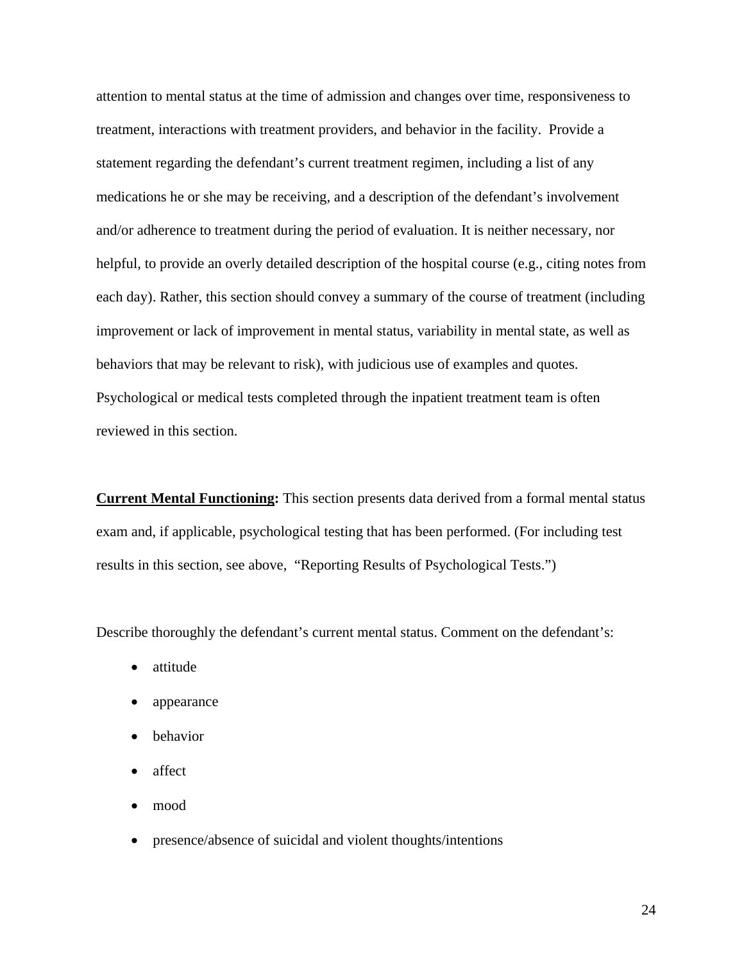attention to mental status at the time of admission and changes over time, responsiveness to treatment, interactions with treatment providers, and behavior in the facility. Provide a statement regarding the defendant's current treatment regimen, including a list of any medications he or she may be receiving, and a description of the defendant's involvement and/or adherence to treatment during the period of evaluation. It is neither necessary, nor helpful, to provide an overly detailed description of the hospital course (e.g., citing notes from each day). Rather, this section should convey a summary of the course of treatment (including improvement or lack of improvement in mental status, variability in mental state, as well as behaviors that may be relevant to risk), with judicious use of examples and quotes. Psychological or medical tests completed through the inpatient treatment team is often reviewed in this section.

**Current Mental Functioning:** This section presents data derived from a formal mental status exam and, if applicable, psychological testing that has been performed. (For including test results in this section, see above, "Reporting Results of Psychological Tests.")

Describe thoroughly the defendant's current mental status. Comment on the defendant's:

- attitude
- appearance
- behavior
- affect
- mood
- presence/absence of suicidal and violent thoughts/intentions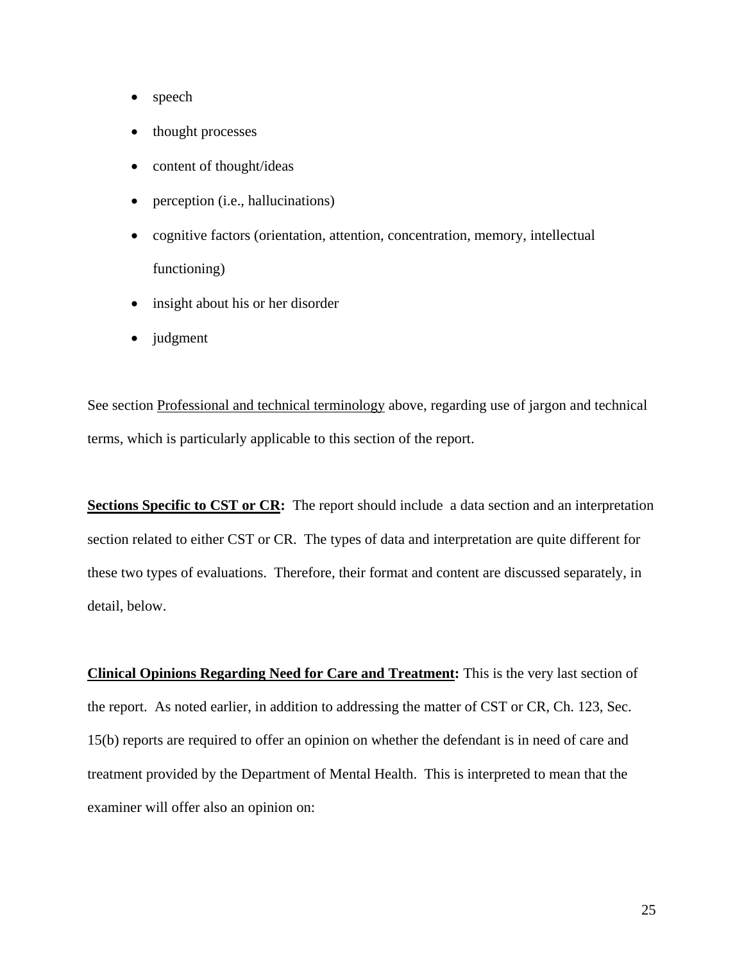- speech
- thought processes
- content of thought/ideas
- perception (i.e., hallucinations)
- cognitive factors (orientation, attention, concentration, memory, intellectual functioning)
- insight about his or her disorder
- judgment

See section Professional and technical terminology above, regarding use of jargon and technical terms, which is particularly applicable to this section of the report.

**Sections Specific to CST or CR:** The report should include a data section and an interpretation section related to either CST or CR. The types of data and interpretation are quite different for these two types of evaluations. Therefore, their format and content are discussed separately, in detail, below.

**Clinical Opinions Regarding Need for Care and Treatment:** This is the very last section of the report. As noted earlier, in addition to addressing the matter of CST or CR, Ch. 123, Sec. 15(b) reports are required to offer an opinion on whether the defendant is in need of care and treatment provided by the Department of Mental Health. This is interpreted to mean that the examiner will offer also an opinion on: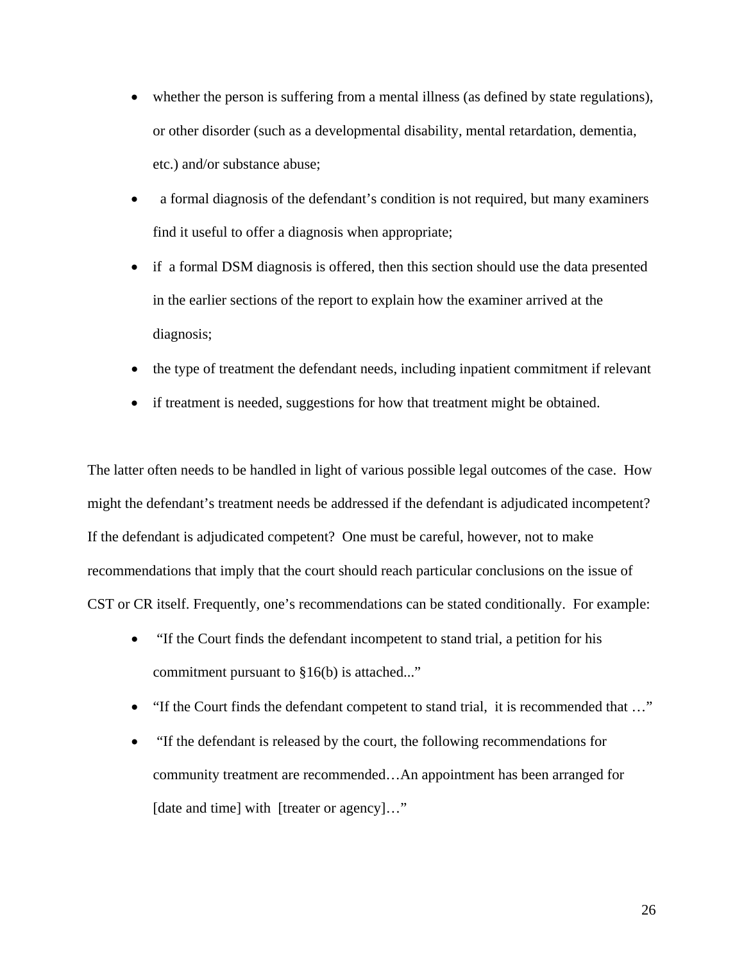- whether the person is suffering from a mental illness (as defined by state regulations), or other disorder (such as a developmental disability, mental retardation, dementia, etc.) and/or substance abuse;
- a formal diagnosis of the defendant's condition is not required, but many examiners find it useful to offer a diagnosis when appropriate;
- if a formal DSM diagnosis is offered, then this section should use the data presented in the earlier sections of the report to explain how the examiner arrived at the diagnosis;
- the type of treatment the defendant needs, including inpatient commitment if relevant
- if treatment is needed, suggestions for how that treatment might be obtained.

The latter often needs to be handled in light of various possible legal outcomes of the case. How might the defendant's treatment needs be addressed if the defendant is adjudicated incompetent? If the defendant is adjudicated competent? One must be careful, however, not to make recommendations that imply that the court should reach particular conclusions on the issue of CST or CR itself. Frequently, one's recommendations can be stated conditionally. For example:

- "If the Court finds the defendant incompetent to stand trial, a petition for his commitment pursuant to §16(b) is attached..."
- "If the Court finds the defendant competent to stand trial, it is recommended that ..."
- "If the defendant is released by the court, the following recommendations for community treatment are recommended…An appointment has been arranged for [date and time] with [treater or agency]..."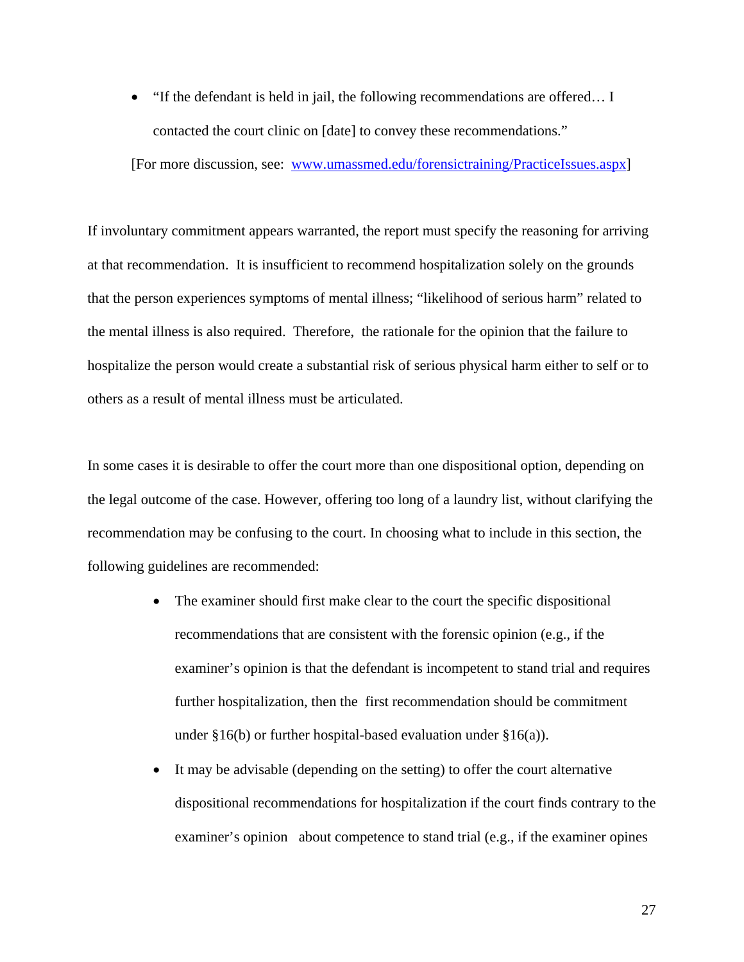"If the defendant is held in jail, the following recommendations are offered… I contacted the court clinic on [date] to convey these recommendations."

[For more discussion, see: [www.umassmed.edu/forensictraining/PracticeIssues.aspx\]](http://www.umassmed.edu/forensictraining/PracticeIssues.aspx)

If involuntary commitment appears warranted, the report must specify the reasoning for arriving at that recommendation. It is insufficient to recommend hospitalization solely on the grounds that the person experiences symptoms of mental illness; "likelihood of serious harm" related to the mental illness is also required. Therefore, the rationale for the opinion that the failure to hospitalize the person would create a substantial risk of serious physical harm either to self or to others as a result of mental illness must be articulated.

In some cases it is desirable to offer the court more than one dispositional option, depending on the legal outcome of the case. However, offering too long of a laundry list, without clarifying the recommendation may be confusing to the court. In choosing what to include in this section, the following guidelines are recommended:

- The examiner should first make clear to the court the specific dispositional recommendations that are consistent with the forensic opinion (e.g., if the examiner's opinion is that the defendant is incompetent to stand trial and requires further hospitalization, then the first recommendation should be commitment under §16(b) or further hospital-based evaluation under §16(a)).
- It may be advisable (depending on the setting) to offer the court alternative dispositional recommendations for hospitalization if the court finds contrary to the examiner's opinion about competence to stand trial (e.g., if the examiner opines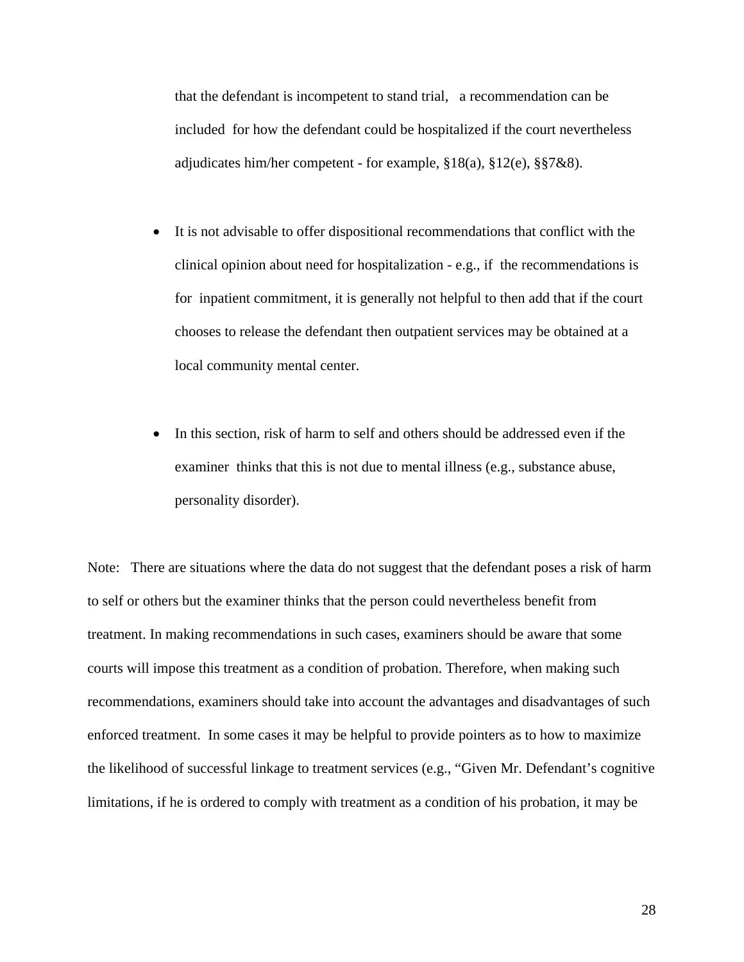that the defendant is incompetent to stand trial, a recommendation can be included for how the defendant could be hospitalized if the court nevertheless adjudicates him/her competent - for example, §18(a), §12(e), §§7&8).

- It is not advisable to offer dispositional recommendations that conflict with the clinical opinion about need for hospitalization - e.g., if the recommendations is for inpatient commitment, it is generally not helpful to then add that if the court chooses to release the defendant then outpatient services may be obtained at a local community mental center.
- In this section, risk of harm to self and others should be addressed even if the examiner thinks that this is not due to mental illness (e.g., substance abuse, personality disorder).

Note: There are situations where the data do not suggest that the defendant poses a risk of harm to self or others but the examiner thinks that the person could nevertheless benefit from treatment. In making recommendations in such cases, examiners should be aware that some courts will impose this treatment as a condition of probation. Therefore, when making such recommendations, examiners should take into account the advantages and disadvantages of such enforced treatment. In some cases it may be helpful to provide pointers as to how to maximize the likelihood of successful linkage to treatment services (e.g., "Given Mr. Defendant's cognitive limitations, if he is ordered to comply with treatment as a condition of his probation, it may be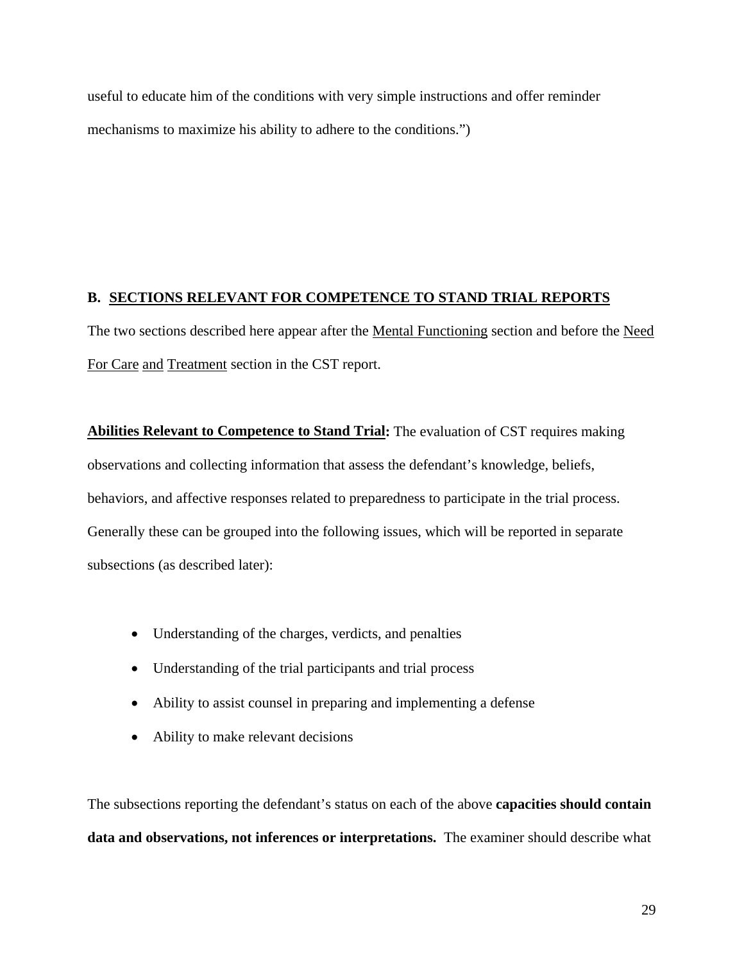useful to educate him of the conditions with very simple instructions and offer reminder mechanisms to maximize his ability to adhere to the conditions.")

#### **B. SECTIONS RELEVANT FOR COMPETENCE TO STAND TRIAL REPORTS**

The two sections described here appear after the Mental Functioning section and before the Need For Care and Treatment section in the CST report.

**Abilities Relevant to Competence to Stand Trial:** The evaluation of CST requires making observations and collecting information that assess the defendant's knowledge, beliefs, behaviors, and affective responses related to preparedness to participate in the trial process. Generally these can be grouped into the following issues, which will be reported in separate subsections (as described later):

- Understanding of the charges, verdicts, and penalties
- Understanding of the trial participants and trial process
- Ability to assist counsel in preparing and implementing a defense
- Ability to make relevant decisions

The subsections reporting the defendant's status on each of the above **capacities should contain data and observations, not inferences or interpretations.** The examiner should describe what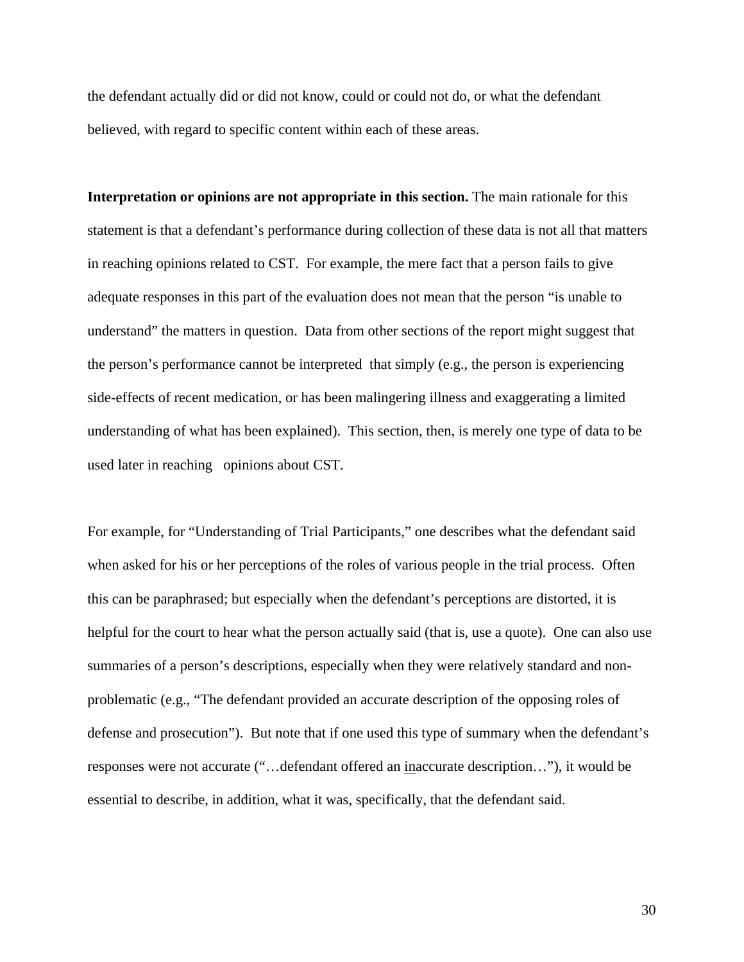the defendant actually did or did not know, could or could not do, or what the defendant believed, with regard to specific content within each of these areas.

**Interpretation or opinions are not appropriate in this section.** The main rationale for this statement is that a defendant's performance during collection of these data is not all that matters in reaching opinions related to CST. For example, the mere fact that a person fails to give adequate responses in this part of the evaluation does not mean that the person "is unable to understand" the matters in question. Data from other sections of the report might suggest that the person's performance cannot be interpreted that simply (e.g., the person is experiencing side-effects of recent medication, or has been malingering illness and exaggerating a limited understanding of what has been explained). This section, then, is merely one type of data to be used later in reaching opinions about CST.

For example, for "Understanding of Trial Participants," one describes what the defendant said when asked for his or her perceptions of the roles of various people in the trial process. Often this can be paraphrased; but especially when the defendant's perceptions are distorted, it is helpful for the court to hear what the person actually said (that is, use a quote). One can also use summaries of a person's descriptions, especially when they were relatively standard and nonproblematic (e.g., "The defendant provided an accurate description of the opposing roles of defense and prosecution"). But note that if one used this type of summary when the defendant's responses were not accurate ("…defendant offered an inaccurate description…"), it would be essential to describe, in addition, what it was, specifically, that the defendant said.

30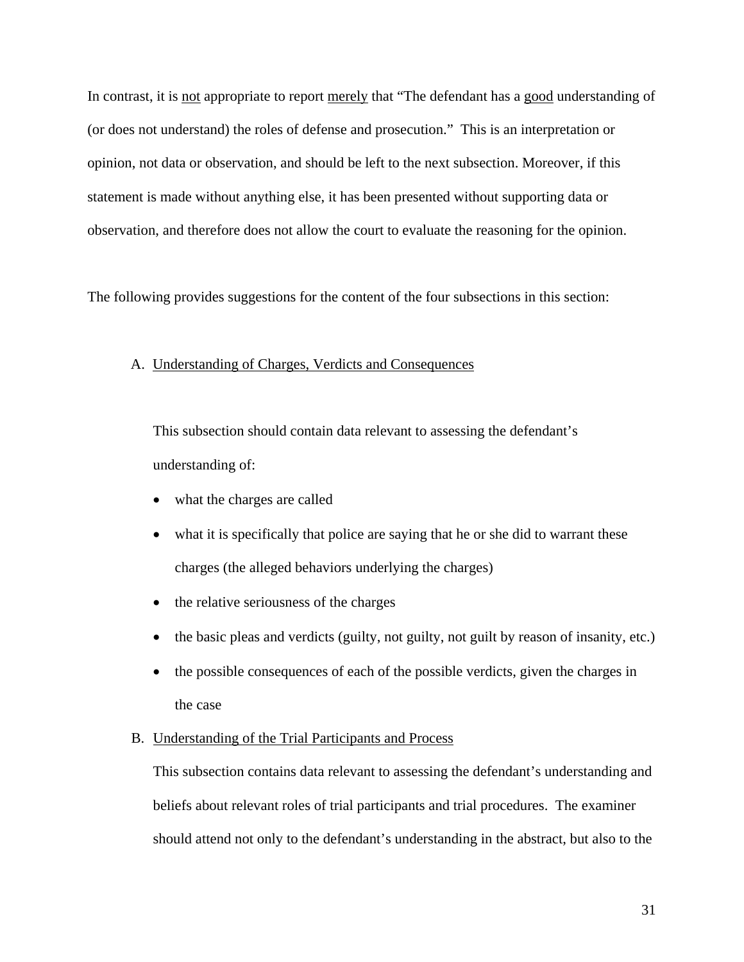In contrast, it is not appropriate to report merely that "The defendant has a good understanding of (or does not understand) the roles of defense and prosecution." This is an interpretation or opinion, not data or observation, and should be left to the next subsection. Moreover, if this statement is made without anything else, it has been presented without supporting data or observation, and therefore does not allow the court to evaluate the reasoning for the opinion.

The following provides suggestions for the content of the four subsections in this section:

#### A. Understanding of Charges, Verdicts and Consequences

This subsection should contain data relevant to assessing the defendant's understanding of:

- what the charges are called
- what it is specifically that police are saying that he or she did to warrant these charges (the alleged behaviors underlying the charges)
- the relative seriousness of the charges
- the basic pleas and verdicts (guilty, not guilty, not guilt by reason of insanity, etc.)
- the possible consequences of each of the possible verdicts, given the charges in the case

#### B. Understanding of the Trial Participants and Process

This subsection contains data relevant to assessing the defendant's understanding and beliefs about relevant roles of trial participants and trial procedures. The examiner should attend not only to the defendant's understanding in the abstract, but also to the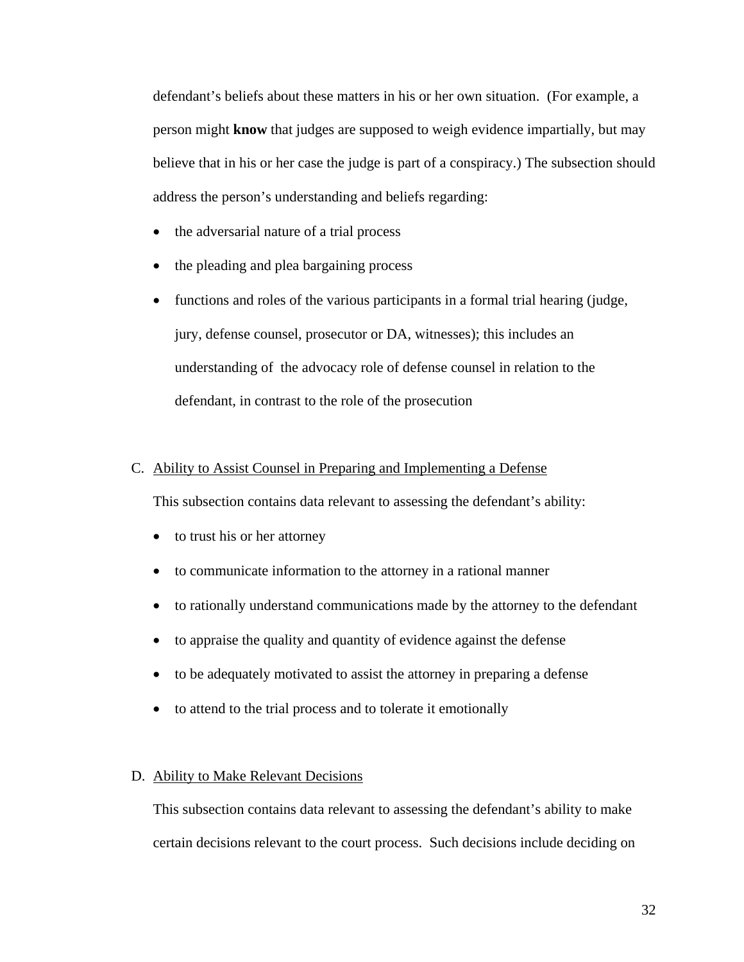defendant's beliefs about these matters in his or her own situation. (For example, a person might **know** that judges are supposed to weigh evidence impartially, but may believe that in his or her case the judge is part of a conspiracy.) The subsection should address the person's understanding and beliefs regarding:

- the adversarial nature of a trial process
- the pleading and plea bargaining process
- functions and roles of the various participants in a formal trial hearing (judge, jury, defense counsel, prosecutor or DA, witnesses); this includes an understanding of the advocacy role of defense counsel in relation to the defendant, in contrast to the role of the prosecution

#### C. Ability to Assist Counsel in Preparing and Implementing a Defense

This subsection contains data relevant to assessing the defendant's ability:

- to trust his or her attorney
- to communicate information to the attorney in a rational manner
- to rationally understand communications made by the attorney to the defendant
- to appraise the quality and quantity of evidence against the defense
- to be adequately motivated to assist the attorney in preparing a defense
- to attend to the trial process and to tolerate it emotionally

#### D. Ability to Make Relevant Decisions

This subsection contains data relevant to assessing the defendant's ability to make certain decisions relevant to the court process. Such decisions include deciding on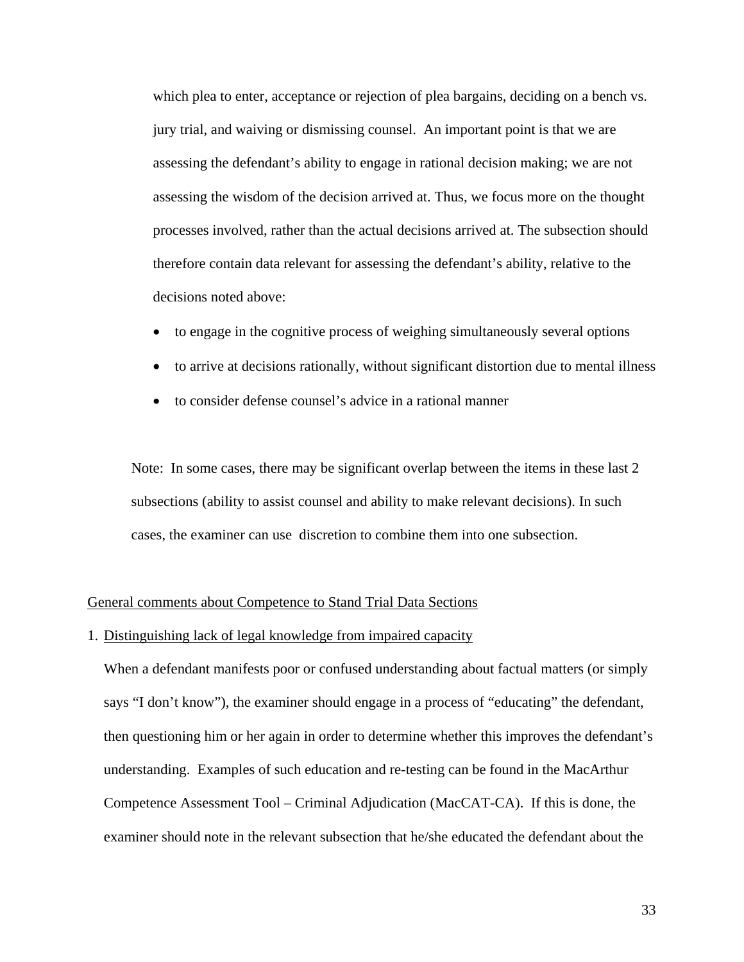which plea to enter, acceptance or rejection of plea bargains, deciding on a bench vs. jury trial, and waiving or dismissing counsel. An important point is that we are assessing the defendant's ability to engage in rational decision making; we are not assessing the wisdom of the decision arrived at. Thus, we focus more on the thought processes involved, rather than the actual decisions arrived at. The subsection should therefore contain data relevant for assessing the defendant's ability, relative to the decisions noted above:

- to engage in the cognitive process of weighing simultaneously several options
- to arrive at decisions rationally, without significant distortion due to mental illness
- to consider defense counsel's advice in a rational manner

Note: In some cases, there may be significant overlap between the items in these last 2 subsections (ability to assist counsel and ability to make relevant decisions). In such cases, the examiner can use discretion to combine them into one subsection.

#### General comments about Competence to Stand Trial Data Sections

1. Distinguishing lack of legal knowledge from impaired capacity

When a defendant manifests poor or confused understanding about factual matters (or simply says "I don't know"), the examiner should engage in a process of "educating" the defendant, then questioning him or her again in order to determine whether this improves the defendant's understanding. Examples of such education and re-testing can be found in the MacArthur Competence Assessment Tool – Criminal Adjudication (MacCAT-CA). If this is done, the examiner should note in the relevant subsection that he/she educated the defendant about the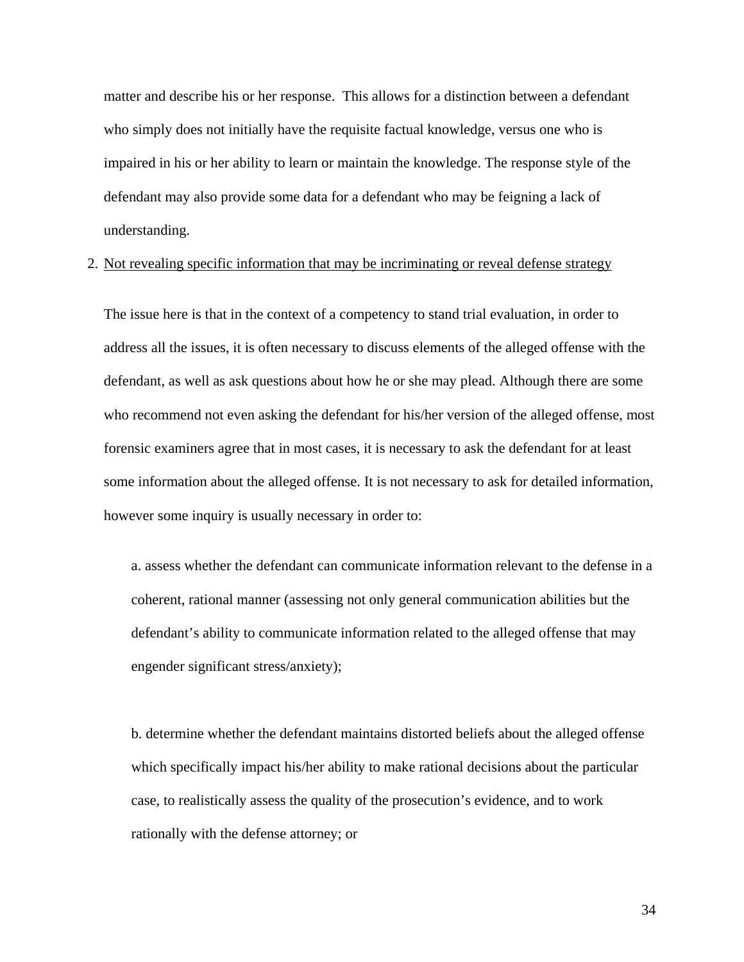matter and describe his or her response. This allows for a distinction between a defendant who simply does not initially have the requisite factual knowledge, versus one who is impaired in his or her ability to learn or maintain the knowledge. The response style of the defendant may also provide some data for a defendant who may be feigning a lack of understanding.

#### 2. Not revealing specific information that may be incriminating or reveal defense strategy

The issue here is that in the context of a competency to stand trial evaluation, in order to address all the issues, it is often necessary to discuss elements of the alleged offense with the defendant, as well as ask questions about how he or she may plead. Although there are some who recommend not even asking the defendant for his/her version of the alleged offense, most forensic examiners agree that in most cases, it is necessary to ask the defendant for at least some information about the alleged offense. It is not necessary to ask for detailed information, however some inquiry is usually necessary in order to:

a. assess whether the defendant can communicate information relevant to the defense in a coherent, rational manner (assessing not only general communication abilities but the defendant's ability to communicate information related to the alleged offense that may engender significant stress/anxiety);

b. determine whether the defendant maintains distorted beliefs about the alleged offense which specifically impact his/her ability to make rational decisions about the particular case, to realistically assess the quality of the prosecution's evidence, and to work rationally with the defense attorney; or

34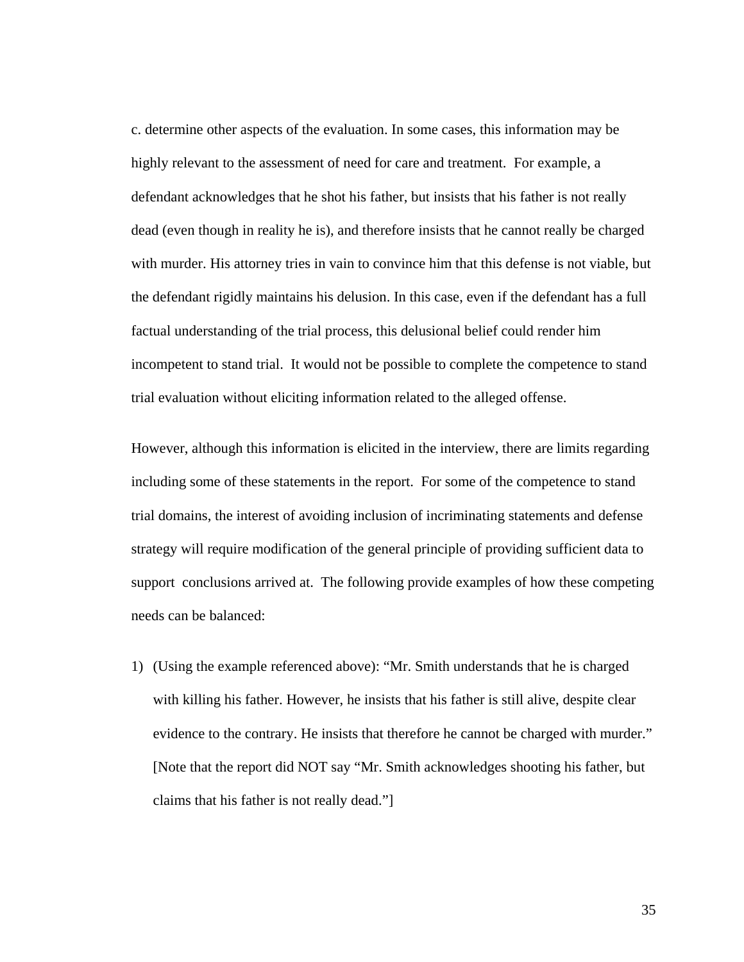c. determine other aspects of the evaluation. In some cases, this information may be highly relevant to the assessment of need for care and treatment. For example, a defendant acknowledges that he shot his father, but insists that his father is not really dead (even though in reality he is), and therefore insists that he cannot really be charged with murder. His attorney tries in vain to convince him that this defense is not viable, but the defendant rigidly maintains his delusion. In this case, even if the defendant has a full factual understanding of the trial process, this delusional belief could render him incompetent to stand trial. It would not be possible to complete the competence to stand trial evaluation without eliciting information related to the alleged offense.

However, although this information is elicited in the interview, there are limits regarding including some of these statements in the report. For some of the competence to stand trial domains, the interest of avoiding inclusion of incriminating statements and defense strategy will require modification of the general principle of providing sufficient data to support conclusions arrived at. The following provide examples of how these competing needs can be balanced:

1) (Using the example referenced above): "Mr. Smith understands that he is charged with killing his father. However, he insists that his father is still alive, despite clear evidence to the contrary. He insists that therefore he cannot be charged with murder." [Note that the report did NOT say "Mr. Smith acknowledges shooting his father, but claims that his father is not really dead."]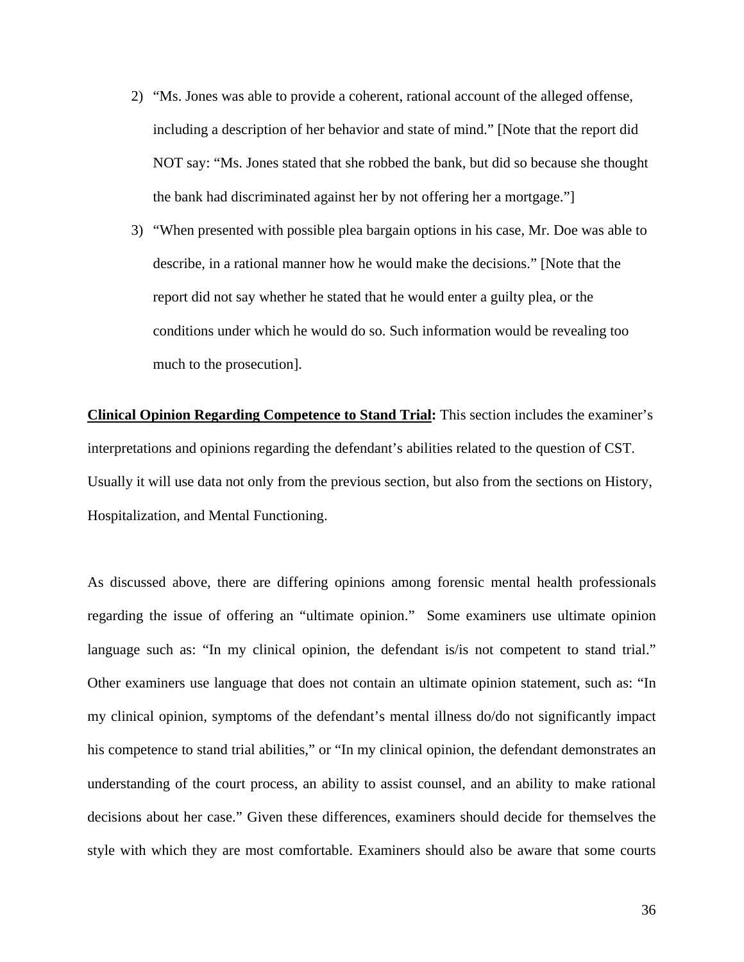- 2) "Ms. Jones was able to provide a coherent, rational account of the alleged offense, including a description of her behavior and state of mind." [Note that the report did NOT say: "Ms. Jones stated that she robbed the bank, but did so because she thought the bank had discriminated against her by not offering her a mortgage."]
- 3) "When presented with possible plea bargain options in his case, Mr. Doe was able to describe, in a rational manner how he would make the decisions." [Note that the report did not say whether he stated that he would enter a guilty plea, or the conditions under which he would do so. Such information would be revealing too much to the prosecution].

**Clinical Opinion Regarding Competence to Stand Trial:** This section includes the examiner's interpretations and opinions regarding the defendant's abilities related to the question of CST. Usually it will use data not only from the previous section, but also from the sections on History, Hospitalization, and Mental Functioning.

As discussed above, there are differing opinions among forensic mental health professionals regarding the issue of offering an "ultimate opinion." Some examiners use ultimate opinion language such as: "In my clinical opinion, the defendant is/is not competent to stand trial." Other examiners use language that does not contain an ultimate opinion statement, such as: "In my clinical opinion, symptoms of the defendant's mental illness do/do not significantly impact his competence to stand trial abilities," or "In my clinical opinion, the defendant demonstrates an understanding of the court process, an ability to assist counsel, and an ability to make rational decisions about her case." Given these differences, examiners should decide for themselves the style with which they are most comfortable. Examiners should also be aware that some courts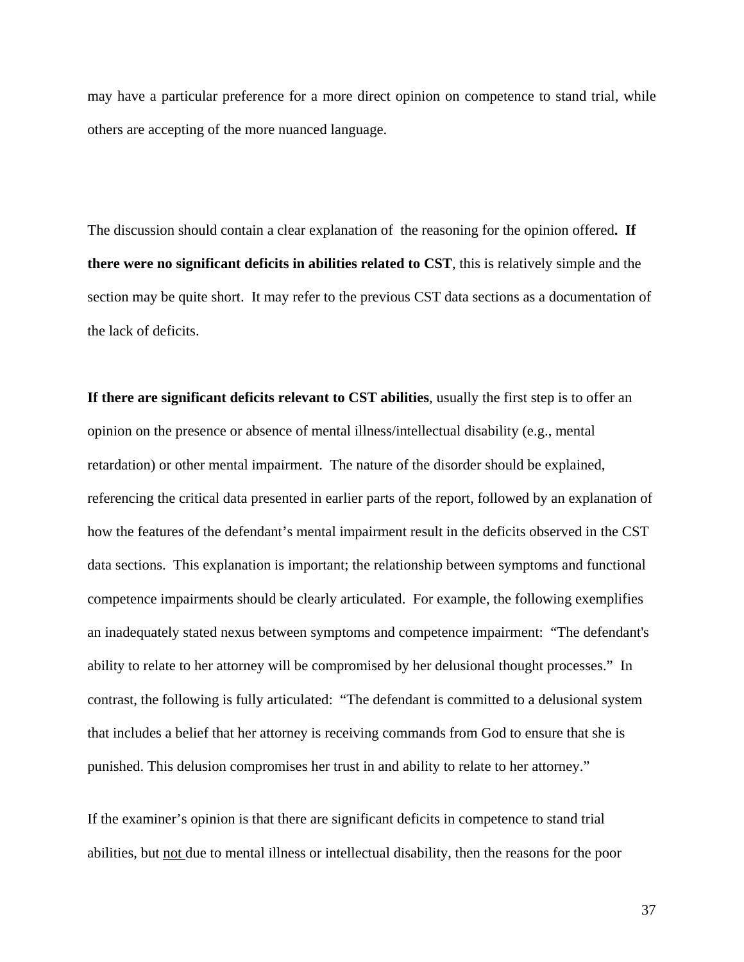may have a particular preference for a more direct opinion on competence to stand trial, while others are accepting of the more nuanced language.

The discussion should contain a clear explanation of the reasoning for the opinion offered**. If there were no significant deficits in abilities related to CST**, this is relatively simple and the section may be quite short. It may refer to the previous CST data sections as a documentation of the lack of deficits.

**If there are significant deficits relevant to CST abilities**, usually the first step is to offer an opinion on the presence or absence of mental illness/intellectual disability (e.g., mental retardation) or other mental impairment. The nature of the disorder should be explained, referencing the critical data presented in earlier parts of the report, followed by an explanation of how the features of the defendant's mental impairment result in the deficits observed in the CST data sections. This explanation is important; the relationship between symptoms and functional competence impairments should be clearly articulated. For example, the following exemplifies an inadequately stated nexus between symptoms and competence impairment: "The defendant's ability to relate to her attorney will be compromised by her delusional thought processes." In contrast, the following is fully articulated: "The defendant is committed to a delusional system that includes a belief that her attorney is receiving commands from God to ensure that she is punished. This delusion compromises her trust in and ability to relate to her attorney."

If the examiner's opinion is that there are significant deficits in competence to stand trial abilities, but not due to mental illness or intellectual disability, then the reasons for the poor

37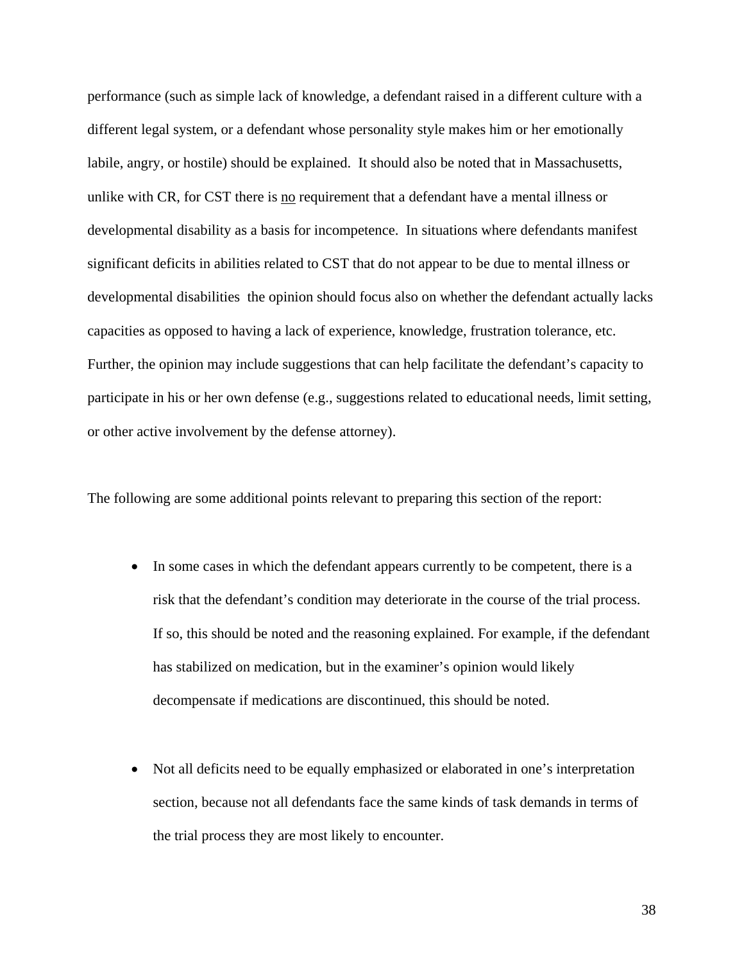performance (such as simple lack of knowledge, a defendant raised in a different culture with a different legal system, or a defendant whose personality style makes him or her emotionally labile, angry, or hostile) should be explained. It should also be noted that in Massachusetts, unlike with CR, for CST there is no requirement that a defendant have a mental illness or developmental disability as a basis for incompetence. In situations where defendants manifest significant deficits in abilities related to CST that do not appear to be due to mental illness or developmental disabilities the opinion should focus also on whether the defendant actually lacks capacities as opposed to having a lack of experience, knowledge, frustration tolerance, etc. Further, the opinion may include suggestions that can help facilitate the defendant's capacity to participate in his or her own defense (e.g., suggestions related to educational needs, limit setting, or other active involvement by the defense attorney).

The following are some additional points relevant to preparing this section of the report:

- In some cases in which the defendant appears currently to be competent, there is a risk that the defendant's condition may deteriorate in the course of the trial process. If so, this should be noted and the reasoning explained. For example, if the defendant has stabilized on medication, but in the examiner's opinion would likely decompensate if medications are discontinued, this should be noted.
- Not all deficits need to be equally emphasized or elaborated in one's interpretation section, because not all defendants face the same kinds of task demands in terms of the trial process they are most likely to encounter.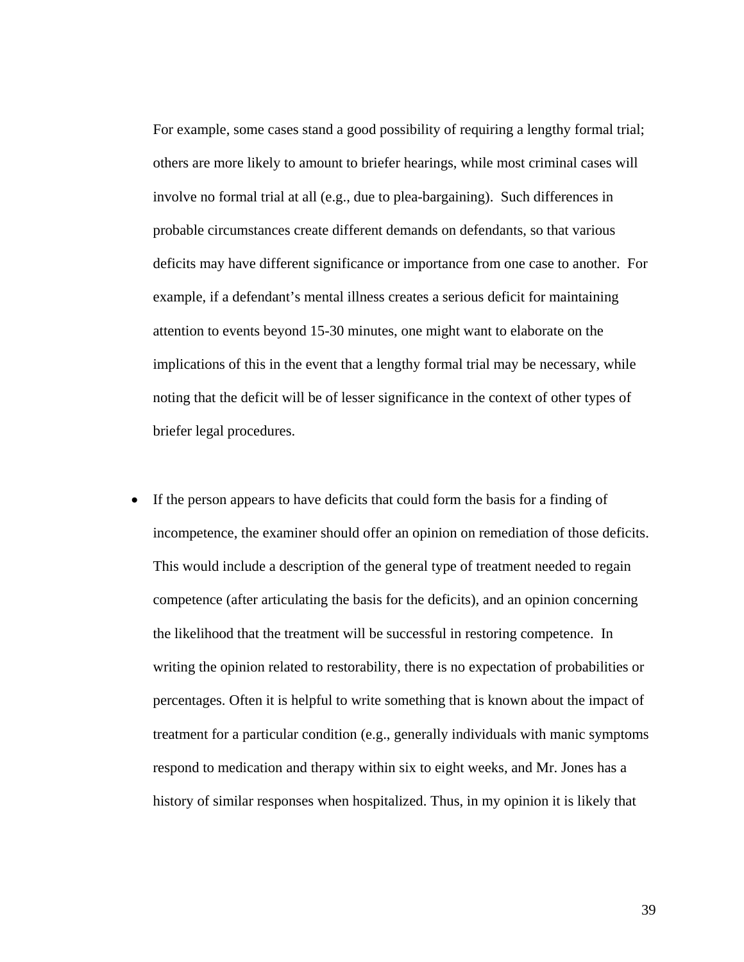For example, some cases stand a good possibility of requiring a lengthy formal trial; others are more likely to amount to briefer hearings, while most criminal cases will involve no formal trial at all (e.g., due to plea-bargaining). Such differences in probable circumstances create different demands on defendants, so that various deficits may have different significance or importance from one case to another. For example, if a defendant's mental illness creates a serious deficit for maintaining attention to events beyond 15-30 minutes, one might want to elaborate on the implications of this in the event that a lengthy formal trial may be necessary, while noting that the deficit will be of lesser significance in the context of other types of briefer legal procedures.

 If the person appears to have deficits that could form the basis for a finding of incompetence, the examiner should offer an opinion on remediation of those deficits. This would include a description of the general type of treatment needed to regain competence (after articulating the basis for the deficits), and an opinion concerning the likelihood that the treatment will be successful in restoring competence. In writing the opinion related to restorability, there is no expectation of probabilities or percentages. Often it is helpful to write something that is known about the impact of treatment for a particular condition (e.g., generally individuals with manic symptoms respond to medication and therapy within six to eight weeks, and Mr. Jones has a history of similar responses when hospitalized. Thus, in my opinion it is likely that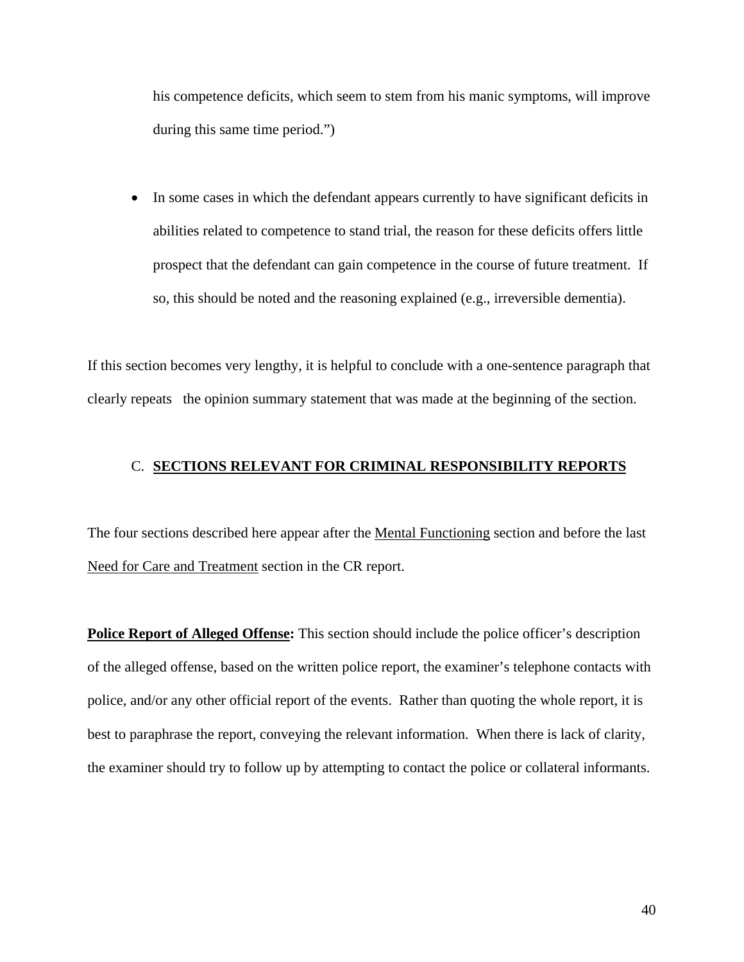his competence deficits, which seem to stem from his manic symptoms, will improve during this same time period.")

• In some cases in which the defendant appears currently to have significant deficits in abilities related to competence to stand trial, the reason for these deficits offers little prospect that the defendant can gain competence in the course of future treatment. If so, this should be noted and the reasoning explained (e.g., irreversible dementia).

If this section becomes very lengthy, it is helpful to conclude with a one-sentence paragraph that clearly repeats the opinion summary statement that was made at the beginning of the section.

#### C. **SECTIONS RELEVANT FOR CRIMINAL RESPONSIBILITY REPORTS**

The four sections described here appear after the Mental Functioning section and before the last Need for Care and Treatment section in the CR report.

**Police Report of Alleged Offense:** This section should include the police officer's description of the alleged offense, based on the written police report, the examiner's telephone contacts with police, and/or any other official report of the events. Rather than quoting the whole report, it is best to paraphrase the report, conveying the relevant information. When there is lack of clarity, the examiner should try to follow up by attempting to contact the police or collateral informants.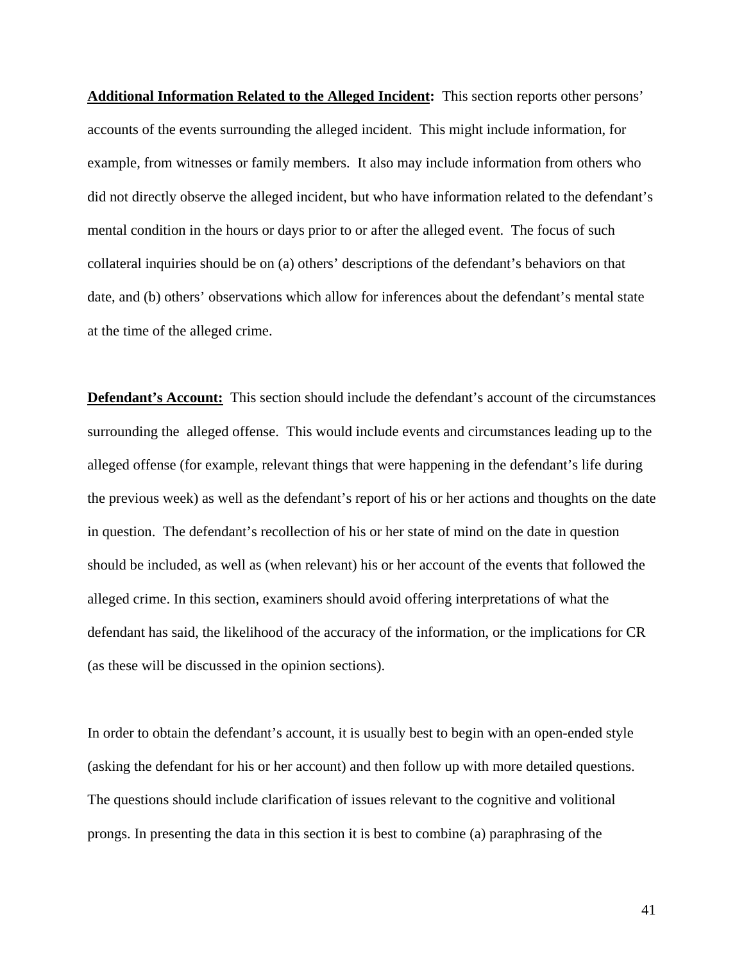**Additional Information Related to the Alleged Incident:** This section reports other persons' accounts of the events surrounding the alleged incident. This might include information, for example, from witnesses or family members. It also may include information from others who did not directly observe the alleged incident, but who have information related to the defendant's mental condition in the hours or days prior to or after the alleged event. The focus of such collateral inquiries should be on (a) others' descriptions of the defendant's behaviors on that date, and (b) others' observations which allow for inferences about the defendant's mental state at the time of the alleged crime.

**Defendant's Account:** This section should include the defendant's account of the circumstances surrounding the alleged offense. This would include events and circumstances leading up to the alleged offense (for example, relevant things that were happening in the defendant's life during the previous week) as well as the defendant's report of his or her actions and thoughts on the date in question. The defendant's recollection of his or her state of mind on the date in question should be included, as well as (when relevant) his or her account of the events that followed the alleged crime. In this section, examiners should avoid offering interpretations of what the defendant has said, the likelihood of the accuracy of the information, or the implications for CR (as these will be discussed in the opinion sections).

In order to obtain the defendant's account, it is usually best to begin with an open-ended style (asking the defendant for his or her account) and then follow up with more detailed questions. The questions should include clarification of issues relevant to the cognitive and volitional prongs. In presenting the data in this section it is best to combine (a) paraphrasing of the

41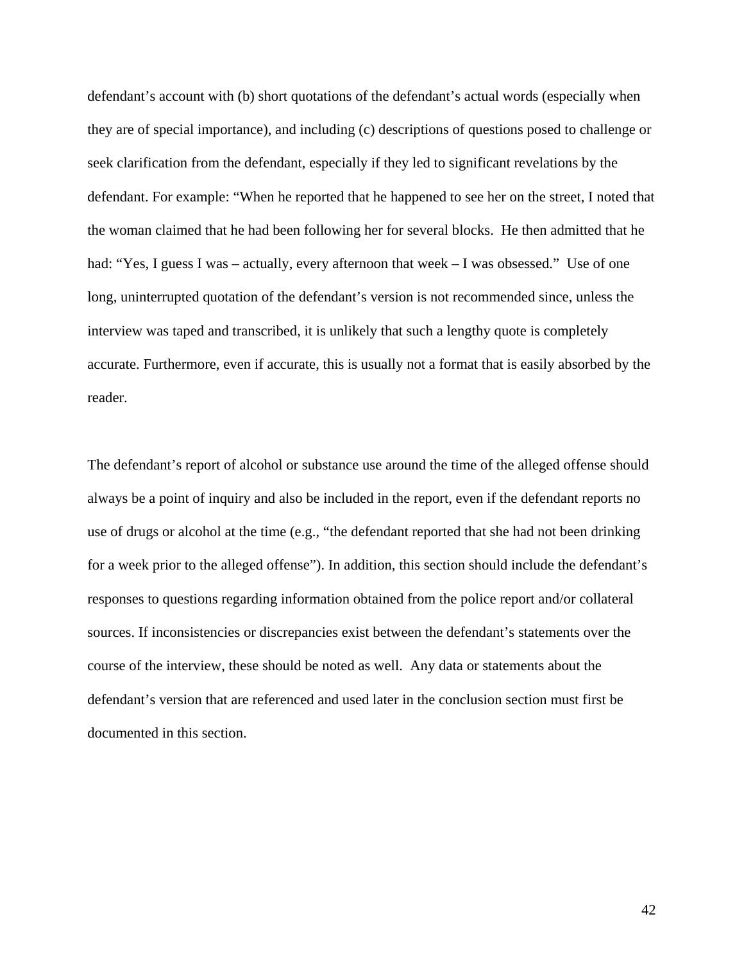defendant's account with (b) short quotations of the defendant's actual words (especially when they are of special importance), and including (c) descriptions of questions posed to challenge or seek clarification from the defendant, especially if they led to significant revelations by the defendant. For example: "When he reported that he happened to see her on the street, I noted that the woman claimed that he had been following her for several blocks. He then admitted that he had: "Yes, I guess I was – actually, every afternoon that week – I was obsessed." Use of one long, uninterrupted quotation of the defendant's version is not recommended since, unless the interview was taped and transcribed, it is unlikely that such a lengthy quote is completely accurate. Furthermore, even if accurate, this is usually not a format that is easily absorbed by the reader.

The defendant's report of alcohol or substance use around the time of the alleged offense should always be a point of inquiry and also be included in the report, even if the defendant reports no use of drugs or alcohol at the time (e.g., "the defendant reported that she had not been drinking for a week prior to the alleged offense"). In addition, this section should include the defendant's responses to questions regarding information obtained from the police report and/or collateral sources. If inconsistencies or discrepancies exist between the defendant's statements over the course of the interview, these should be noted as well. Any data or statements about the defendant's version that are referenced and used later in the conclusion section must first be documented in this section.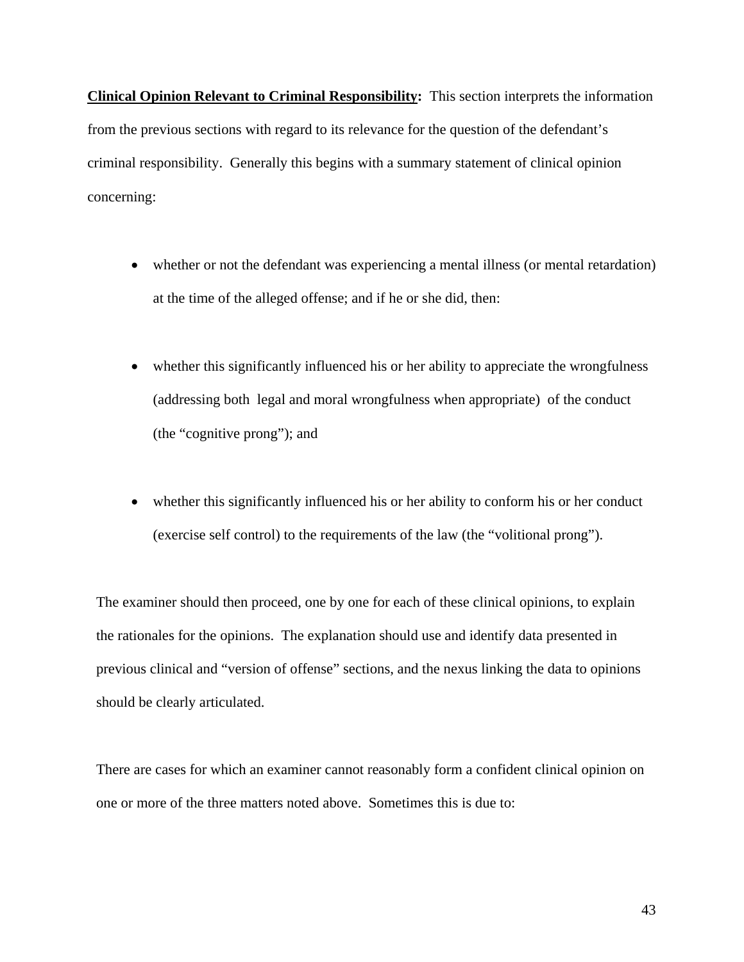**Clinical Opinion Relevant to Criminal Responsibility:** This section interprets the information from the previous sections with regard to its relevance for the question of the defendant's criminal responsibility. Generally this begins with a summary statement of clinical opinion concerning:

- whether or not the defendant was experiencing a mental illness (or mental retardation) at the time of the alleged offense; and if he or she did, then:
- whether this significantly influenced his or her ability to appreciate the wrongfulness (addressing both legal and moral wrongfulness when appropriate) of the conduct (the "cognitive prong"); and
- whether this significantly influenced his or her ability to conform his or her conduct (exercise self control) to the requirements of the law (the "volitional prong").

The examiner should then proceed, one by one for each of these clinical opinions, to explain the rationales for the opinions. The explanation should use and identify data presented in previous clinical and "version of offense" sections, and the nexus linking the data to opinions should be clearly articulated.

There are cases for which an examiner cannot reasonably form a confident clinical opinion on one or more of the three matters noted above. Sometimes this is due to: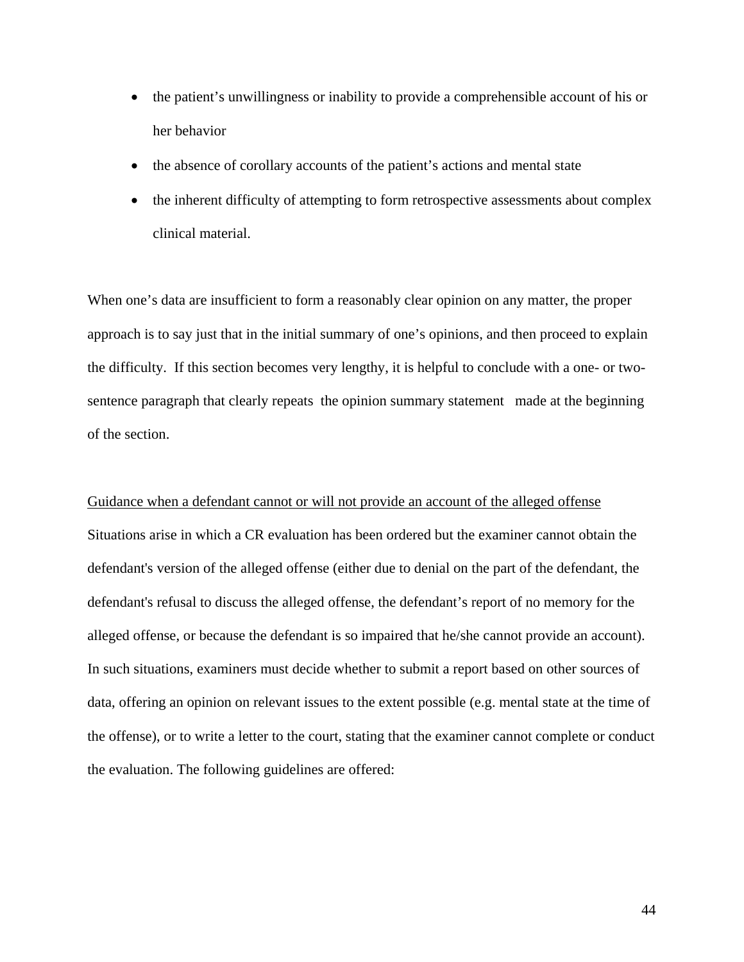- the patient's unwillingness or inability to provide a comprehensible account of his or her behavior
- the absence of corollary accounts of the patient's actions and mental state
- the inherent difficulty of attempting to form retrospective assessments about complex clinical material.

When one's data are insufficient to form a reasonably clear opinion on any matter, the proper approach is to say just that in the initial summary of one's opinions, and then proceed to explain the difficulty. If this section becomes very lengthy, it is helpful to conclude with a one- or twosentence paragraph that clearly repeats the opinion summary statement made at the beginning of the section.

Guidance when a defendant cannot or will not provide an account of the alleged offense Situations arise in which a CR evaluation has been ordered but the examiner cannot obtain the defendant's version of the alleged offense (either due to denial on the part of the defendant, the defendant's refusal to discuss the alleged offense, the defendant's report of no memory for the alleged offense, or because the defendant is so impaired that he/she cannot provide an account). In such situations, examiners must decide whether to submit a report based on other sources of data, offering an opinion on relevant issues to the extent possible (e.g. mental state at the time of the offense), or to write a letter to the court, stating that the examiner cannot complete or conduct the evaluation. The following guidelines are offered: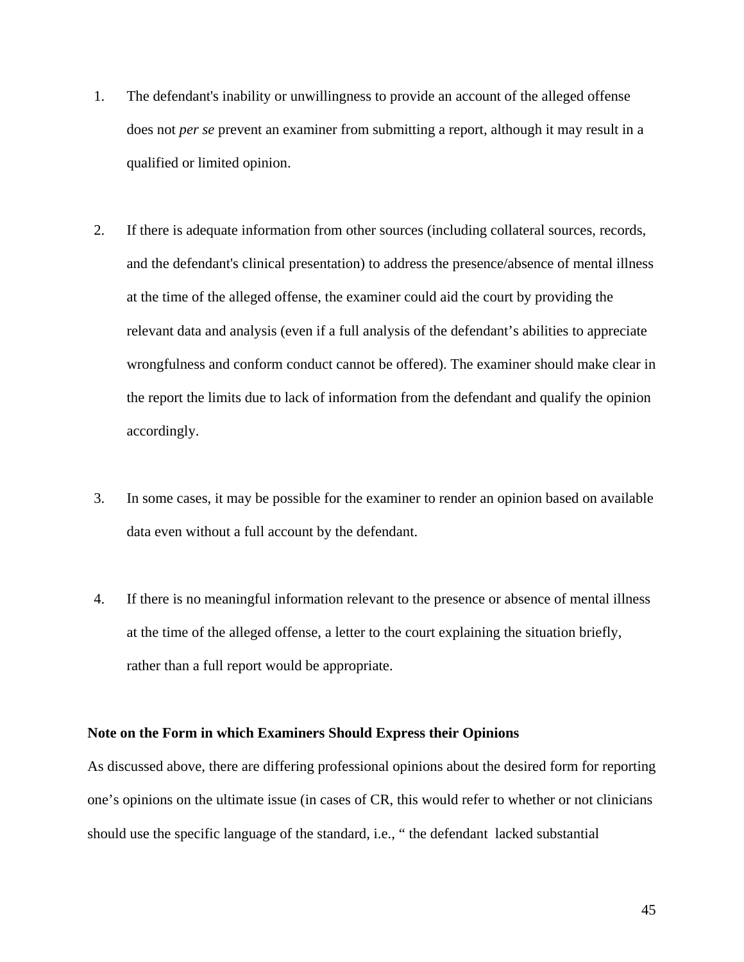- 1. The defendant's inability or unwillingness to provide an account of the alleged offense does not *per se* prevent an examiner from submitting a report, although it may result in a qualified or limited opinion.
- 2. If there is adequate information from other sources (including collateral sources, records, and the defendant's clinical presentation) to address the presence/absence of mental illness at the time of the alleged offense, the examiner could aid the court by providing the relevant data and analysis (even if a full analysis of the defendant's abilities to appreciate wrongfulness and conform conduct cannot be offered). The examiner should make clear in the report the limits due to lack of information from the defendant and qualify the opinion accordingly.
- 3. In some cases, it may be possible for the examiner to render an opinion based on available data even without a full account by the defendant.
- 4. If there is no meaningful information relevant to the presence or absence of mental illness at the time of the alleged offense, a letter to the court explaining the situation briefly, rather than a full report would be appropriate.

#### **Note on the Form in which Examiners Should Express their Opinions**

As discussed above, there are differing professional opinions about the desired form for reporting one's opinions on the ultimate issue (in cases of CR, this would refer to whether or not clinicians should use the specific language of the standard, i.e., " the defendant lacked substantial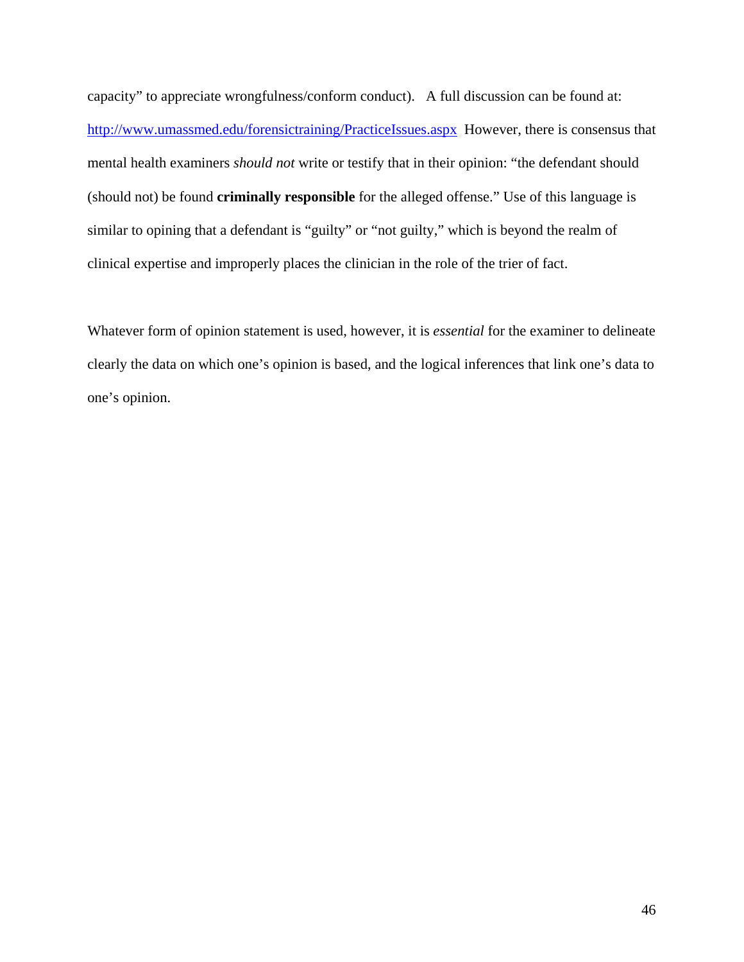capacity" to appreciate wrongfulness/conform conduct). A full discussion can be found at: <http://www.umassmed.edu/forensictraining/PracticeIssues.aspx> However, there is consensus that mental health examiners *should not* write or testify that in their opinion: "the defendant should (should not) be found **criminally responsible** for the alleged offense." Use of this language is similar to opining that a defendant is "guilty" or "not guilty," which is beyond the realm of clinical expertise and improperly places the clinician in the role of the trier of fact.

Whatever form of opinion statement is used, however, it is *essential* for the examiner to delineate clearly the data on which one's opinion is based, and the logical inferences that link one's data to one's opinion.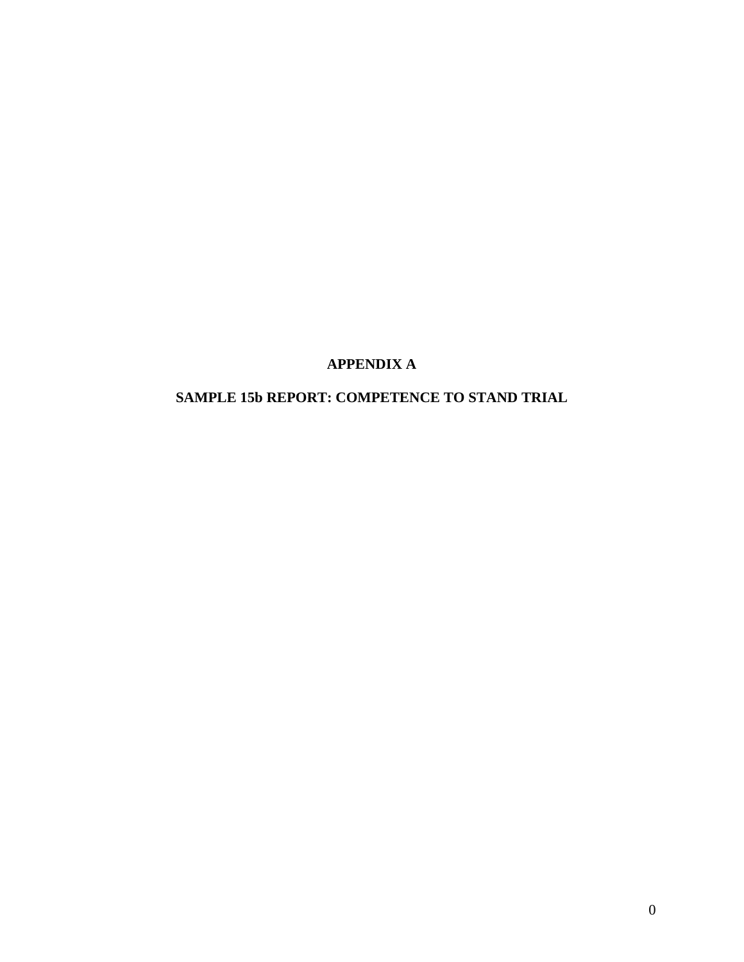## **APPENDIX A**

## **SAMPLE 15b REPORT: COMPETENCE TO STAND TRIAL**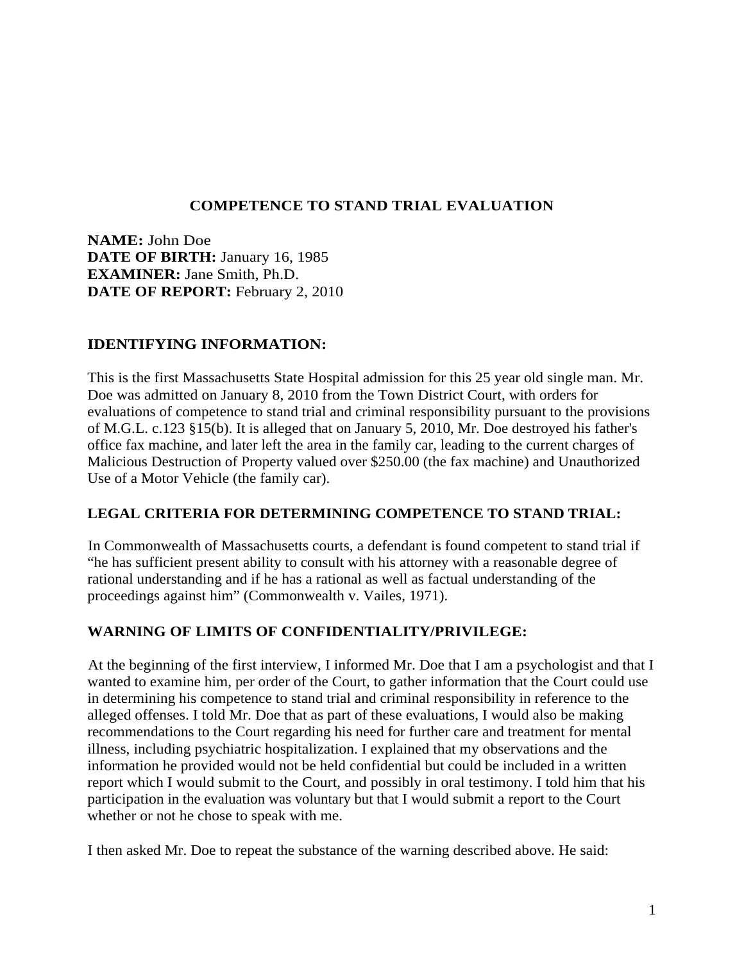## **COMPETENCE TO STAND TRIAL EVALUATION**

**NAME:** John Doe **DATE OF BIRTH:** January 16, 1985 **EXAMINER:** Jane Smith, Ph.D. **DATE OF REPORT:** February 2, 2010

## **IDENTIFYING INFORMATION:**

This is the first Massachusetts State Hospital admission for this 25 year old single man. Mr. Doe was admitted on January 8, 2010 from the Town District Court, with orders for evaluations of competence to stand trial and criminal responsibility pursuant to the provisions of M.G.L. c.123 §15(b). It is alleged that on January 5, 2010, Mr. Doe destroyed his father's office fax machine, and later left the area in the family car, leading to the current charges of Malicious Destruction of Property valued over \$250.00 (the fax machine) and Unauthorized Use of a Motor Vehicle (the family car).

## **LEGAL CRITERIA FOR DETERMINING COMPETENCE TO STAND TRIAL:**

In Commonwealth of Massachusetts courts, a defendant is found competent to stand trial if "he has sufficient present ability to consult with his attorney with a reasonable degree of rational understanding and if he has a rational as well as factual understanding of the proceedings against him" (Commonwealth v. Vailes, 1971).

## **WARNING OF LIMITS OF CONFIDENTIALITY/PRIVILEGE:**

At the beginning of the first interview, I informed Mr. Doe that I am a psychologist and that I wanted to examine him, per order of the Court, to gather information that the Court could use in determining his competence to stand trial and criminal responsibility in reference to the alleged offenses. I told Mr. Doe that as part of these evaluations, I would also be making recommendations to the Court regarding his need for further care and treatment for mental illness, including psychiatric hospitalization. I explained that my observations and the information he provided would not be held confidential but could be included in a written report which I would submit to the Court, and possibly in oral testimony. I told him that his participation in the evaluation was voluntary but that I would submit a report to the Court whether or not he chose to speak with me.

I then asked Mr. Doe to repeat the substance of the warning described above. He said: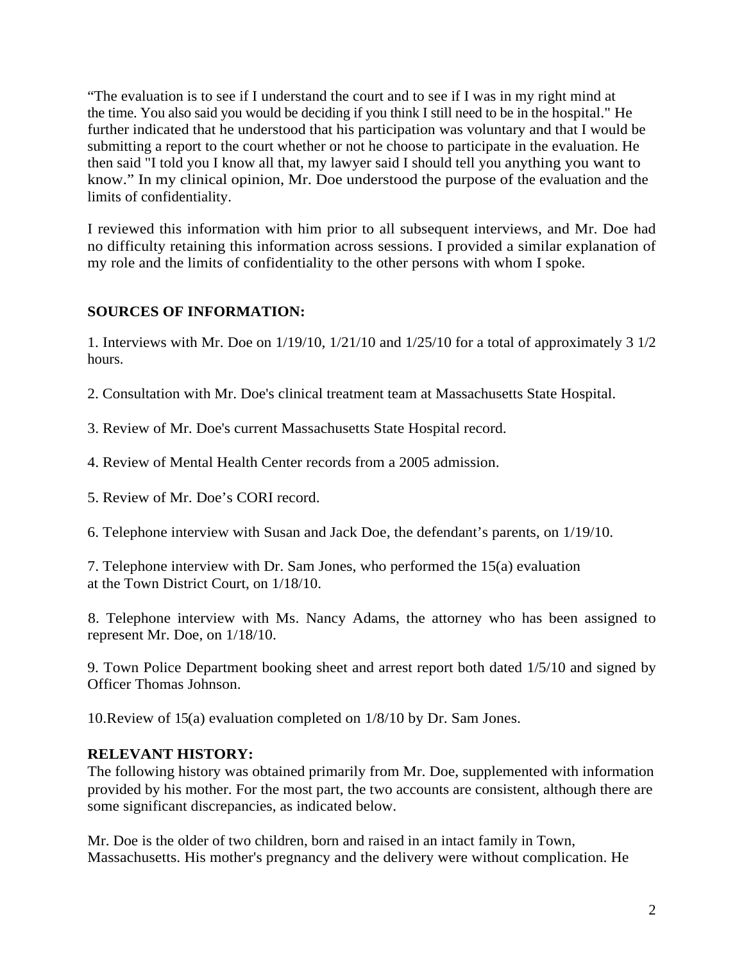"The evaluation is to see if I understand the court and to see if I was in my right mind at the time. You also said you would be deciding if you think I still need to be in the hospital." He further indicated that he understood that his participation was voluntary and that I would be submitting a report to the court whether or not he choose to participate in the evaluation. He then said "I told you I know all that, my lawyer said I should tell you anything you want to know." In my clinical opinion, Mr. Doe understood the purpose of the evaluation and the limits of confidentiality.

I reviewed this information with him prior to all subsequent interviews, and Mr. Doe had no difficulty retaining this information across sessions. I provided a similar explanation of my role and the limits of confidentiality to the other persons with whom I spoke.

## **SOURCES OF INFORMATION:**

1. Interviews with Mr. Doe on 1/19/10, 1/21/10 and 1/25/10 for a total of approximately 3 1/2 hours.

2. Consultation with Mr. Doe's clinical treatment team at Massachusetts State Hospital.

3. Review of Mr. Doe's current Massachusetts State Hospital record.

4. Review of Mental Health Center records from a 2005 admission.

5. Review of Mr. Doe's CORI record.

6. Telephone interview with Susan and Jack Doe, the defendant's parents, on 1/19/10.

7. Telephone interview with Dr. Sam Jones, who performed the 15(a) evaluation at the Town District Court, on 1/18/10.

8. Telephone interview with Ms. Nancy Adams, the attorney who has been assigned to represent Mr. Doe, on 1/18/10.

9. Town Police Department booking sheet and arrest report both dated 1/5/10 and signed by Officer Thomas Johnson.

10.Review of 15(a) evaluation completed on 1/8/10 by Dr. Sam Jones.

## **RELEVANT HISTORY:**

The following history was obtained primarily from Mr. Doe, supplemented with information provided by his mother. For the most part, the two accounts are consistent, although there are some significant discrepancies, as indicated below.

Mr. Doe is the older of two children, born and raised in an intact family in Town, Massachusetts. His mother's pregnancy and the delivery were without complication. He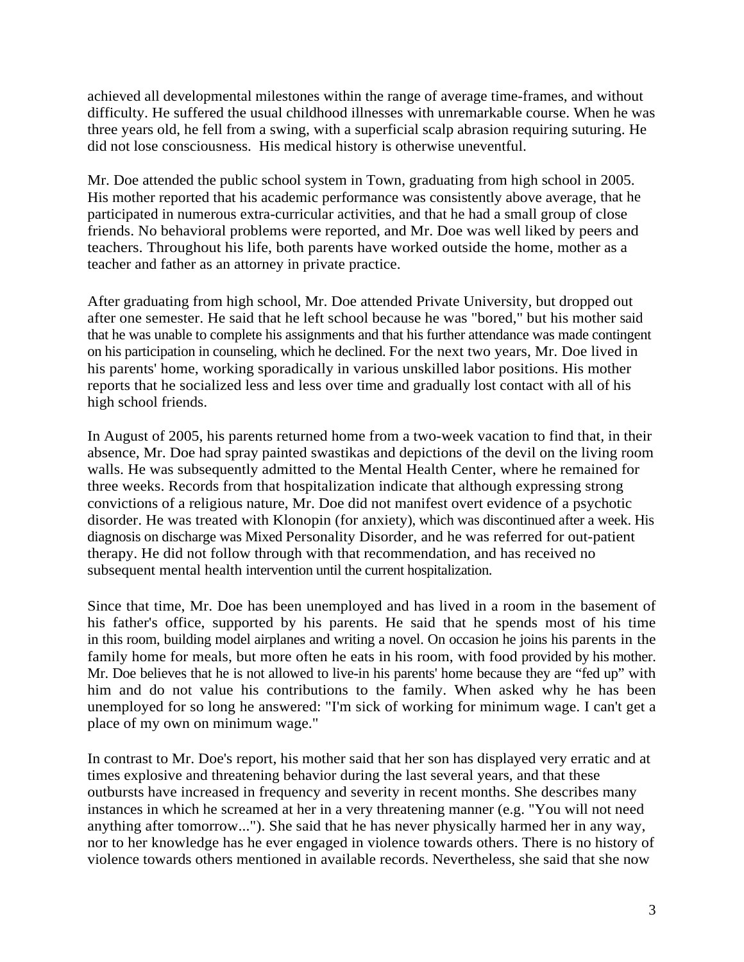achieved all developmental milestones within the range of average time-frames, and without difficulty. He suffered the usual childhood illnesses with unremarkable course. When he was three years old, he fell from a swing, with a superficial scalp abrasion requiring suturing. He did not lose consciousness. His medical history is otherwise uneventful.

Mr. Doe attended the public school system in Town, graduating from high school in 2005. His mother reported that his academic performance was consistently above average, that he participated in numerous extra-curricular activities, and that he had a small group of close friends. No behavioral problems were reported, and Mr. Doe was well liked by peers and teachers. Throughout his life, both parents have worked outside the home, mother as a teacher and father as an attorney in private practice.

After graduating from high school, Mr. Doe attended Private University, but dropped out after one semester. He said that he left school because he was "bored," but his mother said that he was unable to complete his assignments and that his further attendance was made contingent on his participation in counseling, which he declined. For the next two years, Mr. Doe lived in his parents' home, working sporadically in various unskilled labor positions. His mother reports that he socialized less and less over time and gradually lost contact with all of his high school friends.

In August of 2005, his parents returned home from a two-week vacation to find that, in their absence, Mr. Doe had spray painted swastikas and depictions of the devil on the living room walls. He was subsequently admitted to the Mental Health Center, where he remained for three weeks. Records from that hospitalization indicate that although expressing strong convictions of a religious nature, Mr. Doe did not manifest overt evidence of a psychotic disorder. He was treated with Klonopin (for anxiety), which was discontinued after a week. His diagnosis on discharge was Mixed Personality Disorder, and he was referred for out-patient therapy. He did not follow through with that recommendation, and has received no subsequent mental health intervention until the current hospitalization.

Since that time, Mr. Doe has been unemployed and has lived in a room in the basement of his father's office, supported by his parents. He said that he spends most of his time in this room, building model airplanes and writing a novel. On occasion he joins his parents in the family home for meals, but more often he eats in his room, with food provided by his mother. Mr. Doe believes that he is not allowed to live-in his parents' home because they are "fed up" with him and do not value his contributions to the family. When asked why he has been unemployed for so long he answered: "I'm sick of working for minimum wage. I can't get a place of my own on minimum wage."

In contrast to Mr. Doe's report, his mother said that her son has displayed very erratic and at times explosive and threatening behavior during the last several years, and that these outbursts have increased in frequency and severity in recent months. She describes many instances in which he screamed at her in a very threatening manner (e.g. "You will not need anything after tomorrow..."). She said that he has never physically harmed her in any way, nor to her knowledge has he ever engaged in violence towards others. There is no history of violence towards others mentioned in available records. Nevertheless, she said that she now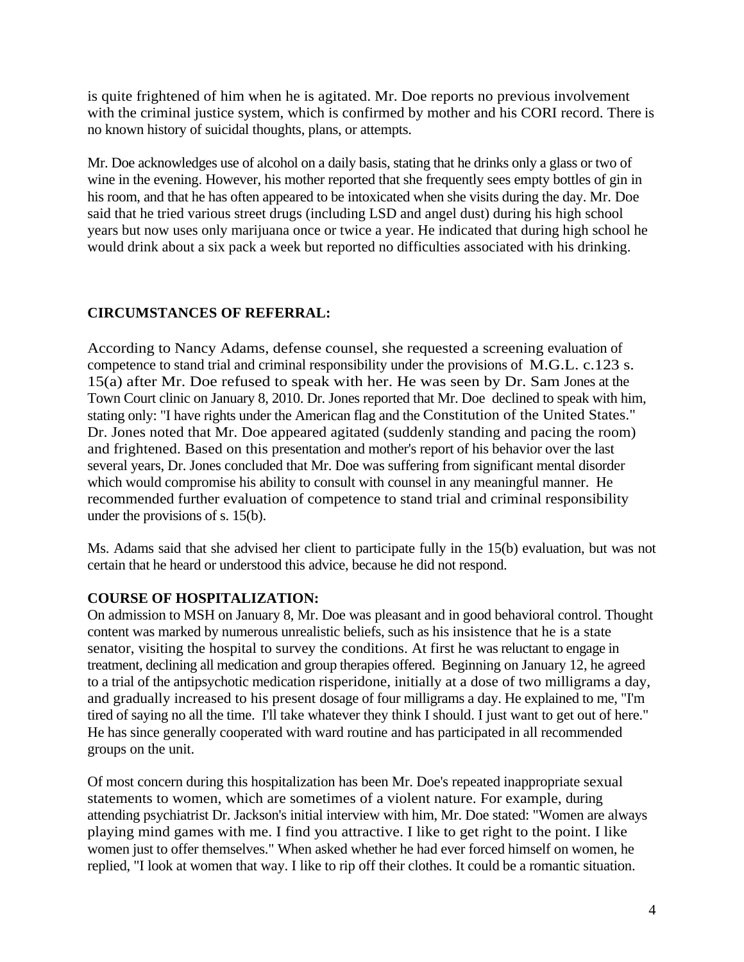is quite frightened of him when he is agitated. Mr. Doe reports no previous involvement with the criminal justice system, which is confirmed by mother and his CORI record. There is no known history of suicidal thoughts, plans, or attempts.

Mr. Doe acknowledges use of alcohol on a daily basis, stating that he drinks only a glass or two of wine in the evening. However, his mother reported that she frequently sees empty bottles of gin in his room, and that he has often appeared to be intoxicated when she visits during the day. Mr. Doe said that he tried various street drugs (including LSD and angel dust) during his high school years but now uses only marijuana once or twice a year. He indicated that during high school he would drink about a six pack a week but reported no difficulties associated with his drinking.

## **CIRCUMSTANCES OF REFERRAL:**

According to Nancy Adams, defense counsel, she requested a screening evaluation of competence to stand trial and criminal responsibility under the provisions of M.G.L. c.123 s. 15(a) after Mr. Doe refused to speak with her. He was seen by Dr. Sam Jones at the Town Court clinic on January 8, 2010. Dr. Jones reported that Mr. Doe declined to speak with him, stating only: "I have rights under the American flag and the Constitution of the United States." Dr. Jones noted that Mr. Doe appeared agitated (suddenly standing and pacing the room) and frightened. Based on this presentation and mother's report of his behavior over the last several years, Dr. Jones concluded that Mr. Doe was suffering from significant mental disorder which would compromise his ability to consult with counsel in any meaningful manner. He recommended further evaluation of competence to stand trial and criminal responsibility under the provisions of s. 15(b).

Ms. Adams said that she advised her client to participate fully in the 15(b) evaluation, but was not certain that he heard or understood this advice, because he did not respond.

## **COURSE OF HOSPITALIZATION:**

On admission to MSH on January 8, Mr. Doe was pleasant and in good behavioral control. Thought content was marked by numerous unrealistic beliefs, such as his insistence that he is a state senator, visiting the hospital to survey the conditions. At first he was reluctant to engage in treatment, declining all medication and group therapies offered. Beginning on January 12, he agreed to a trial of the antipsychotic medication risperidone, initially at a dose of two milligrams a day, and gradually increased to his present dosage of four milligrams a day. He explained to me, "I'm tired of saying no all the time. I'll take whatever they think I should. I just want to get out of here." He has since generally cooperated with ward routine and has participated in all recommended groups on the unit.

Of most concern during this hospitalization has been Mr. Doe's repeated inappropriate sexual statements to women, which are sometimes of a violent nature. For example, during attending psychiatrist Dr. Jackson's initial interview with him, Mr. Doe stated: "Women are always playing mind games with me. I find you attractive. I like to get right to the point. I like women just to offer themselves." When asked whether he had ever forced himself on women, he replied, "I look at women that way. I like to rip off their clothes. It could be a romantic situation.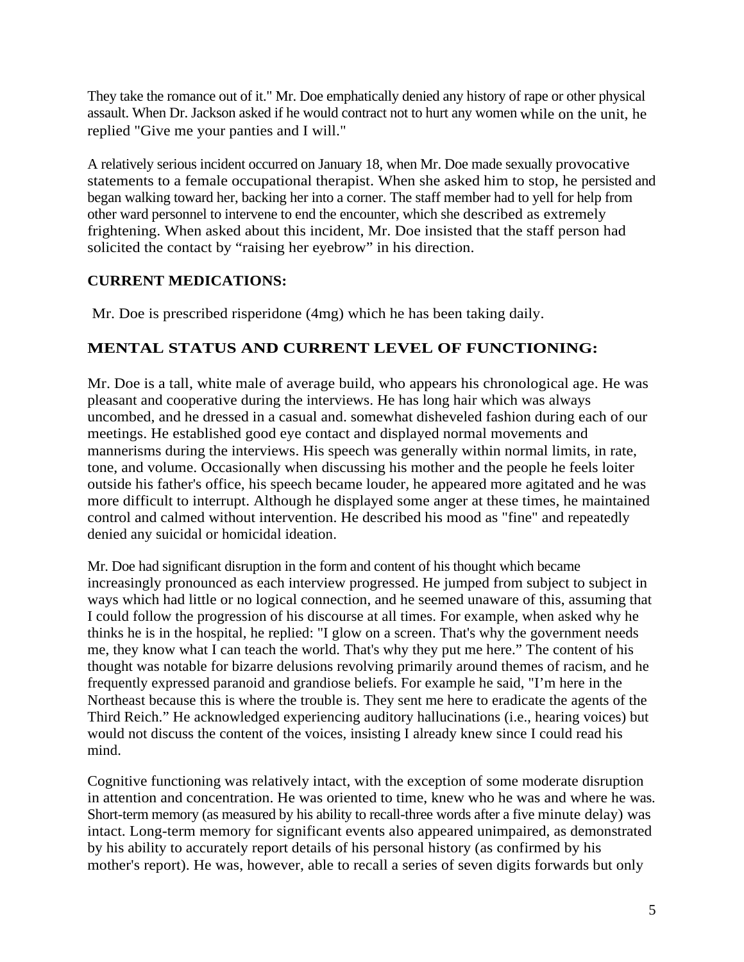They take the romance out of it." Mr. Doe emphatically denied any history of rape or other physical assault. When Dr. Jackson asked if he would contract not to hurt any women while on the unit, he replied "Give me your panties and I will."

A relatively serious incident occurred on January 18, when Mr. Doe made sexually provocative statements to a female occupational therapist. When she asked him to stop, he persisted and began walking toward her, backing her into a corner. The staff member had to yell for help from other ward personnel to intervene to end the encounter, which she described as extremely frightening. When asked about this incident, Mr. Doe insisted that the staff person had solicited the contact by "raising her eyebrow" in his direction.

## **CURRENT MEDICATIONS:**

Mr. Doe is prescribed risperidone (4mg) which he has been taking daily.

## **MENTAL STATUS AND CURRENT LEVEL OF FUNCTIONING:**

Mr. Doe is a tall, white male of average build, who appears his chronological age. He was pleasant and cooperative during the interviews. He has long hair which was always uncombed, and he dressed in a casual and. somewhat disheveled fashion during each of our meetings. He established good eye contact and displayed normal movements and mannerisms during the interviews. His speech was generally within normal limits, in rate, tone, and volume. Occasionally when discussing his mother and the people he feels loiter outside his father's office, his speech became louder, he appeared more agitated and he was more difficult to interrupt. Although he displayed some anger at these times, he maintained control and calmed without intervention. He described his mood as "fine" and repeatedly denied any suicidal or homicidal ideation.

Mr. Doe had significant disruption in the form and content of his thought which became increasingly pronounced as each interview progressed. He jumped from subject to subject in ways which had little or no logical connection, and he seemed unaware of this, assuming that I could follow the progression of his discourse at all times. For example, when asked why he thinks he is in the hospital, he replied: "I glow on a screen. That's why the government needs me, they know what I can teach the world. That's why they put me here." The content of his thought was notable for bizarre delusions revolving primarily around themes of racism, and he frequently expressed paranoid and grandiose beliefs. For example he said, "I'm here in the Northeast because this is where the trouble is. They sent me here to eradicate the agents of the Third Reich." He acknowledged experiencing auditory hallucinations (i.e., hearing voices) but would not discuss the content of the voices, insisting I already knew since I could read his mind.

Cognitive functioning was relatively intact, with the exception of some moderate disruption in attention and concentration. He was oriented to time, knew who he was and where he was. Short-term memory (as measured by his ability to recall-three words after a five minute delay) was intact. Long-term memory for significant events also appeared unimpaired, as demonstrated by his ability to accurately report details of his personal history (as confirmed by his mother's report). He was, however, able to recall a series of seven digits forwards but only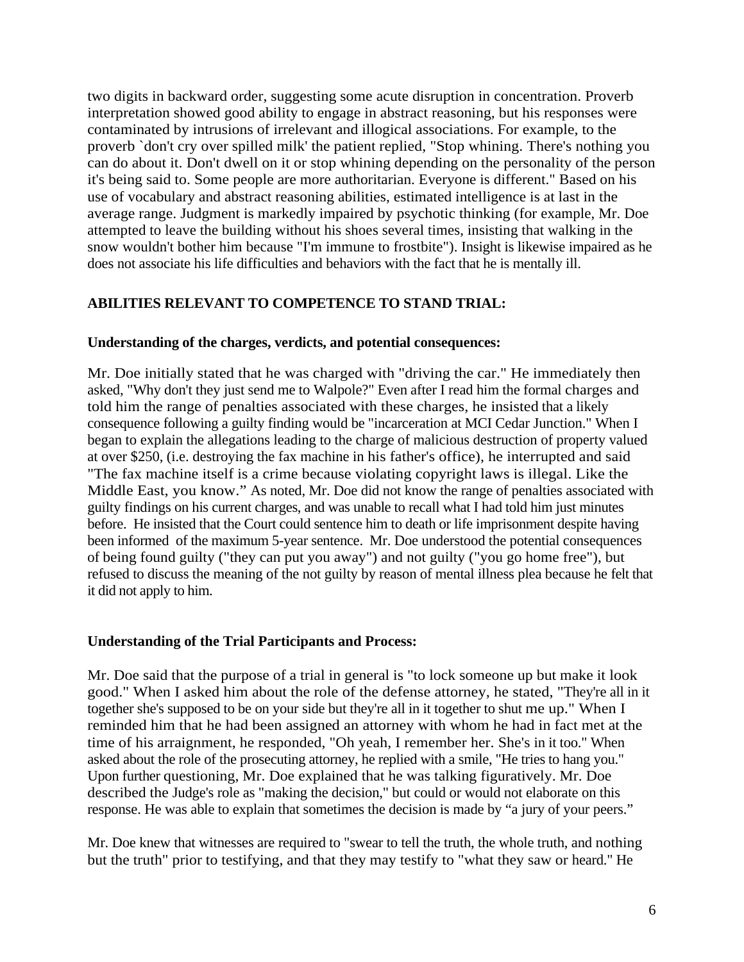two digits in backward order, suggesting some acute disruption in concentration. Proverb interpretation showed good ability to engage in abstract reasoning, but his responses were contaminated by intrusions of irrelevant and illogical associations. For example, to the proverb `don't cry over spilled milk' the patient replied, "Stop whining. There's nothing you can do about it. Don't dwell on it or stop whining depending on the personality of the person it's being said to. Some people are more authoritarian. Everyone is different." Based on his use of vocabulary and abstract reasoning abilities, estimated intelligence is at last in the average range. Judgment is markedly impaired by psychotic thinking (for example, Mr. Doe attempted to leave the building without his shoes several times, insisting that walking in the snow wouldn't bother him because "I'm immune to frostbite"). Insight is likewise impaired as he does not associate his life difficulties and behaviors with the fact that he is mentally ill.

## **ABILITIES RELEVANT TO COMPETENCE TO STAND TRIAL:**

#### **Understanding of the charges, verdicts, and potential consequences:**

Mr. Doe initially stated that he was charged with "driving the car." He immediately then asked, "Why don't they just send me to Walpole?" Even after I read him the formal charges and told him the range of penalties associated with these charges, he insisted that a likely consequence following a guilty finding would be "incarceration at MCI Cedar Junction." When I began to explain the allegations leading to the charge of malicious destruction of property valued at over \$250, (i.e. destroying the fax machine in his father's office), he interrupted and said "The fax machine itself is a crime because violating copyright laws is illegal. Like the Middle East, you know." As noted, Mr. Doe did not know the range of penalties associated with guilty findings on his current charges, and was unable to recall what I had told him just minutes before. He insisted that the Court could sentence him to death or life imprisonment despite having been informed of the maximum 5-year sentence. Mr. Doe understood the potential consequences of being found guilty ("they can put you away") and not guilty ("you go home free"), but refused to discuss the meaning of the not guilty by reason of mental illness plea because he felt that it did not apply to him.

#### **Understanding of the Trial Participants and Process:**

Mr. Doe said that the purpose of a trial in general is "to lock someone up but make it look good." When I asked him about the role of the defense attorney, he stated, "They're all in it together she's supposed to be on your side but they're all in it together to shut me up." When I reminded him that he had been assigned an attorney with whom he had in fact met at the time of his arraignment, he responded, "Oh yeah, I remember her. She's in it too." When asked about the role of the prosecuting attorney, he replied with a smile, "He tries to hang you." Upon further questioning, Mr. Doe explained that he was talking figuratively. Mr. Doe described the Judge's role as "making the decision," but could or would not elaborate on this response. He was able to explain that sometimes the decision is made by "a jury of your peers."

Mr. Doe knew that witnesses are required to "swear to tell the truth, the whole truth, and nothing but the truth" prior to testifying, and that they may testify to "what they saw or heard." He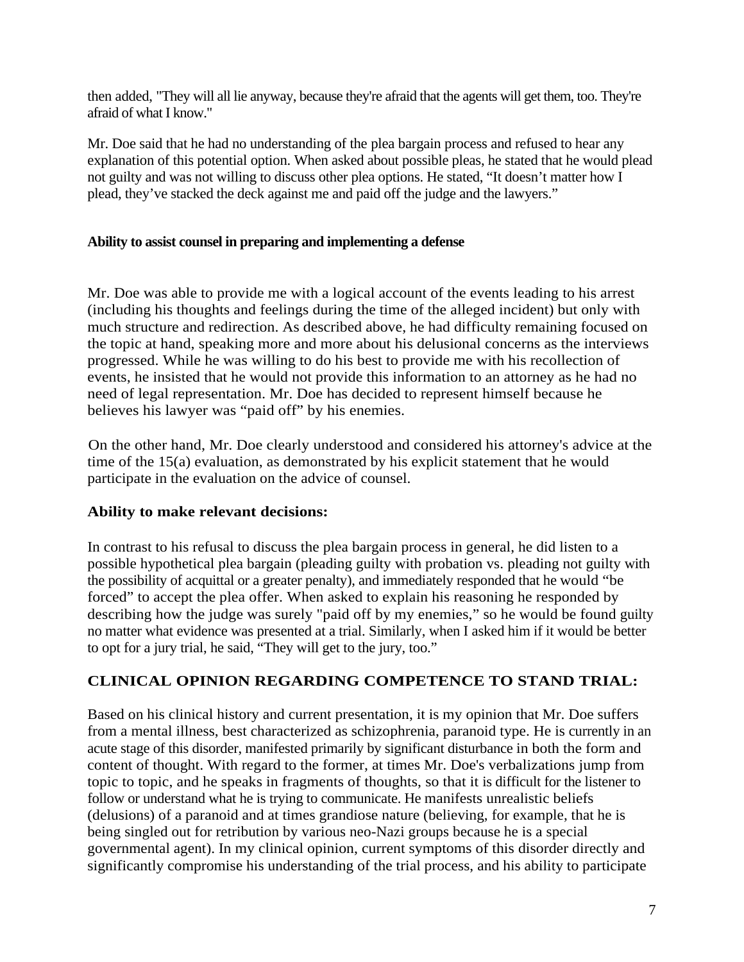then added, "They will all lie anyway, because they're afraid that the agents will get them, too. They're afraid of what I know."

Mr. Doe said that he had no understanding of the plea bargain process and refused to hear any explanation of this potential option. When asked about possible pleas, he stated that he would plead not guilty and was not willing to discuss other plea options. He stated, "It doesn't matter how I plead, they've stacked the deck against me and paid off the judge and the lawyers."

## **Ability to assist counsel in preparing and implementing a defense**

Mr. Doe was able to provide me with a logical account of the events leading to his arrest (including his thoughts and feelings during the time of the alleged incident) but only with much structure and redirection. As described above, he had difficulty remaining focused on the topic at hand, speaking more and more about his delusional concerns as the interviews progressed. While he was willing to do his best to provide me with his recollection of events, he insisted that he would not provide this information to an attorney as he had no need of legal representation. Mr. Doe has decided to represent himself because he believes his lawyer was "paid off" by his enemies.

On the other hand, Mr. Doe clearly understood and considered his attorney's advice at the time of the 15(a) evaluation, as demonstrated by his explicit statement that he would participate in the evaluation on the advice of counsel.

## **Ability to make relevant decisions:**

In contrast to his refusal to discuss the plea bargain process in general, he did listen to a possible hypothetical plea bargain (pleading guilty with probation vs. pleading not guilty with the possibility of acquittal or a greater penalty), and immediately responded that he would "be forced" to accept the plea offer. When asked to explain his reasoning he responded by describing how the judge was surely "paid off by my enemies," so he would be found guilty no matter what evidence was presented at a trial. Similarly, when I asked him if it would be better to opt for a jury trial, he said, "They will get to the jury, too."

## **CLINICAL OPINION REGARDING COMPETENCE TO STAND TRIAL:**

Based on his clinical history and current presentation, it is my opinion that Mr. Doe suffers from a mental illness, best characterized as schizophrenia, paranoid type. He is currently in an acute stage of this disorder, manifested primarily by significant disturbance in both the form and content of thought. With regard to the former, at times Mr. Doe's verbalizations jump from topic to topic, and he speaks in fragments of thoughts, so that it is difficult for the listener to follow or understand what he is trying to communicate. He manifests unrealistic beliefs (delusions) of a paranoid and at times grandiose nature (believing, for example, that he is being singled out for retribution by various neo-Nazi groups because he is a special governmental agent). In my clinical opinion, current symptoms of this disorder directly and significantly compromise his understanding of the trial process, and his ability to participate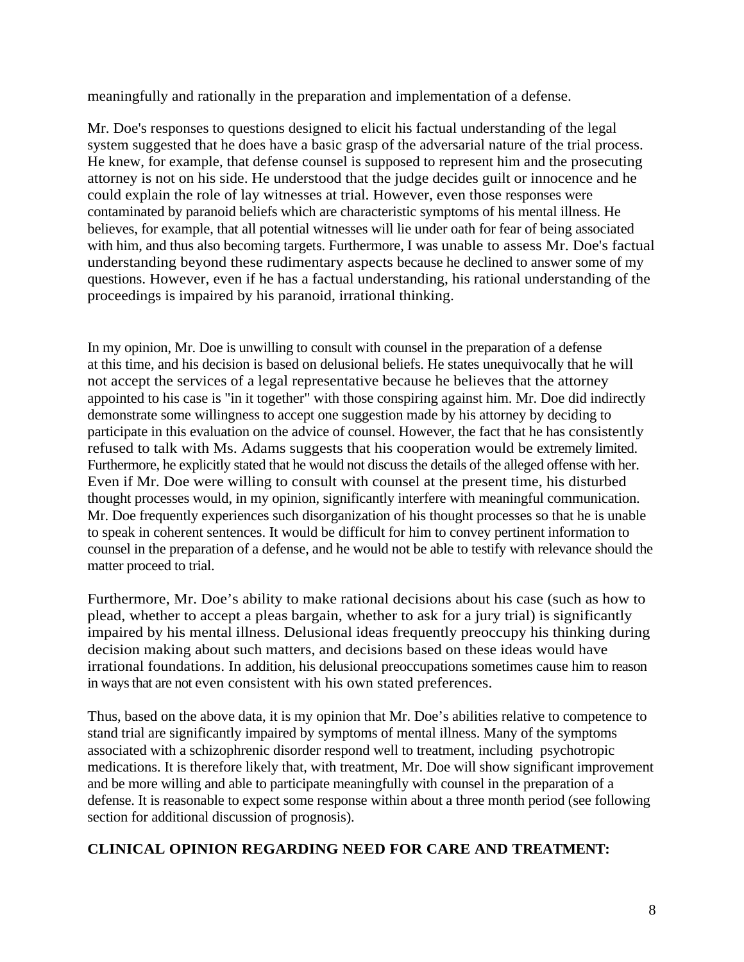meaningfully and rationally in the preparation and implementation of a defense.

Mr. Doe's responses to questions designed to elicit his factual understanding of the legal system suggested that he does have a basic grasp of the adversarial nature of the trial process. He knew, for example, that defense counsel is supposed to represent him and the prosecuting attorney is not on his side. He understood that the judge decides guilt or innocence and he could explain the role of lay witnesses at trial. However, even those responses were contaminated by paranoid beliefs which are characteristic symptoms of his mental illness. He believes, for example, that all potential witnesses will lie under oath for fear of being associated with him, and thus also becoming targets. Furthermore, I was unable to assess Mr. Doe's factual understanding beyond these rudimentary aspects because he declined to answer some of my questions. However, even if he has a factual understanding, his rational understanding of the proceedings is impaired by his paranoid, irrational thinking.

In my opinion, Mr. Doe is unwilling to consult with counsel in the preparation of a defense at this time, and his decision is based on delusional beliefs. He states unequivocally that he will not accept the services of a legal representative because he believes that the attorney appointed to his case is "in it together" with those conspiring against him. Mr. Doe did indirectly demonstrate some willingness to accept one suggestion made by his attorney by deciding to participate in this evaluation on the advice of counsel. However, the fact that he has consistently refused to talk with Ms. Adams suggests that his cooperation would be extremely limited. Furthermore, he explicitly stated that he would not discuss the details of the alleged offense with her. Even if Mr. Doe were willing to consult with counsel at the present time, his disturbed thought processes would, in my opinion, significantly interfere with meaningful communication. Mr. Doe frequently experiences such disorganization of his thought processes so that he is unable to speak in coherent sentences. It would be difficult for him to convey pertinent information to counsel in the preparation of a defense, and he would not be able to testify with relevance should the matter proceed to trial.

Furthermore, Mr. Doe's ability to make rational decisions about his case (such as how to plead, whether to accept a pleas bargain, whether to ask for a jury trial) is significantly impaired by his mental illness. Delusional ideas frequently preoccupy his thinking during decision making about such matters, and decisions based on these ideas would have irrational foundations. In addition, his delusional preoccupations sometimes cause him to reason in ways that are not even consistent with his own stated preferences.

Thus, based on the above data, it is my opinion that Mr. Doe's abilities relative to competence to stand trial are significantly impaired by symptoms of mental illness. Many of the symptoms associated with a schizophrenic disorder respond well to treatment, including psychotropic medications. It is therefore likely that, with treatment, Mr. Doe will show significant improvement and be more willing and able to participate meaningfully with counsel in the preparation of a defense. It is reasonable to expect some response within about a three month period (see following section for additional discussion of prognosis).

## **CLINICAL OPINION REGARDING NEED FOR CARE AND TREATMENT:**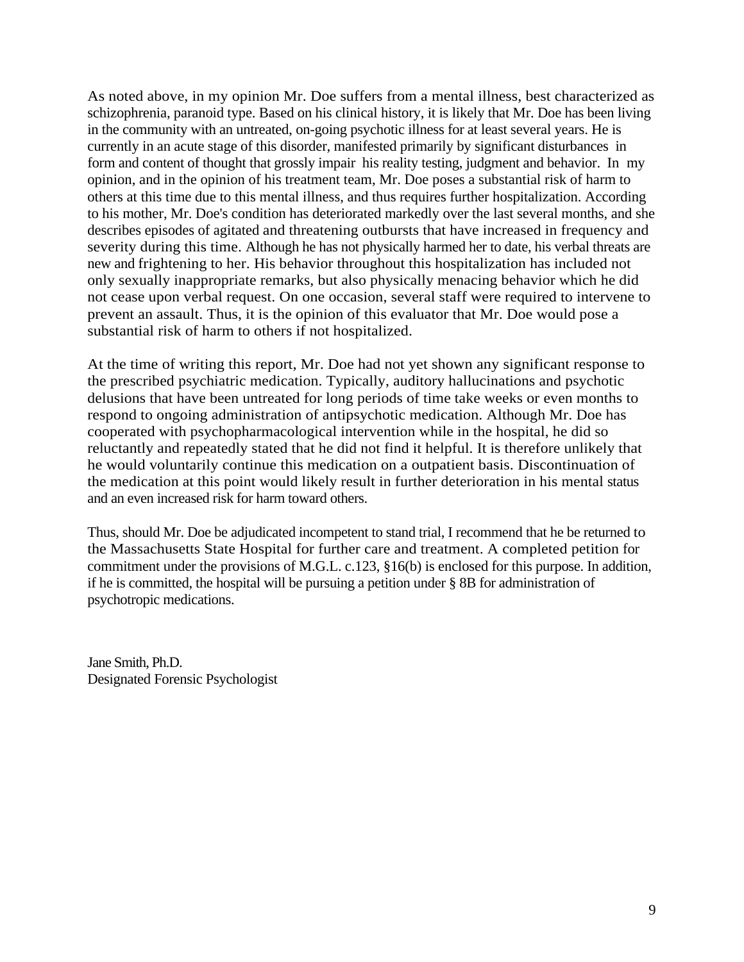As noted above, in my opinion Mr. Doe suffers from a mental illness, best characterized as schizophrenia, paranoid type. Based on his clinical history, it is likely that Mr. Doe has been living in the community with an untreated, on-going psychotic illness for at least several years. He is currently in an acute stage of this disorder, manifested primarily by significant disturbances in form and content of thought that grossly impair his reality testing, judgment and behavior. In my opinion, and in the opinion of his treatment team, Mr. Doe poses a substantial risk of harm to others at this time due to this mental illness, and thus requires further hospitalization. According to his mother, Mr. Doe's condition has deteriorated markedly over the last several months, and she describes episodes of agitated and threatening outbursts that have increased in frequency and severity during this time. Although he has not physically harmed her to date, his verbal threats are new and frightening to her. His behavior throughout this hospitalization has included not only sexually inappropriate remarks, but also physically menacing behavior which he did not cease upon verbal request. On one occasion, several staff were required to intervene to prevent an assault. Thus, it is the opinion of this evaluator that Mr. Doe would pose a substantial risk of harm to others if not hospitalized.

At the time of writing this report, Mr. Doe had not yet shown any significant response to the prescribed psychiatric medication. Typically, auditory hallucinations and psychotic delusions that have been untreated for long periods of time take weeks or even months to respond to ongoing administration of antipsychotic medication. Although Mr. Doe has cooperated with psychopharmacological intervention while in the hospital, he did so reluctantly and repeatedly stated that he did not find it helpful. It is therefore unlikely that he would voluntarily continue this medication on a outpatient basis. Discontinuation of the medication at this point would likely result in further deterioration in his mental status and an even increased risk for harm toward others.

Thus, should Mr. Doe be adjudicated incompetent to stand trial, I recommend that he be returned to the Massachusetts State Hospital for further care and treatment. A completed petition for commitment under the provisions of M.G.L. c.123, §16(b) is enclosed for this purpose. In addition, if he is committed, the hospital will be pursuing a petition under § 8B for administration of psychotropic medications.

Jane Smith, Ph.D. Designated Forensic Psychologist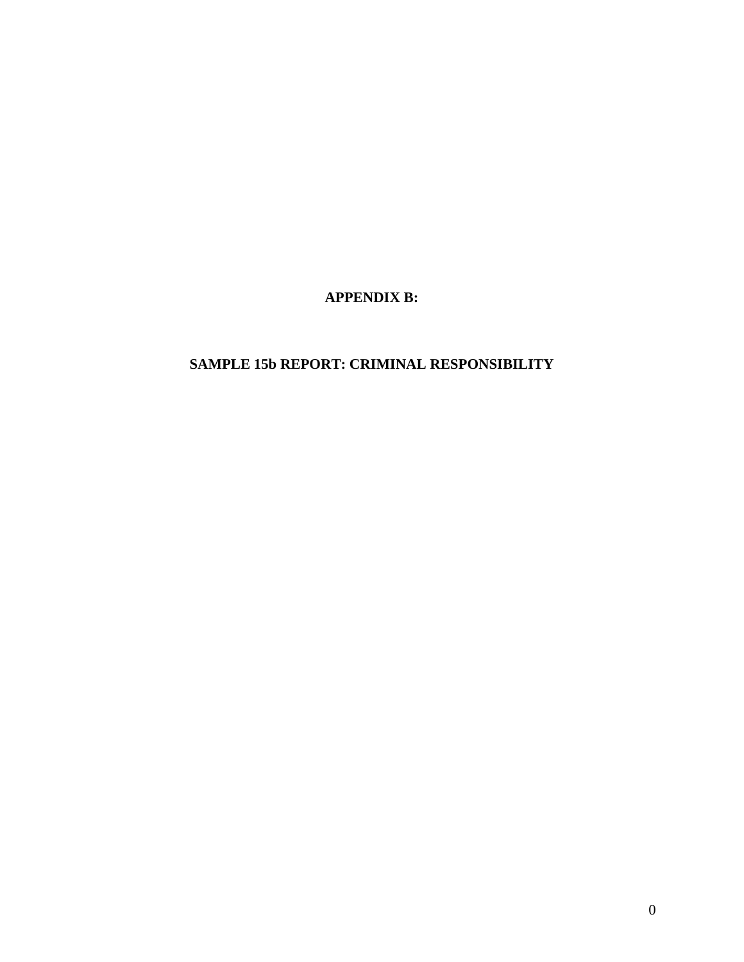**APPENDIX B:** 

## **SAMPLE 15b REPORT: CRIMINAL RESPONSIBILITY**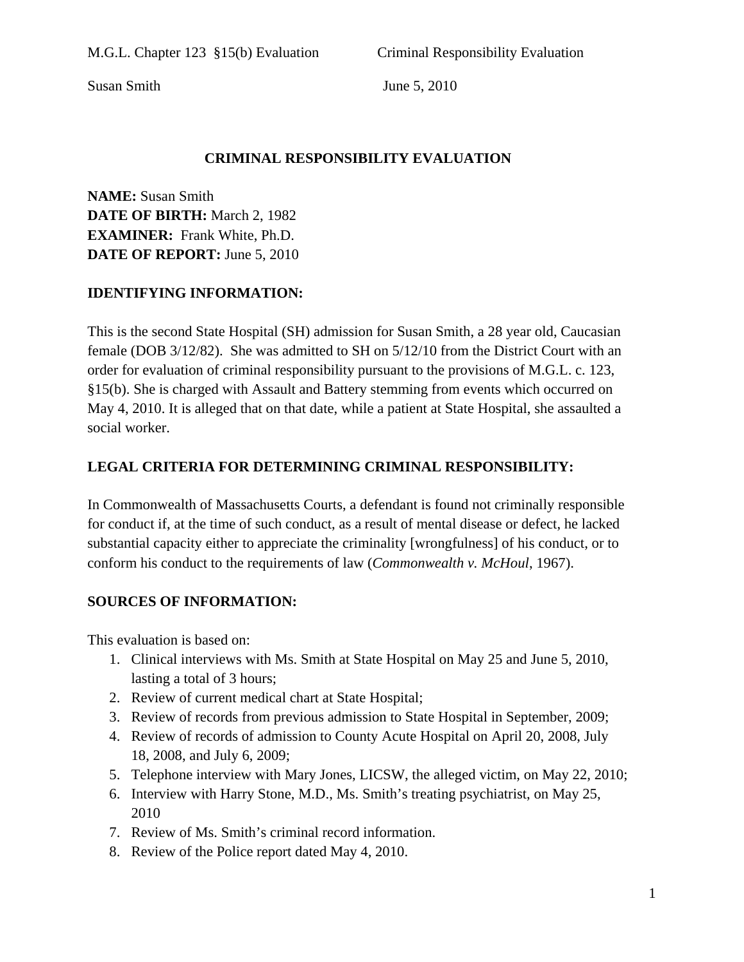## **CRIMINAL RESPONSIBILITY EVALUATION**

**NAME:** Susan Smith **DATE OF BIRTH:** March 2, 1982 **EXAMINER:** Frank White, Ph.D. **DATE OF REPORT:** June 5, 2010

## **IDENTIFYING INFORMATION:**

This is the second State Hospital (SH) admission for Susan Smith, a 28 year old, Caucasian female (DOB 3/12/82). She was admitted to SH on 5/12/10 from the District Court with an order for evaluation of criminal responsibility pursuant to the provisions of M.G.L. c. 123, §15(b). She is charged with Assault and Battery stemming from events which occurred on May 4, 2010. It is alleged that on that date, while a patient at State Hospital, she assaulted a social worker.

## **LEGAL CRITERIA FOR DETERMINING CRIMINAL RESPONSIBILITY:**

In Commonwealth of Massachusetts Courts, a defendant is found not criminally responsible for conduct if, at the time of such conduct, as a result of mental disease or defect, he lacked substantial capacity either to appreciate the criminality [wrongfulness] of his conduct, or to conform his conduct to the requirements of law (*Commonwealth v. McHoul*, 1967).

## **SOURCES OF INFORMATION:**

This evaluation is based on:

- 1. Clinical interviews with Ms. Smith at State Hospital on May 25 and June 5, 2010, lasting a total of 3 hours;
- 2. Review of current medical chart at State Hospital;
- 3. Review of records from previous admission to State Hospital in September, 2009;
- 4. Review of records of admission to County Acute Hospital on April 20, 2008, July 18, 2008, and July 6, 2009;
- 5. Telephone interview with Mary Jones, LICSW, the alleged victim, on May 22, 2010;
- 6. Interview with Harry Stone, M.D., Ms. Smith's treating psychiatrist, on May 25, 2010
- 7. Review of Ms. Smith's criminal record information.
- 8. Review of the Police report dated May 4, 2010.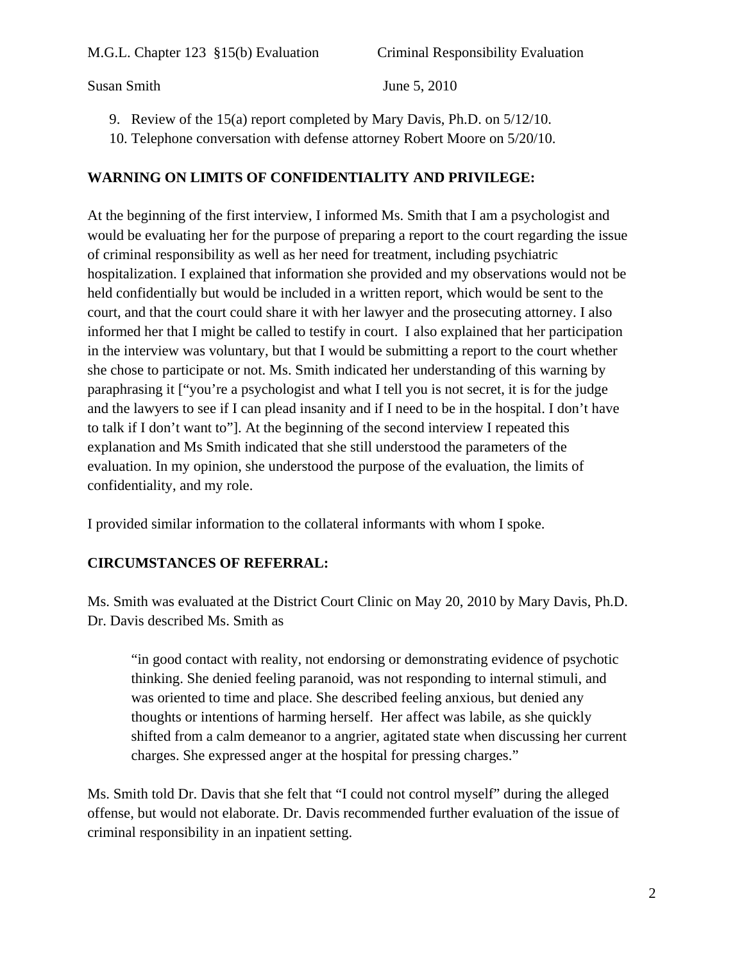- 9. Review of the 15(a) report completed by Mary Davis, Ph.D. on 5/12/10.
- 10. Telephone conversation with defense attorney Robert Moore on 5/20/10.

## **WARNING ON LIMITS OF CONFIDENTIALITY AND PRIVILEGE:**

At the beginning of the first interview, I informed Ms. Smith that I am a psychologist and would be evaluating her for the purpose of preparing a report to the court regarding the issue of criminal responsibility as well as her need for treatment, including psychiatric hospitalization. I explained that information she provided and my observations would not be held confidentially but would be included in a written report, which would be sent to the court, and that the court could share it with her lawyer and the prosecuting attorney. I also informed her that I might be called to testify in court. I also explained that her participation in the interview was voluntary, but that I would be submitting a report to the court whether she chose to participate or not. Ms. Smith indicated her understanding of this warning by paraphrasing it ["you're a psychologist and what I tell you is not secret, it is for the judge and the lawyers to see if I can plead insanity and if I need to be in the hospital. I don't have to talk if I don't want to"]. At the beginning of the second interview I repeated this explanation and Ms Smith indicated that she still understood the parameters of the evaluation. In my opinion, she understood the purpose of the evaluation, the limits of confidentiality, and my role.

I provided similar information to the collateral informants with whom I spoke.

## **CIRCUMSTANCES OF REFERRAL:**

Ms. Smith was evaluated at the District Court Clinic on May 20, 2010 by Mary Davis, Ph.D. Dr. Davis described Ms. Smith as

"in good contact with reality, not endorsing or demonstrating evidence of psychotic thinking. She denied feeling paranoid, was not responding to internal stimuli, and was oriented to time and place. She described feeling anxious, but denied any thoughts or intentions of harming herself. Her affect was labile, as she quickly shifted from a calm demeanor to a angrier, agitated state when discussing her current charges. She expressed anger at the hospital for pressing charges."

Ms. Smith told Dr. Davis that she felt that "I could not control myself" during the alleged offense, but would not elaborate. Dr. Davis recommended further evaluation of the issue of criminal responsibility in an inpatient setting.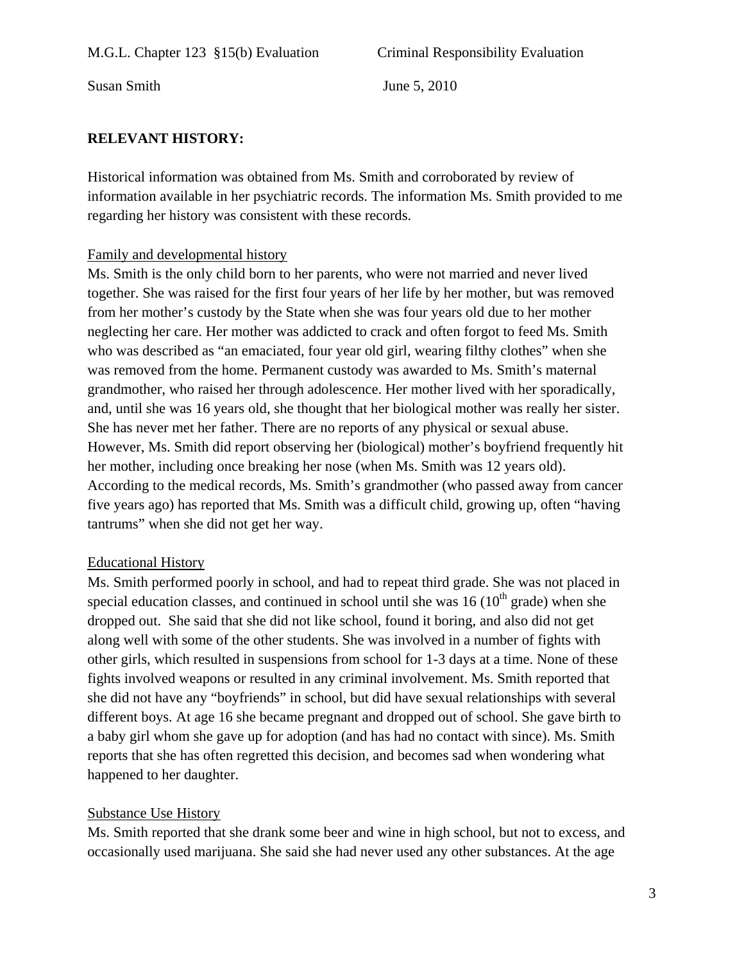## **RELEVANT HISTORY:**

Historical information was obtained from Ms. Smith and corroborated by review of information available in her psychiatric records. The information Ms. Smith provided to me regarding her history was consistent with these records.

## Family and developmental history

Ms. Smith is the only child born to her parents, who were not married and never lived together. She was raised for the first four years of her life by her mother, but was removed from her mother's custody by the State when she was four years old due to her mother neglecting her care. Her mother was addicted to crack and often forgot to feed Ms. Smith who was described as "an emaciated, four year old girl, wearing filthy clothes" when she was removed from the home. Permanent custody was awarded to Ms. Smith's maternal grandmother, who raised her through adolescence. Her mother lived with her sporadically, and, until she was 16 years old, she thought that her biological mother was really her sister. She has never met her father. There are no reports of any physical or sexual abuse. However, Ms. Smith did report observing her (biological) mother's boyfriend frequently hit her mother, including once breaking her nose (when Ms. Smith was 12 years old). According to the medical records, Ms. Smith's grandmother (who passed away from cancer five years ago) has reported that Ms. Smith was a difficult child, growing up, often "having tantrums" when she did not get her way.

## Educational History

Ms. Smith performed poorly in school, and had to repeat third grade. She was not placed in special education classes, and continued in school until she was  $16 (10<sup>th</sup> \text{ grade})$  when she dropped out. She said that she did not like school, found it boring, and also did not get along well with some of the other students. She was involved in a number of fights with other girls, which resulted in suspensions from school for 1-3 days at a time. None of these fights involved weapons or resulted in any criminal involvement. Ms. Smith reported that she did not have any "boyfriends" in school, but did have sexual relationships with several different boys. At age 16 she became pregnant and dropped out of school. She gave birth to a baby girl whom she gave up for adoption (and has had no contact with since). Ms. Smith reports that she has often regretted this decision, and becomes sad when wondering what happened to her daughter.

## Substance Use History

Ms. Smith reported that she drank some beer and wine in high school, but not to excess, and occasionally used marijuana. She said she had never used any other substances. At the age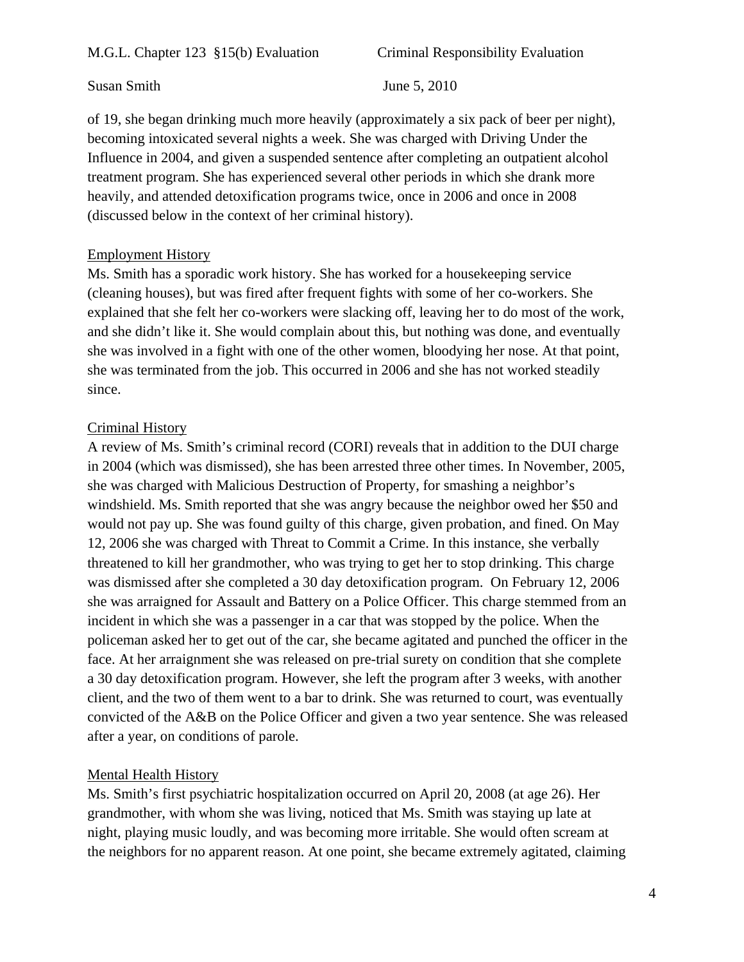of 19, she began drinking much more heavily (approximately a six pack of beer per night), becoming intoxicated several nights a week. She was charged with Driving Under the Influence in 2004, and given a suspended sentence after completing an outpatient alcohol treatment program. She has experienced several other periods in which she drank more heavily, and attended detoxification programs twice, once in 2006 and once in 2008 (discussed below in the context of her criminal history).

## Employment History

Ms. Smith has a sporadic work history. She has worked for a housekeeping service (cleaning houses), but was fired after frequent fights with some of her co-workers. She explained that she felt her co-workers were slacking off, leaving her to do most of the work, and she didn't like it. She would complain about this, but nothing was done, and eventually she was involved in a fight with one of the other women, bloodying her nose. At that point, she was terminated from the job. This occurred in 2006 and she has not worked steadily since.

## Criminal History

A review of Ms. Smith's criminal record (CORI) reveals that in addition to the DUI charge in 2004 (which was dismissed), she has been arrested three other times. In November, 2005, she was charged with Malicious Destruction of Property, for smashing a neighbor's windshield. Ms. Smith reported that she was angry because the neighbor owed her \$50 and would not pay up. She was found guilty of this charge, given probation, and fined. On May 12, 2006 she was charged with Threat to Commit a Crime. In this instance, she verbally threatened to kill her grandmother, who was trying to get her to stop drinking. This charge was dismissed after she completed a 30 day detoxification program. On February 12, 2006 she was arraigned for Assault and Battery on a Police Officer. This charge stemmed from an incident in which she was a passenger in a car that was stopped by the police. When the policeman asked her to get out of the car, she became agitated and punched the officer in the face. At her arraignment she was released on pre-trial surety on condition that she complete a 30 day detoxification program. However, she left the program after 3 weeks, with another client, and the two of them went to a bar to drink. She was returned to court, was eventually convicted of the A&B on the Police Officer and given a two year sentence. She was released after a year, on conditions of parole.

## Mental Health History

Ms. Smith's first psychiatric hospitalization occurred on April 20, 2008 (at age 26). Her grandmother, with whom she was living, noticed that Ms. Smith was staying up late at night, playing music loudly, and was becoming more irritable. She would often scream at the neighbors for no apparent reason. At one point, she became extremely agitated, claiming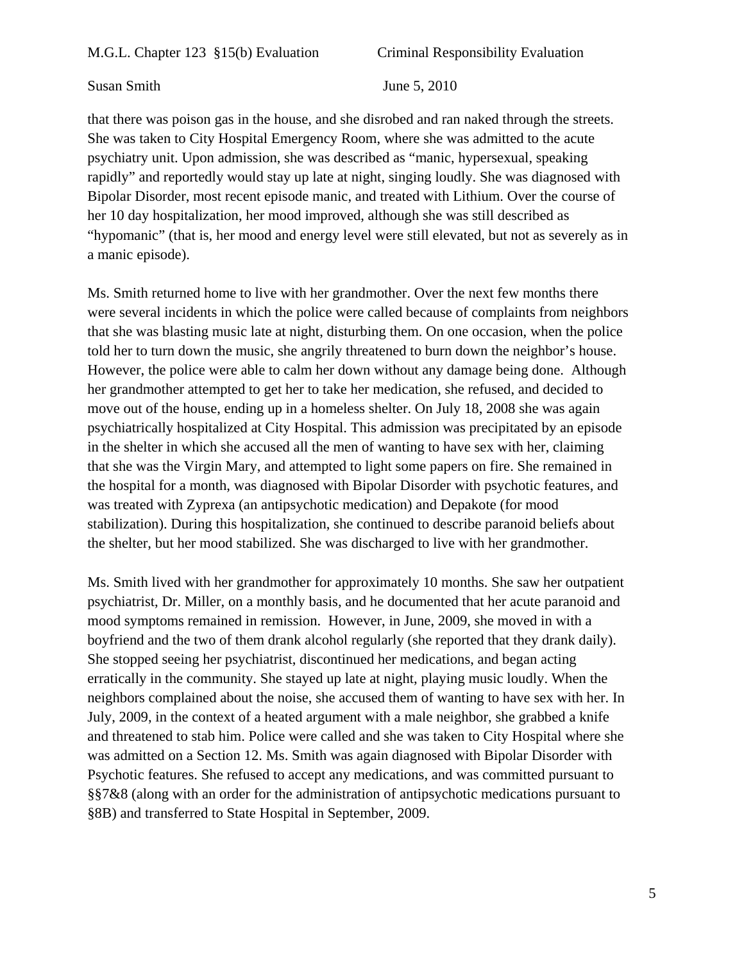that there was poison gas in the house, and she disrobed and ran naked through the streets. She was taken to City Hospital Emergency Room, where she was admitted to the acute psychiatry unit. Upon admission, she was described as "manic, hypersexual, speaking rapidly" and reportedly would stay up late at night, singing loudly. She was diagnosed with Bipolar Disorder, most recent episode manic, and treated with Lithium. Over the course of her 10 day hospitalization, her mood improved, although she was still described as "hypomanic" (that is, her mood and energy level were still elevated, but not as severely as in a manic episode).

Ms. Smith returned home to live with her grandmother. Over the next few months there were several incidents in which the police were called because of complaints from neighbors that she was blasting music late at night, disturbing them. On one occasion, when the police told her to turn down the music, she angrily threatened to burn down the neighbor's house. However, the police were able to calm her down without any damage being done. Although her grandmother attempted to get her to take her medication, she refused, and decided to move out of the house, ending up in a homeless shelter. On July 18, 2008 she was again psychiatrically hospitalized at City Hospital. This admission was precipitated by an episode in the shelter in which she accused all the men of wanting to have sex with her, claiming that she was the Virgin Mary, and attempted to light some papers on fire. She remained in the hospital for a month, was diagnosed with Bipolar Disorder with psychotic features, and was treated with Zyprexa (an antipsychotic medication) and Depakote (for mood stabilization). During this hospitalization, she continued to describe paranoid beliefs about the shelter, but her mood stabilized. She was discharged to live with her grandmother.

Ms. Smith lived with her grandmother for approximately 10 months. She saw her outpatient psychiatrist, Dr. Miller, on a monthly basis, and he documented that her acute paranoid and mood symptoms remained in remission. However, in June, 2009, she moved in with a boyfriend and the two of them drank alcohol regularly (she reported that they drank daily). She stopped seeing her psychiatrist, discontinued her medications, and began acting erratically in the community. She stayed up late at night, playing music loudly. When the neighbors complained about the noise, she accused them of wanting to have sex with her. In July, 2009, in the context of a heated argument with a male neighbor, she grabbed a knife and threatened to stab him. Police were called and she was taken to City Hospital where she was admitted on a Section 12. Ms. Smith was again diagnosed with Bipolar Disorder with Psychotic features. She refused to accept any medications, and was committed pursuant to §§7&8 (along with an order for the administration of antipsychotic medications pursuant to §8B) and transferred to State Hospital in September, 2009.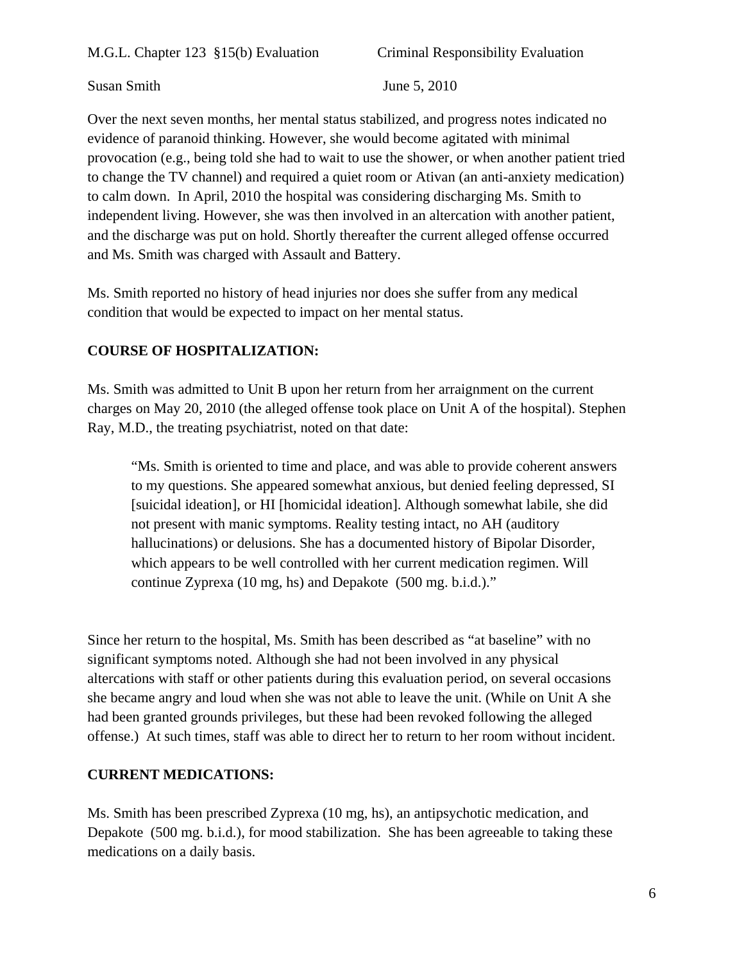Over the next seven months, her mental status stabilized, and progress notes indicated no evidence of paranoid thinking. However, she would become agitated with minimal provocation (e.g., being told she had to wait to use the shower, or when another patient tried to change the TV channel) and required a quiet room or Ativan (an anti-anxiety medication) to calm down. In April, 2010 the hospital was considering discharging Ms. Smith to independent living. However, she was then involved in an altercation with another patient, and the discharge was put on hold. Shortly thereafter the current alleged offense occurred and Ms. Smith was charged with Assault and Battery.

Ms. Smith reported no history of head injuries nor does she suffer from any medical condition that would be expected to impact on her mental status.

## **COURSE OF HOSPITALIZATION:**

Ms. Smith was admitted to Unit B upon her return from her arraignment on the current charges on May 20, 2010 (the alleged offense took place on Unit A of the hospital). Stephen Ray, M.D., the treating psychiatrist, noted on that date:

"Ms. Smith is oriented to time and place, and was able to provide coherent answers to my questions. She appeared somewhat anxious, but denied feeling depressed, SI [suicidal ideation], or HI [homicidal ideation]. Although somewhat labile, she did not present with manic symptoms. Reality testing intact, no AH (auditory hallucinations) or delusions. She has a documented history of Bipolar Disorder, which appears to be well controlled with her current medication regimen. Will continue Zyprexa (10 mg, hs) and Depakote (500 mg. b.i.d.)."

Since her return to the hospital, Ms. Smith has been described as "at baseline" with no significant symptoms noted. Although she had not been involved in any physical altercations with staff or other patients during this evaluation period, on several occasions she became angry and loud when she was not able to leave the unit. (While on Unit A she had been granted grounds privileges, but these had been revoked following the alleged offense.) At such times, staff was able to direct her to return to her room without incident.

## **CURRENT MEDICATIONS:**

Ms. Smith has been prescribed Zyprexa (10 mg, hs), an antipsychotic medication, and Depakote (500 mg. b.i.d.), for mood stabilization. She has been agreeable to taking these medications on a daily basis.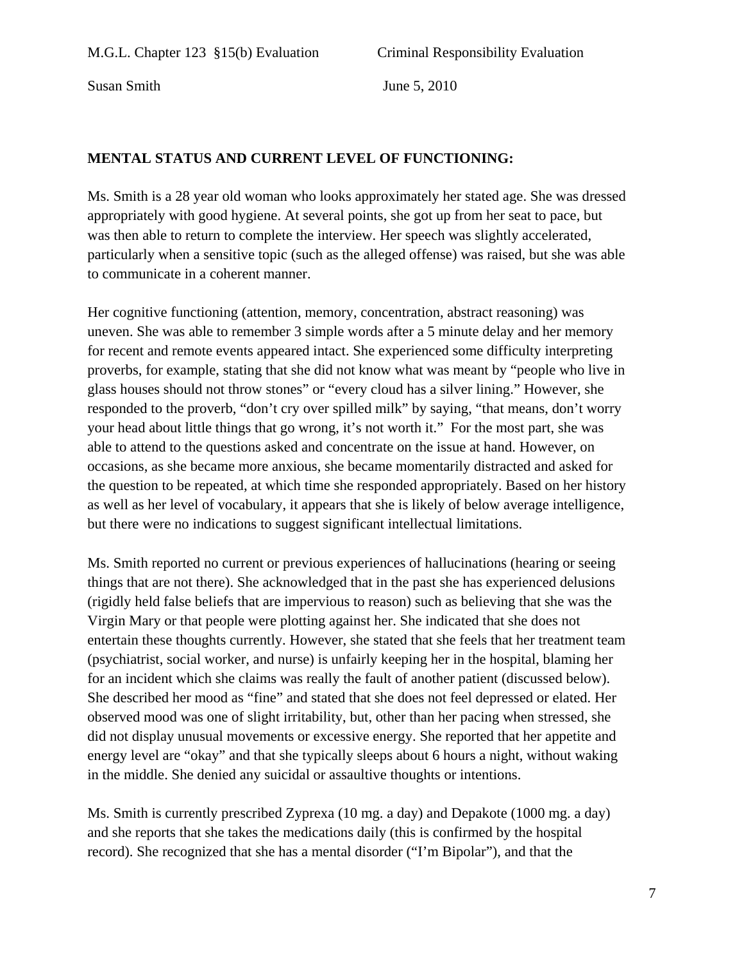## **MENTAL STATUS AND CURRENT LEVEL OF FUNCTIONING:**

Ms. Smith is a 28 year old woman who looks approximately her stated age. She was dressed appropriately with good hygiene. At several points, she got up from her seat to pace, but was then able to return to complete the interview. Her speech was slightly accelerated, particularly when a sensitive topic (such as the alleged offense) was raised, but she was able to communicate in a coherent manner.

Her cognitive functioning (attention, memory, concentration, abstract reasoning) was uneven. She was able to remember 3 simple words after a 5 minute delay and her memory for recent and remote events appeared intact. She experienced some difficulty interpreting proverbs, for example, stating that she did not know what was meant by "people who live in glass houses should not throw stones" or "every cloud has a silver lining." However, she responded to the proverb, "don't cry over spilled milk" by saying, "that means, don't worry your head about little things that go wrong, it's not worth it." For the most part, she was able to attend to the questions asked and concentrate on the issue at hand. However, on occasions, as she became more anxious, she became momentarily distracted and asked for the question to be repeated, at which time she responded appropriately. Based on her history as well as her level of vocabulary, it appears that she is likely of below average intelligence, but there were no indications to suggest significant intellectual limitations.

Ms. Smith reported no current or previous experiences of hallucinations (hearing or seeing things that are not there). She acknowledged that in the past she has experienced delusions (rigidly held false beliefs that are impervious to reason) such as believing that she was the Virgin Mary or that people were plotting against her. She indicated that she does not entertain these thoughts currently. However, she stated that she feels that her treatment team (psychiatrist, social worker, and nurse) is unfairly keeping her in the hospital, blaming her for an incident which she claims was really the fault of another patient (discussed below). She described her mood as "fine" and stated that she does not feel depressed or elated. Her observed mood was one of slight irritability, but, other than her pacing when stressed, she did not display unusual movements or excessive energy. She reported that her appetite and energy level are "okay" and that she typically sleeps about 6 hours a night, without waking in the middle. She denied any suicidal or assaultive thoughts or intentions.

Ms. Smith is currently prescribed Zyprexa (10 mg. a day) and Depakote (1000 mg. a day) and she reports that she takes the medications daily (this is confirmed by the hospital record). She recognized that she has a mental disorder ("I'm Bipolar"), and that the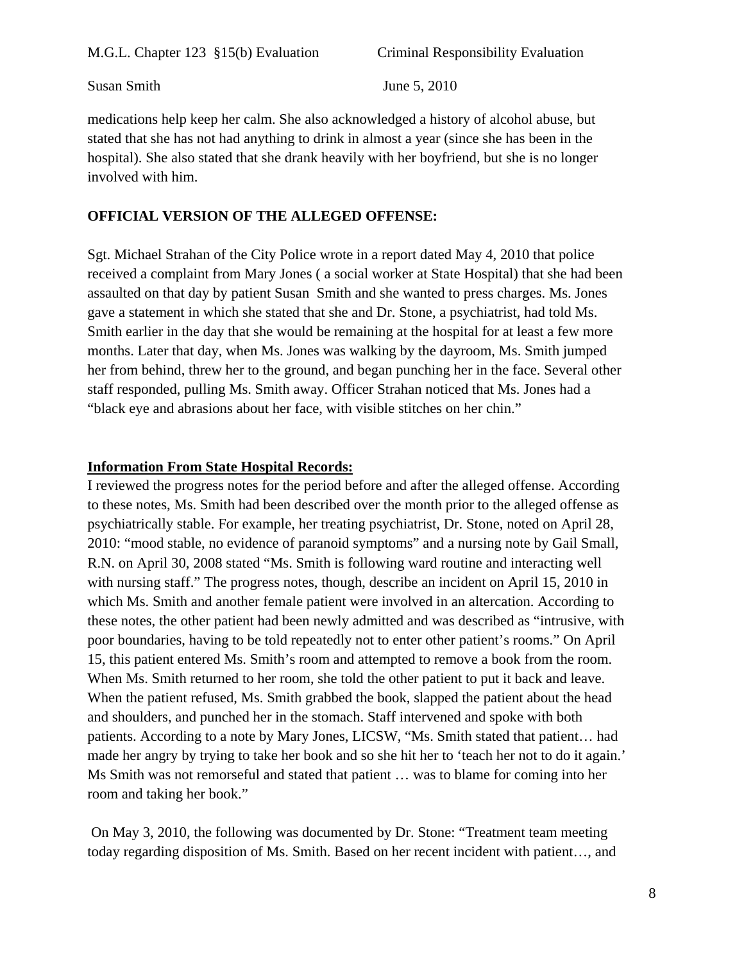medications help keep her calm. She also acknowledged a history of alcohol abuse, but stated that she has not had anything to drink in almost a year (since she has been in the hospital). She also stated that she drank heavily with her boyfriend, but she is no longer involved with him.

#### **OFFICIAL VERSION OF THE ALLEGED OFFENSE:**

Sgt. Michael Strahan of the City Police wrote in a report dated May 4, 2010 that police received a complaint from Mary Jones ( a social worker at State Hospital) that she had been assaulted on that day by patient Susan Smith and she wanted to press charges. Ms. Jones gave a statement in which she stated that she and Dr. Stone, a psychiatrist, had told Ms. Smith earlier in the day that she would be remaining at the hospital for at least a few more months. Later that day, when Ms. Jones was walking by the dayroom, Ms. Smith jumped her from behind, threw her to the ground, and began punching her in the face. Several other staff responded, pulling Ms. Smith away. Officer Strahan noticed that Ms. Jones had a "black eye and abrasions about her face, with visible stitches on her chin."

#### **Information From State Hospital Records:**

I reviewed the progress notes for the period before and after the alleged offense. According to these notes, Ms. Smith had been described over the month prior to the alleged offense as psychiatrically stable. For example, her treating psychiatrist, Dr. Stone, noted on April 28, 2010: "mood stable, no evidence of paranoid symptoms" and a nursing note by Gail Small, R.N. on April 30, 2008 stated "Ms. Smith is following ward routine and interacting well with nursing staff." The progress notes, though, describe an incident on April 15, 2010 in which Ms. Smith and another female patient were involved in an altercation. According to these notes, the other patient had been newly admitted and was described as "intrusive, with poor boundaries, having to be told repeatedly not to enter other patient's rooms." On April 15, this patient entered Ms. Smith's room and attempted to remove a book from the room. When Ms. Smith returned to her room, she told the other patient to put it back and leave. When the patient refused, Ms. Smith grabbed the book, slapped the patient about the head and shoulders, and punched her in the stomach. Staff intervened and spoke with both patients. According to a note by Mary Jones, LICSW, "Ms. Smith stated that patient… had made her angry by trying to take her book and so she hit her to 'teach her not to do it again.' Ms Smith was not remorseful and stated that patient … was to blame for coming into her room and taking her book."

 On May 3, 2010, the following was documented by Dr. Stone: "Treatment team meeting today regarding disposition of Ms. Smith. Based on her recent incident with patient…, and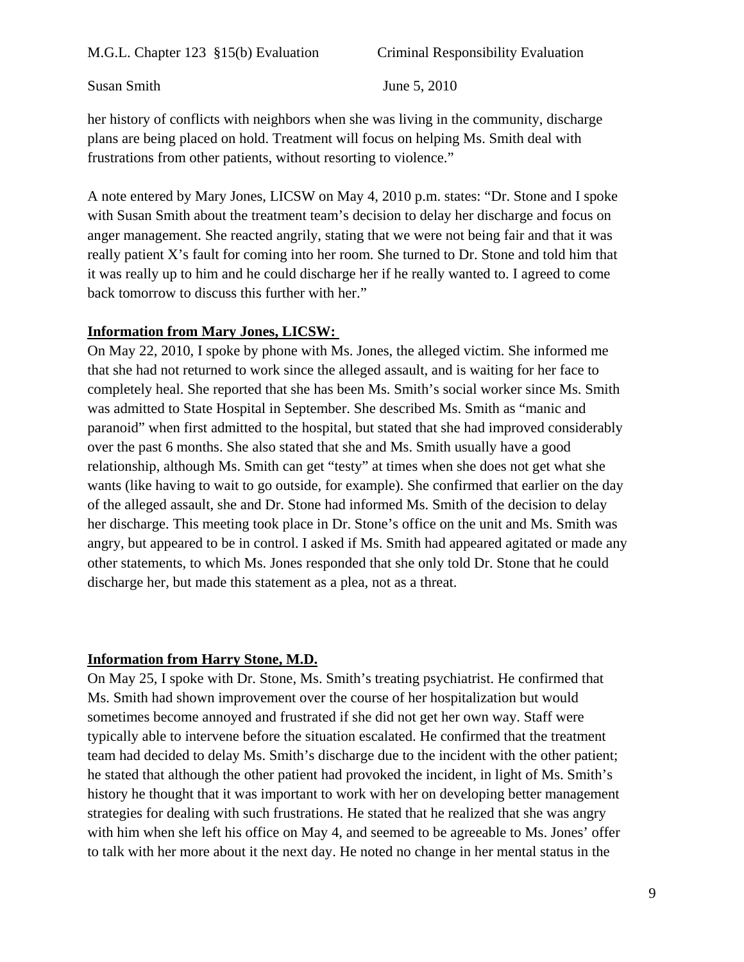her history of conflicts with neighbors when she was living in the community, discharge plans are being placed on hold. Treatment will focus on helping Ms. Smith deal with frustrations from other patients, without resorting to violence."

A note entered by Mary Jones, LICSW on May 4, 2010 p.m. states: "Dr. Stone and I spoke with Susan Smith about the treatment team's decision to delay her discharge and focus on anger management. She reacted angrily, stating that we were not being fair and that it was really patient X's fault for coming into her room. She turned to Dr. Stone and told him that it was really up to him and he could discharge her if he really wanted to. I agreed to come back tomorrow to discuss this further with her."

## **Information from Mary Jones, LICSW:**

On May 22, 2010, I spoke by phone with Ms. Jones, the alleged victim. She informed me that she had not returned to work since the alleged assault, and is waiting for her face to completely heal. She reported that she has been Ms. Smith's social worker since Ms. Smith was admitted to State Hospital in September. She described Ms. Smith as "manic and paranoid" when first admitted to the hospital, but stated that she had improved considerably over the past 6 months. She also stated that she and Ms. Smith usually have a good relationship, although Ms. Smith can get "testy" at times when she does not get what she wants (like having to wait to go outside, for example). She confirmed that earlier on the day of the alleged assault, she and Dr. Stone had informed Ms. Smith of the decision to delay her discharge. This meeting took place in Dr. Stone's office on the unit and Ms. Smith was angry, but appeared to be in control. I asked if Ms. Smith had appeared agitated or made any other statements, to which Ms. Jones responded that she only told Dr. Stone that he could discharge her, but made this statement as a plea, not as a threat.

## **Information from Harry Stone, M.D.**

On May 25, I spoke with Dr. Stone, Ms. Smith's treating psychiatrist. He confirmed that Ms. Smith had shown improvement over the course of her hospitalization but would sometimes become annoyed and frustrated if she did not get her own way. Staff were typically able to intervene before the situation escalated. He confirmed that the treatment team had decided to delay Ms. Smith's discharge due to the incident with the other patient; he stated that although the other patient had provoked the incident, in light of Ms. Smith's history he thought that it was important to work with her on developing better management strategies for dealing with such frustrations. He stated that he realized that she was angry with him when she left his office on May 4, and seemed to be agreeable to Ms. Jones' offer to talk with her more about it the next day. He noted no change in her mental status in the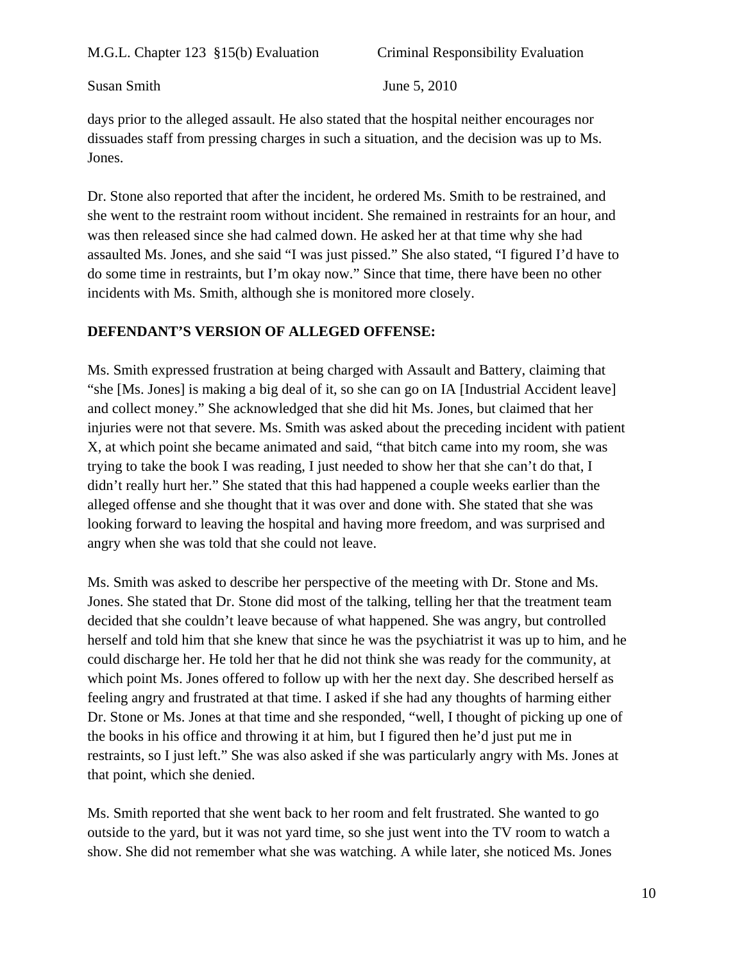M.G.L. Chapter 123 §15(b) Evaluation Criminal Responsibility Evaluation

Susan Smith June 5, 2010

days prior to the alleged assault. He also stated that the hospital neither encourages nor dissuades staff from pressing charges in such a situation, and the decision was up to Ms. Jones.

Dr. Stone also reported that after the incident, he ordered Ms. Smith to be restrained, and she went to the restraint room without incident. She remained in restraints for an hour, and was then released since she had calmed down. He asked her at that time why she had assaulted Ms. Jones, and she said "I was just pissed." She also stated, "I figured I'd have to do some time in restraints, but I'm okay now." Since that time, there have been no other incidents with Ms. Smith, although she is monitored more closely.

## **DEFENDANT'S VERSION OF ALLEGED OFFENSE:**

Ms. Smith expressed frustration at being charged with Assault and Battery, claiming that "she [Ms. Jones] is making a big deal of it, so she can go on IA [Industrial Accident leave] and collect money." She acknowledged that she did hit Ms. Jones, but claimed that her injuries were not that severe. Ms. Smith was asked about the preceding incident with patient X, at which point she became animated and said, "that bitch came into my room, she was trying to take the book I was reading, I just needed to show her that she can't do that, I didn't really hurt her." She stated that this had happened a couple weeks earlier than the alleged offense and she thought that it was over and done with. She stated that she was looking forward to leaving the hospital and having more freedom, and was surprised and angry when she was told that she could not leave.

Ms. Smith was asked to describe her perspective of the meeting with Dr. Stone and Ms. Jones. She stated that Dr. Stone did most of the talking, telling her that the treatment team decided that she couldn't leave because of what happened. She was angry, but controlled herself and told him that she knew that since he was the psychiatrist it was up to him, and he could discharge her. He told her that he did not think she was ready for the community, at which point Ms. Jones offered to follow up with her the next day. She described herself as feeling angry and frustrated at that time. I asked if she had any thoughts of harming either Dr. Stone or Ms. Jones at that time and she responded, "well, I thought of picking up one of the books in his office and throwing it at him, but I figured then he'd just put me in restraints, so I just left." She was also asked if she was particularly angry with Ms. Jones at that point, which she denied.

Ms. Smith reported that she went back to her room and felt frustrated. She wanted to go outside to the yard, but it was not yard time, so she just went into the TV room to watch a show. She did not remember what she was watching. A while later, she noticed Ms. Jones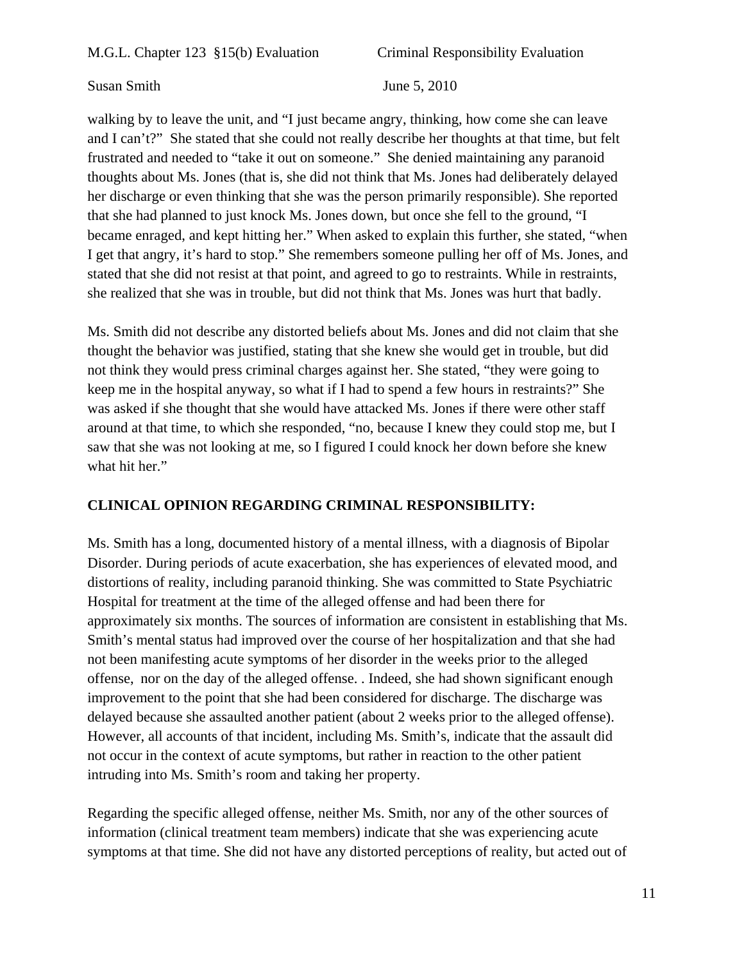walking by to leave the unit, and "I just became angry, thinking, how come she can leave and I can't?" She stated that she could not really describe her thoughts at that time, but felt frustrated and needed to "take it out on someone." She denied maintaining any paranoid thoughts about Ms. Jones (that is, she did not think that Ms. Jones had deliberately delayed her discharge or even thinking that she was the person primarily responsible). She reported that she had planned to just knock Ms. Jones down, but once she fell to the ground, "I became enraged, and kept hitting her." When asked to explain this further, she stated, "when I get that angry, it's hard to stop." She remembers someone pulling her off of Ms. Jones, and stated that she did not resist at that point, and agreed to go to restraints. While in restraints, she realized that she was in trouble, but did not think that Ms. Jones was hurt that badly.

Ms. Smith did not describe any distorted beliefs about Ms. Jones and did not claim that she thought the behavior was justified, stating that she knew she would get in trouble, but did not think they would press criminal charges against her. She stated, "they were going to keep me in the hospital anyway, so what if I had to spend a few hours in restraints?" She was asked if she thought that she would have attacked Ms. Jones if there were other staff around at that time, to which she responded, "no, because I knew they could stop me, but I saw that she was not looking at me, so I figured I could knock her down before she knew what hit her."

## **CLINICAL OPINION REGARDING CRIMINAL RESPONSIBILITY:**

Ms. Smith has a long, documented history of a mental illness, with a diagnosis of Bipolar Disorder. During periods of acute exacerbation, she has experiences of elevated mood, and distortions of reality, including paranoid thinking. She was committed to State Psychiatric Hospital for treatment at the time of the alleged offense and had been there for approximately six months. The sources of information are consistent in establishing that Ms. Smith's mental status had improved over the course of her hospitalization and that she had not been manifesting acute symptoms of her disorder in the weeks prior to the alleged offense, nor on the day of the alleged offense. . Indeed, she had shown significant enough improvement to the point that she had been considered for discharge. The discharge was delayed because she assaulted another patient (about 2 weeks prior to the alleged offense). However, all accounts of that incident, including Ms. Smith's, indicate that the assault did not occur in the context of acute symptoms, but rather in reaction to the other patient intruding into Ms. Smith's room and taking her property.

Regarding the specific alleged offense, neither Ms. Smith, nor any of the other sources of information (clinical treatment team members) indicate that she was experiencing acute symptoms at that time. She did not have any distorted perceptions of reality, but acted out of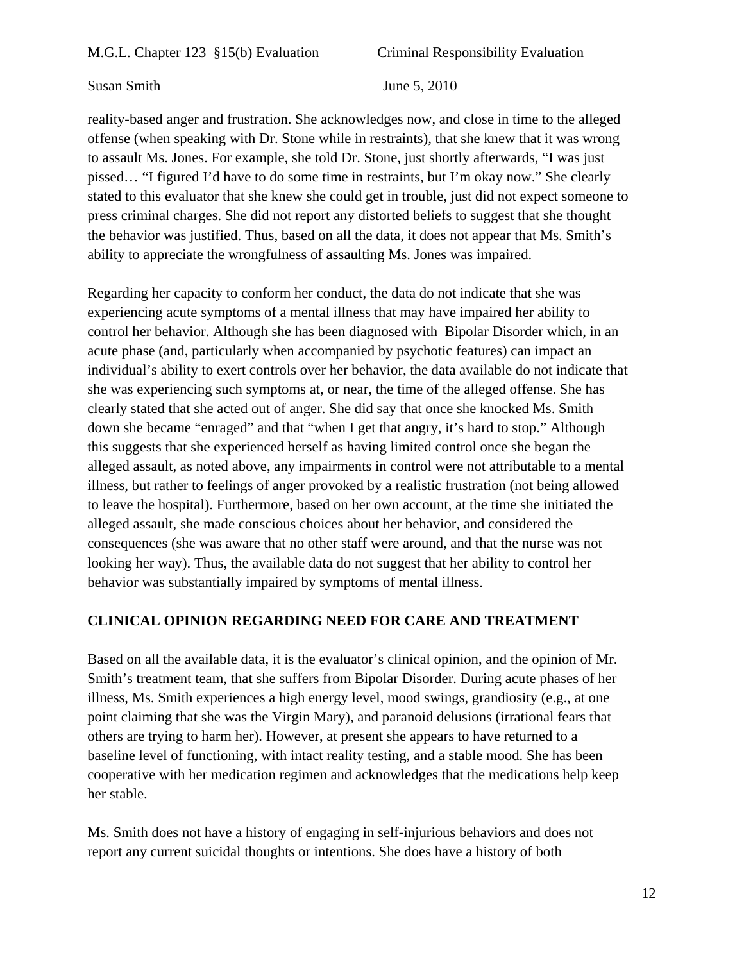reality-based anger and frustration. She acknowledges now, and close in time to the alleged offense (when speaking with Dr. Stone while in restraints), that she knew that it was wrong to assault Ms. Jones. For example, she told Dr. Stone, just shortly afterwards, "I was just pissed… "I figured I'd have to do some time in restraints, but I'm okay now." She clearly stated to this evaluator that she knew she could get in trouble, just did not expect someone to press criminal charges. She did not report any distorted beliefs to suggest that she thought the behavior was justified. Thus, based on all the data, it does not appear that Ms. Smith's ability to appreciate the wrongfulness of assaulting Ms. Jones was impaired.

Regarding her capacity to conform her conduct, the data do not indicate that she was experiencing acute symptoms of a mental illness that may have impaired her ability to control her behavior. Although she has been diagnosed with Bipolar Disorder which, in an acute phase (and, particularly when accompanied by psychotic features) can impact an individual's ability to exert controls over her behavior, the data available do not indicate that she was experiencing such symptoms at, or near, the time of the alleged offense. She has clearly stated that she acted out of anger. She did say that once she knocked Ms. Smith down she became "enraged" and that "when I get that angry, it's hard to stop." Although this suggests that she experienced herself as having limited control once she began the alleged assault, as noted above, any impairments in control were not attributable to a mental illness, but rather to feelings of anger provoked by a realistic frustration (not being allowed to leave the hospital). Furthermore, based on her own account, at the time she initiated the alleged assault, she made conscious choices about her behavior, and considered the consequences (she was aware that no other staff were around, and that the nurse was not looking her way). Thus, the available data do not suggest that her ability to control her behavior was substantially impaired by symptoms of mental illness.

## **CLINICAL OPINION REGARDING NEED FOR CARE AND TREATMENT**

Based on all the available data, it is the evaluator's clinical opinion, and the opinion of Mr. Smith's treatment team, that she suffers from Bipolar Disorder. During acute phases of her illness, Ms. Smith experiences a high energy level, mood swings, grandiosity (e.g., at one point claiming that she was the Virgin Mary), and paranoid delusions (irrational fears that others are trying to harm her). However, at present she appears to have returned to a baseline level of functioning, with intact reality testing, and a stable mood. She has been cooperative with her medication regimen and acknowledges that the medications help keep her stable.

Ms. Smith does not have a history of engaging in self-injurious behaviors and does not report any current suicidal thoughts or intentions. She does have a history of both